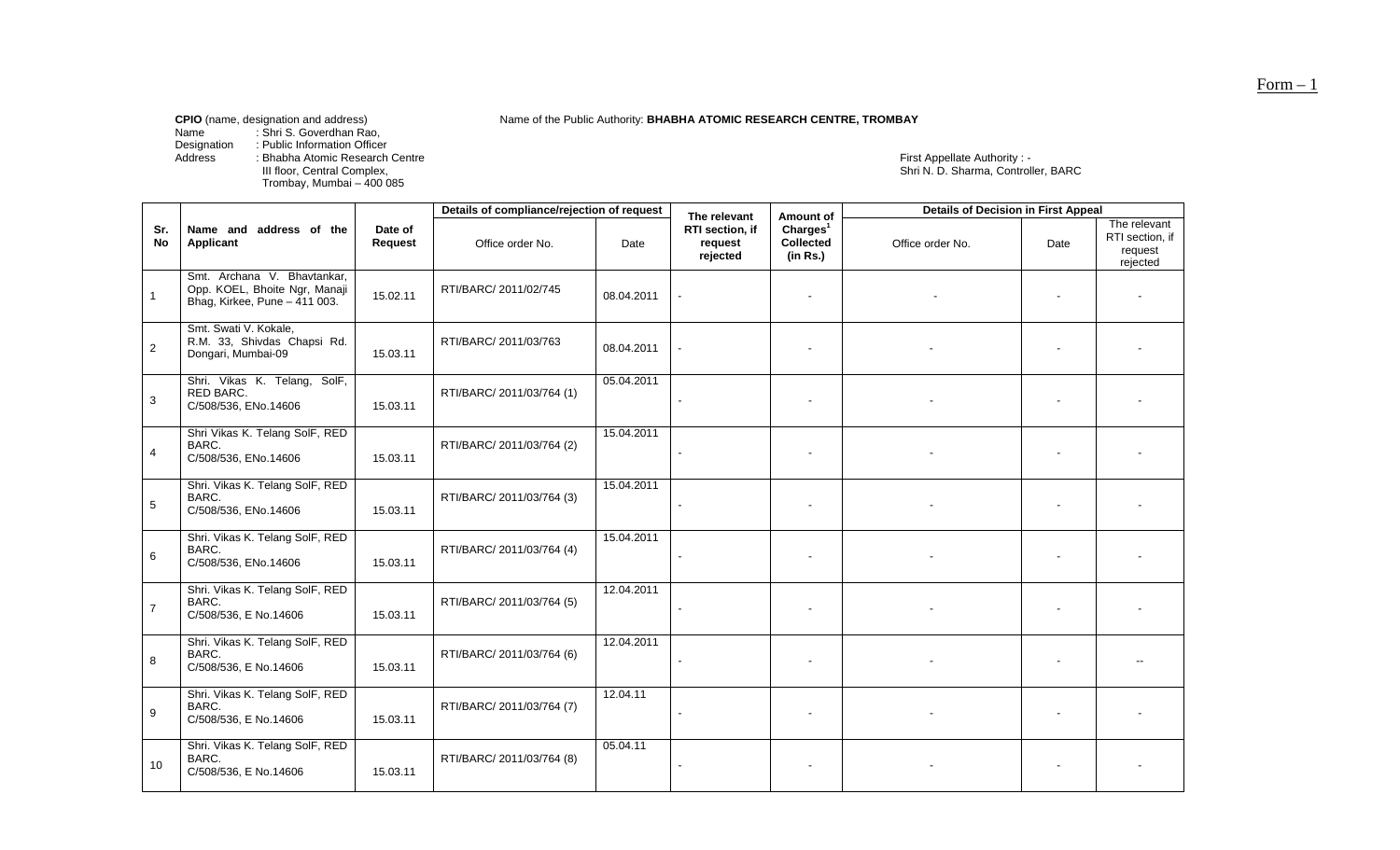Name of the Public Authority: **BHABHA ATOMIC RESEARCH CENTRE, TROMBAY** 

Name : Shri S. Goverdhan Rao,

Designation : Public Information Officer Address : Bhabha Atomic Research Centre

III floor, Central Complex,<br>Trombay, Mumbai – 400 085

First Appellate Authority : -<br>Shri N. D. Sharma, Controller, BARC

|                  |                                                                                               |                    | Details of compliance/rejection of request |            | The relevant                           | Amount of                                     | <b>Details of Decision in First Appeal</b> |      |                                                        |
|------------------|-----------------------------------------------------------------------------------------------|--------------------|--------------------------------------------|------------|----------------------------------------|-----------------------------------------------|--------------------------------------------|------|--------------------------------------------------------|
| Sr.<br><b>No</b> | Name and address of the<br><b>Applicant</b>                                                   | Date of<br>Request | Office order No.                           | Date       | RTI section, if<br>request<br>rejected | Charles <sup>1</sup><br>Collected<br>(in Rs.) | Office order No.                           | Date | The relevant<br>RTI section, if<br>request<br>rejected |
| $\mathbf{1}$     | Smt. Archana V. Bhavtankar,<br>Opp. KOEL, Bhoite Ngr, Manaji<br>Bhag, Kirkee, Pune - 411 003. | 15.02.11           | RTI/BARC/ 2011/02/745                      | 08.04.2011 |                                        |                                               |                                            |      |                                                        |
| 2                | Smt. Swati V. Kokale,<br>R.M. 33, Shivdas Chapsi Rd.<br>Dongari, Mumbai-09                    | 15.03.11           | RTI/BARC/ 2011/03/763                      | 08.04.2011 |                                        |                                               |                                            |      |                                                        |
| 3                | Shri. Vikas K. Telang, SolF,<br>RED BARC.<br>C/508/536, ENo.14606                             | 15.03.11           | RTI/BARC/ 2011/03/764 (1)                  | 05.04.2011 |                                        | $\blacksquare$                                |                                            |      |                                                        |
| 4                | Shri Vikas K. Telang SolF, RED<br>BARC.<br>C/508/536, ENo.14606                               | 15.03.11           | RTI/BARC/ 2011/03/764 (2)                  | 15.04.2011 |                                        |                                               |                                            |      |                                                        |
| $\sqrt{5}$       | Shri. Vikas K. Telang SolF, RED<br>BARC.<br>C/508/536, ENo.14606                              | 15.03.11           | RTI/BARC/ 2011/03/764 (3)                  | 15.04.2011 |                                        |                                               |                                            |      |                                                        |
| 6                | Shri. Vikas K. Telang SolF, RED<br>BARC.<br>C/508/536, ENo.14606                              | 15.03.11           | RTI/BARC/ 2011/03/764 (4)                  | 15.04.2011 |                                        | $\blacksquare$                                |                                            |      |                                                        |
| $\overline{7}$   | Shri. Vikas K. Telang SolF, RED<br>BARC.<br>C/508/536, E No.14606                             | 15.03.11           | RTI/BARC/ 2011/03/764 (5)                  | 12.04.2011 |                                        |                                               |                                            |      |                                                        |
| 8                | Shri. Vikas K. Telang SolF, RED<br>BARC.<br>C/508/536, E No.14606                             | 15.03.11           | RTI/BARC/ 2011/03/764 (6)                  | 12.04.2011 |                                        |                                               |                                            |      |                                                        |
| 9                | Shri. Vikas K. Telang SolF, RED<br>BARC.<br>C/508/536, E No.14606                             | 15.03.11           | RTI/BARC/ 2011/03/764 (7)                  | 12.04.11   |                                        |                                               |                                            |      |                                                        |
| 10               | Shri. Vikas K. Telang SolF, RED<br>BARC.<br>C/508/536, E No.14606                             | 15.03.11           | RTI/BARC/ 2011/03/764 (8)                  | 05.04.11   |                                        |                                               |                                            |      |                                                        |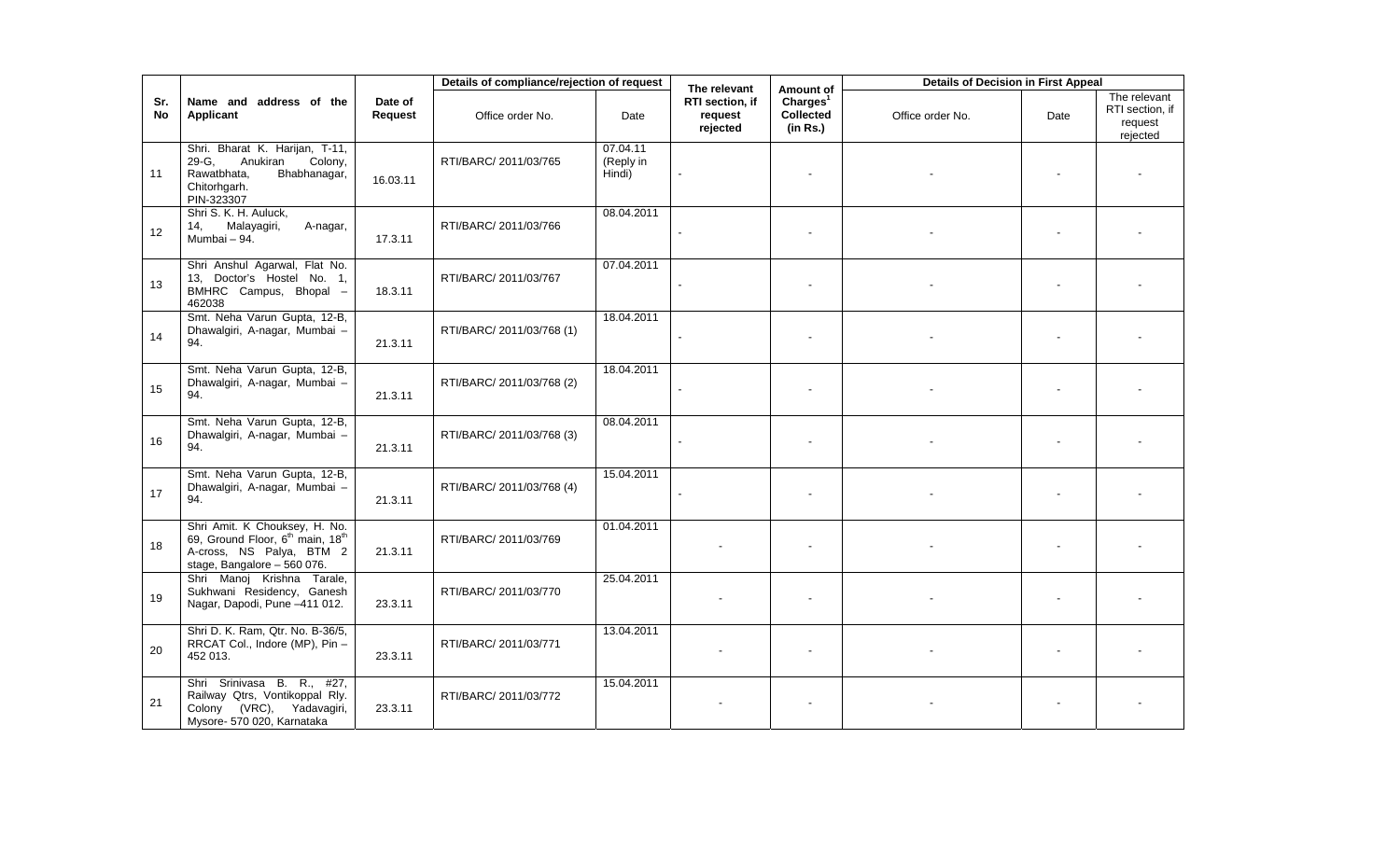|           |                                                                                                                                                      |                    | Details of compliance/rejection of request |                                 | The relevant                                  | Amount of                                      | <b>Details of Decision in First Appeal</b> |      |                                                        |
|-----------|------------------------------------------------------------------------------------------------------------------------------------------------------|--------------------|--------------------------------------------|---------------------------------|-----------------------------------------------|------------------------------------------------|--------------------------------------------|------|--------------------------------------------------------|
| Sr.<br>No | Name and address of the<br><b>Applicant</b>                                                                                                          | Date of<br>Request | Office order No.                           | Date                            | <b>RTI</b> section, if<br>request<br>rejected | Chargest <sup>1</sup><br>Collected<br>(in Rs.) | Office order No.                           | Date | The relevant<br>RTI section, if<br>request<br>rejected |
| 11        | Shri. Bharat K. Harijan, T-11,<br>29-G,<br>Anukiran<br>Colony,<br>Bhabhanagar,<br>Rawatbhata,<br>Chitorhgarh.<br>PIN-323307                          | 16.03.11           | RTI/BARC/ 2011/03/765                      | 07.04.11<br>(Reply in<br>Hindi) |                                               |                                                |                                            |      |                                                        |
| 12        | Shri S. K. H. Auluck,<br>Malayagiri,<br>14.<br>A-nagar,<br>Mumbai - 94.                                                                              | 17.3.11            | RTI/BARC/ 2011/03/766                      | 08.04.2011                      |                                               |                                                |                                            |      |                                                        |
| 13        | Shri Anshul Agarwal, Flat No.<br>13, Doctor's Hostel No. 1,<br>BMHRC Campus, Bhopal -<br>462038                                                      | 18.3.11            | RTI/BARC/ 2011/03/767                      | 07.04.2011                      |                                               |                                                |                                            |      |                                                        |
| 14        | Smt. Neha Varun Gupta, 12-B,<br>Dhawalgiri, A-nagar, Mumbai -<br>94.                                                                                 | 21.3.11            | RTI/BARC/ 2011/03/768 (1)                  | 18.04.2011                      |                                               |                                                |                                            |      |                                                        |
| 15        | Smt. Neha Varun Gupta, 12-B,<br>Dhawalgiri, A-nagar, Mumbai -<br>94.                                                                                 | 21.3.11            | RTI/BARC/ 2011/03/768 (2)                  | 18.04.2011                      |                                               |                                                |                                            |      |                                                        |
| 16        | Smt. Neha Varun Gupta, 12-B,<br>Dhawalgiri, A-nagar, Mumbai -<br>94.                                                                                 | 21.3.11            | RTI/BARC/ 2011/03/768 (3)                  | 08.04.2011                      |                                               |                                                |                                            |      |                                                        |
| 17        | Smt. Neha Varun Gupta, 12-B,<br>Dhawalgiri, A-nagar, Mumbai -<br>94.                                                                                 | 21.3.11            | RTI/BARC/ 2011/03/768 (4)                  | 15.04.2011                      |                                               |                                                |                                            |      |                                                        |
| 18        | Shri Amit. K Chouksey, H. No.<br>69, Ground Floor, 6 <sup>th</sup> main, 18 <sup>th</sup><br>A-cross, NS Palya, BTM 2<br>stage, Bangalore - 560 076. | 21.3.11            | RTI/BARC/ 2011/03/769                      | 01.04.2011                      |                                               |                                                |                                            |      |                                                        |
| 19        | Shri Manoj Krishna Tarale,<br>Sukhwani Residency, Ganesh<br>Nagar, Dapodi, Pune -411 012.                                                            | 23.3.11            | RTI/BARC/ 2011/03/770                      | 25.04.2011                      |                                               |                                                |                                            |      |                                                        |
| 20        | Shri D. K. Ram, Qtr. No. B-36/5,<br>RRCAT Col., Indore (MP), Pin -<br>452 013.                                                                       | 23.3.11            | RTI/BARC/ 2011/03/771                      | 13.04.2011                      |                                               |                                                |                                            |      |                                                        |
| 21        | Shri Srinivasa<br>B.<br>$R_{\cdot}$<br>#27,<br>Railway Qtrs, Vontikoppal Rly.<br>Colony (VRC), Yadavagiri,<br>Mysore- 570 020, Karnataka             | 23.3.11            | RTI/BARC/ 2011/03/772                      | 15.04.2011                      |                                               |                                                |                                            |      |                                                        |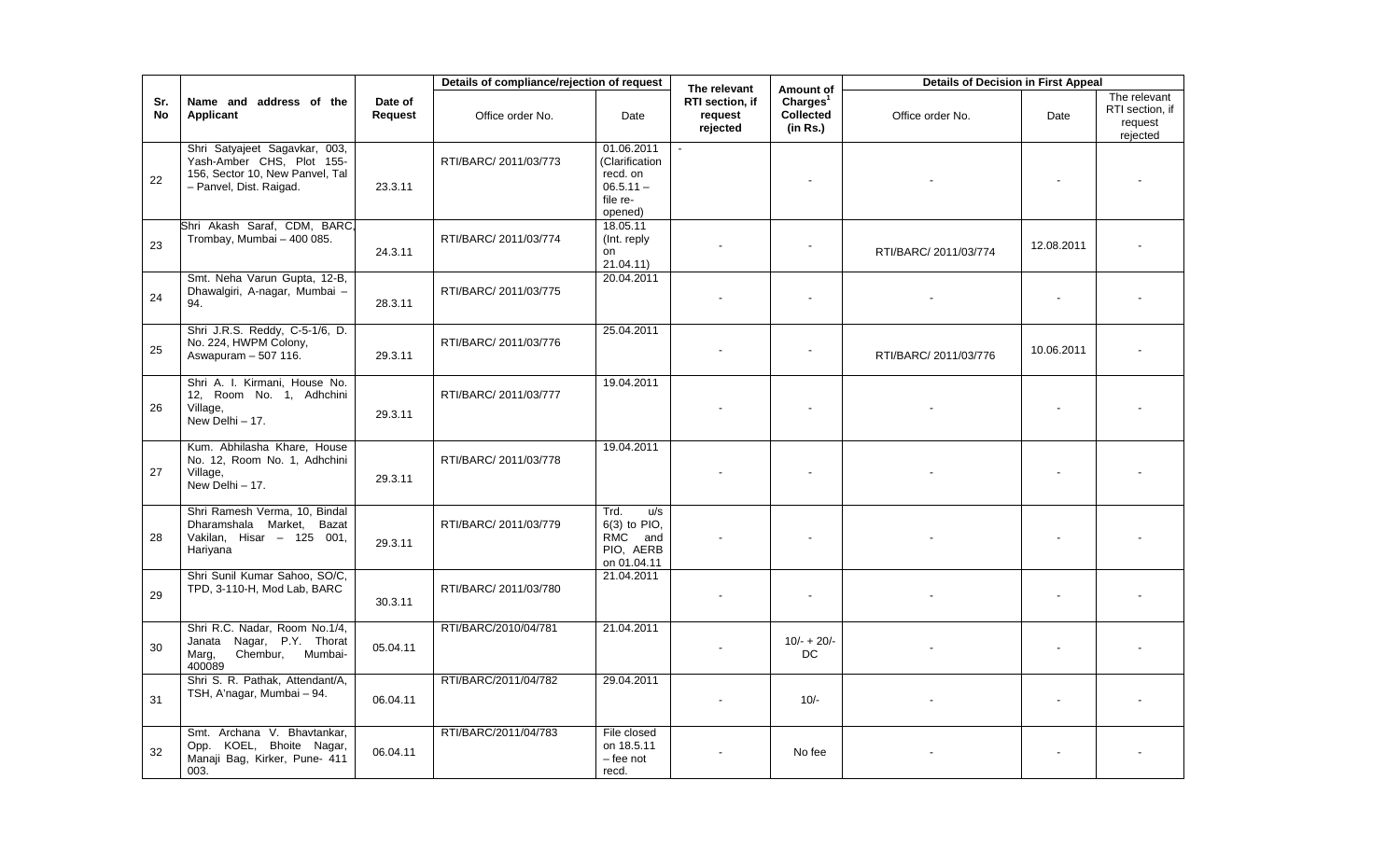|           |                                                                                                                          |                    | Details of compliance/rejection of request |                                                                                | The relevant                           | Amount of                                     | <b>Details of Decision in First Appeal</b> |            |                                                        |
|-----------|--------------------------------------------------------------------------------------------------------------------------|--------------------|--------------------------------------------|--------------------------------------------------------------------------------|----------------------------------------|-----------------------------------------------|--------------------------------------------|------------|--------------------------------------------------------|
| Sr.<br>No | Name and address of the<br>Applicant                                                                                     | Date of<br>Request | Office order No.                           | Date                                                                           | RTI section, if<br>request<br>rejected | Charles <sup>1</sup><br>Collected<br>(in Rs.) | Office order No.                           | Date       | The relevant<br>RTI section, if<br>request<br>rejected |
| 22        | Shri Satyajeet Sagavkar, 003,<br>Yash-Amber CHS, Plot 155-<br>156, Sector 10, New Panvel, Tal<br>- Panvel, Dist. Raigad. | 23.3.11            | RTI/BARC/ 2011/03/773                      | 01.06.2011<br>(Clarification<br>recd. on<br>$06.5.11 -$<br>file re-<br>opened) |                                        | $\blacksquare$                                |                                            |            |                                                        |
| 23        | Shri Akash Saraf, CDM, BARC,<br>Trombay, Mumbai - 400 085.                                                               | 24.3.11            | RTI/BARC/ 2011/03/774                      | 18.05.11<br>(Int. reply)<br>on<br>21.04.11)                                    |                                        |                                               | RTI/BARC/ 2011/03/774                      | 12.08.2011 |                                                        |
| 24        | Smt. Neha Varun Gupta, 12-B,<br>Dhawalgiri, A-nagar, Mumbai -<br>94.                                                     | 28.3.11            | RTI/BARC/ 2011/03/775                      | 20.04.2011                                                                     |                                        | $\mathbf{r}$                                  |                                            |            |                                                        |
| 25        | Shri J.R.S. Reddy, C-5-1/6, D.<br>No. 224, HWPM Colony,<br>Aswapuram - 507 116.                                          | 29.3.11            | RTI/BARC/ 2011/03/776                      | 25.04.2011                                                                     |                                        | $\blacksquare$                                | RTI/BARC/ 2011/03/776                      | 10.06.2011 |                                                        |
| 26        | Shri A. I. Kirmani, House No.<br>12, Room No. 1, Adhchini<br>Village,<br>New Delhi - 17.                                 | 29.3.11            | RTI/BARC/ 2011/03/777                      | 19.04.2011                                                                     |                                        | $\mathbf{r}$                                  |                                            |            |                                                        |
| 27        | Kum. Abhilasha Khare, House<br>No. 12, Room No. 1, Adhchini<br>Village,<br>New Delhi - 17.                               | 29.3.11            | RTI/BARC/ 2011/03/778                      | 19.04.2011                                                                     |                                        |                                               |                                            |            |                                                        |
| 28        | Shri Ramesh Verma, 10, Bindal<br>Dharamshala Market. Bazat<br>Vakilan, Hisar - 125 001,<br>Hariyana                      | 29.3.11            | RTI/BARC/ 2011/03/779                      | Trd.<br>u/s<br>$6(3)$ to PIO.<br>RMC<br>and<br>PIO, AERB<br>on 01.04.11        |                                        |                                               |                                            |            |                                                        |
| 29        | Shri Sunil Kumar Sahoo, SO/C,<br>TPD, 3-110-H, Mod Lab, BARC                                                             | 30.3.11            | RTI/BARC/ 2011/03/780                      | 21.04.2011                                                                     |                                        | $\blacksquare$                                |                                            |            |                                                        |
| 30        | Shri R.C. Nadar, Room No.1/4,<br>Janata Nagar, P.Y. Thorat<br>Chembur, Mumbai-<br>Marg,<br>400089                        | 05.04.11           | RTI/BARC/2010/04/781                       | 21.04.2011                                                                     |                                        | $10/- + 20/-$<br>DC                           |                                            |            |                                                        |
| 31        | Shri S. R. Pathak, Attendant/A,<br>TSH, A'nagar, Mumbai - 94.                                                            | 06.04.11           | RTI/BARC/2011/04/782                       | 29.04.2011                                                                     |                                        | $10/-$                                        |                                            |            |                                                        |
| 32        | Smt. Archana V. Bhavtankar,<br>KOEL, Bhoite Nagar,<br>Opp.<br>Manaji Bag, Kirker, Pune- 411<br>003.                      | 06.04.11           | RTI/BARC/2011/04/783                       | File closed<br>on 18.5.11<br>- fee not<br>recd.                                |                                        | No fee                                        |                                            |            |                                                        |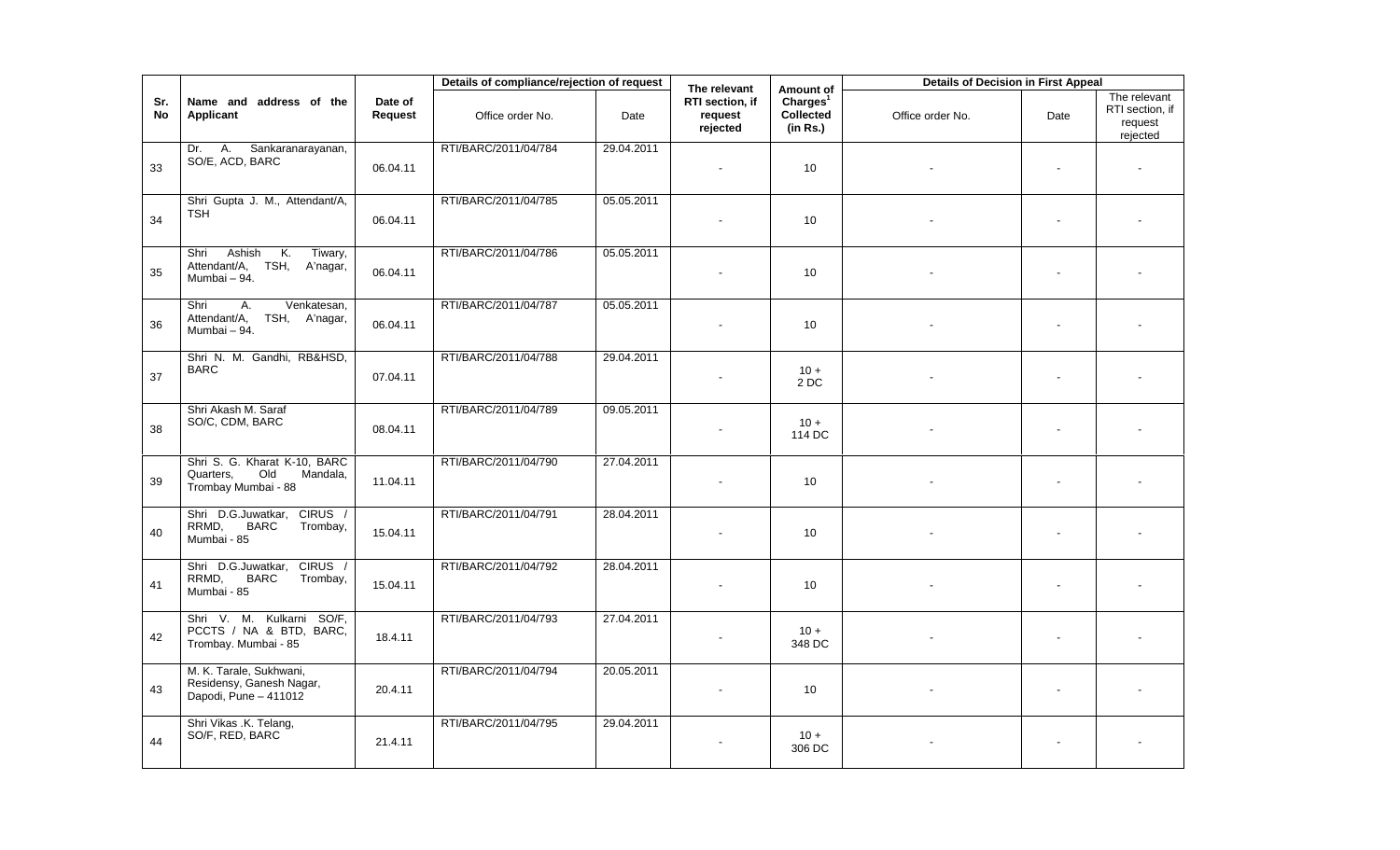|           |                                                                                     |                           | Details of compliance/rejection of request |            | The relevant                           | Amount of                                            | <b>Details of Decision in First Appeal</b> |                |                                                        |
|-----------|-------------------------------------------------------------------------------------|---------------------------|--------------------------------------------|------------|----------------------------------------|------------------------------------------------------|--------------------------------------------|----------------|--------------------------------------------------------|
| Sr.<br>No | Name and address of the<br>Applicant                                                | Date of<br><b>Request</b> | Office order No.                           | Date       | RTI section, if<br>request<br>rejected | Charles <sup>1</sup><br><b>Collected</b><br>(in Rs.) | Office order No.                           | Date           | The relevant<br>RTI section, if<br>request<br>rejected |
| 33        | Sankaranarayanan,<br>Dr. A.<br>SO/E, ACD, BARC                                      | 06.04.11                  | RTI/BARC/2011/04/784                       | 29.04.2011 |                                        | 10 <sup>°</sup>                                      |                                            | $\blacksquare$ | $\blacksquare$                                         |
| 34        | Shri Gupta J. M., Attendant/A,<br><b>TSH</b>                                        | 06.04.11                  | RTI/BARC/2011/04/785                       | 05.05.2011 | $\sim$                                 | 10 <sup>1</sup>                                      |                                            | $\blacksquare$ | $\blacksquare$                                         |
| 35        | K.<br>Ashish<br>Tiwary,<br>Shri<br>Attendant/A, TSH, A'nagar,<br>Mumbai - 94.       | 06.04.11                  | RTI/BARC/2011/04/786                       | 05.05.2011 |                                        | 10                                                   |                                            | $\sim$         |                                                        |
| 36        | A.<br>Venkatesan,<br>Shri<br>Attendant/A,<br>TSH, A'nagar,<br>Mumbai - 94.          | 06.04.11                  | RTI/BARC/2011/04/787                       | 05.05.2011 |                                        | 10                                                   |                                            | $\sim$         |                                                        |
| 37        | Shri N. M. Gandhi, RB&HSD,<br><b>BARC</b>                                           | 07.04.11                  | RTI/BARC/2011/04/788                       | 29.04.2011 |                                        | $10 +$<br>2DC                                        |                                            | $\sim$         |                                                        |
| 38        | Shri Akash M. Saraf<br>SO/C, CDM, BARC                                              | 08.04.11                  | RTI/BARC/2011/04/789                       | 09.05.2011 |                                        | $10 +$<br>114 DC                                     |                                            | $\blacksquare$ |                                                        |
| 39        | Shri S. G. Kharat K-10, BARC<br>Old<br>Quarters,<br>Mandala,<br>Trombay Mumbai - 88 | 11.04.11                  | RTI/BARC/2011/04/790                       | 27.04.2011 |                                        | 10                                                   |                                            |                |                                                        |
| 40        | CIRUS /<br>Shri D.G.Juwatkar,<br><b>BARC</b><br>RRMD,<br>Trombay,<br>Mumbai - 85    | 15.04.11                  | RTI/BARC/2011/04/791                       | 28.04.2011 |                                        | 10                                                   |                                            | $\blacksquare$ |                                                        |
| 41        | Shri D.G.Juwatkar, CIRUS /<br>RRMD,<br><b>BARC</b><br>Trombay,<br>Mumbai - 85       | 15.04.11                  | RTI/BARC/2011/04/792                       | 28.04.2011 |                                        | 10                                                   |                                            | $\sim$         |                                                        |
| 42        | Shri V. M. Kulkarni<br>SO/F,<br>PCCTS / NA & BTD, BARC,<br>Trombay. Mumbai - 85     | 18.4.11                   | RTI/BARC/2011/04/793                       | 27.04.2011 |                                        | $10 +$<br>348 DC                                     |                                            | $\blacksquare$ |                                                        |
| 43        | M. K. Tarale, Sukhwani,<br>Residensy, Ganesh Nagar,<br>Dapodi, Pune - 411012        | 20.4.11                   | RTI/BARC/2011/04/794                       | 20.05.2011 | $\sim$                                 | 10                                                   |                                            | $\blacksquare$ |                                                        |
| 44        | Shri Vikas .K. Telang,<br>SO/F, RED, BARC                                           | 21.4.11                   | RTI/BARC/2011/04/795                       | 29.04.2011 |                                        | $10 +$<br>306 DC                                     |                                            | $\blacksquare$ | $\blacksquare$                                         |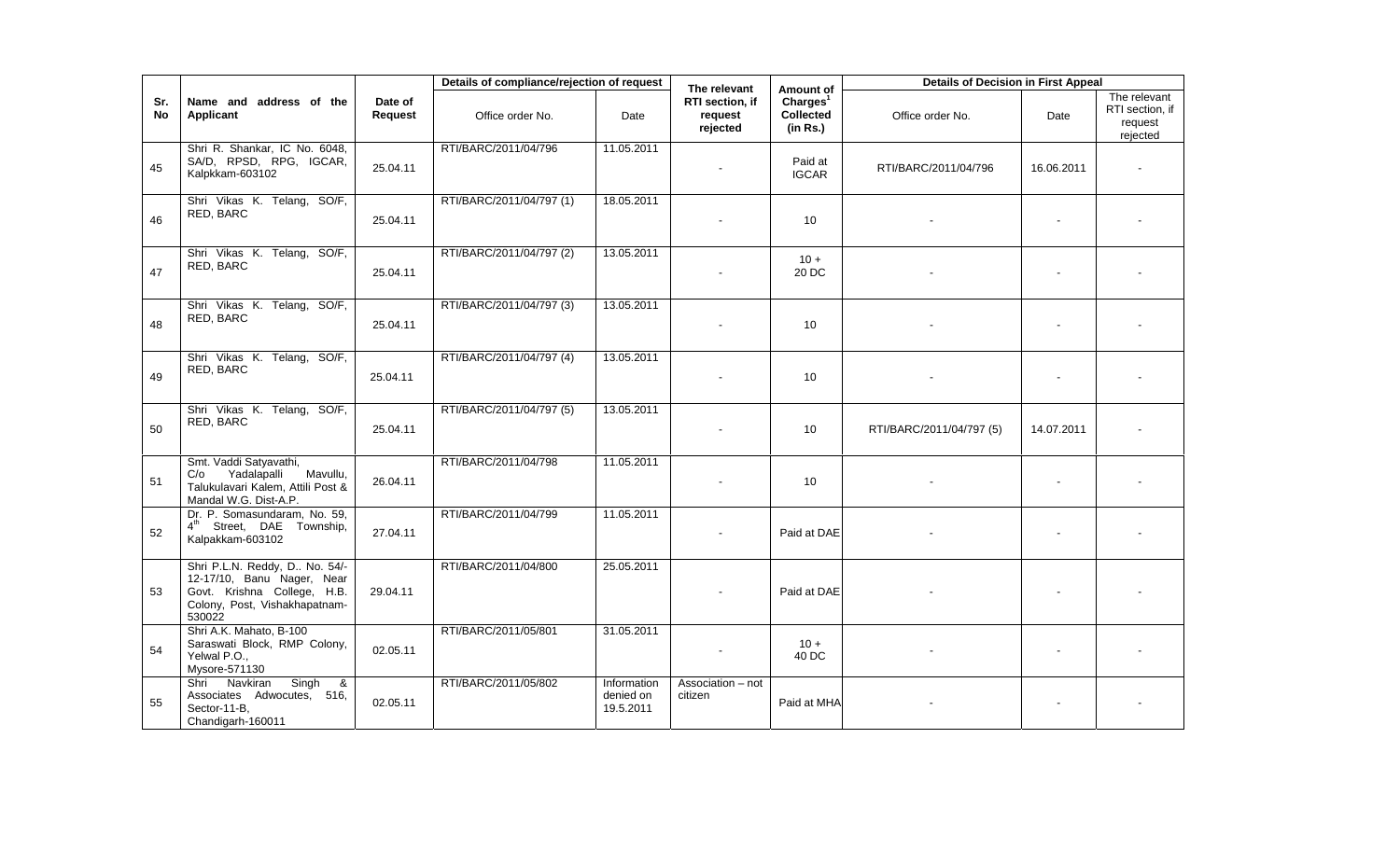|            |                                                                                                                                       |                    | Details of compliance/rejection of request |                                       | The relevant                           | Amount of                                     | <b>Details of Decision in First Appeal</b> |            |                                                        |
|------------|---------------------------------------------------------------------------------------------------------------------------------------|--------------------|--------------------------------------------|---------------------------------------|----------------------------------------|-----------------------------------------------|--------------------------------------------|------------|--------------------------------------------------------|
| Sr.<br>No. | Name and address of the<br>Applicant                                                                                                  | Date of<br>Request | Office order No.                           | Date                                  | RTI section, if<br>request<br>rejected | Charles <sup>1</sup><br>Collected<br>(in Rs.) | Office order No.                           | Date       | The relevant<br>RTI section, if<br>request<br>rejected |
| 45         | Shri R. Shankar, IC No. 6048,<br>SA/D, RPSD, RPG, IGCAR,<br>Kalpkkam-603102                                                           | 25.04.11           | RTI/BARC/2011/04/796                       | 11.05.2011                            |                                        | Paid at<br><b>IGCAR</b>                       | RTI/BARC/2011/04/796                       | 16.06.2011 |                                                        |
| 46         | Shri Vikas K. Telang, SO/F,<br>RED, BARC                                                                                              | 25.04.11           | RTI/BARC/2011/04/797 (1)                   | 18.05.2011                            |                                        | 10                                            |                                            |            |                                                        |
| 47         | Shri Vikas K. Telang, SO/F,<br>RED, BARC                                                                                              | 25.04.11           | RTI/BARC/2011/04/797 (2)                   | 13.05.2011                            |                                        | $10 +$<br>20 DC                               |                                            |            |                                                        |
| 48         | Shri Vikas K. Telang, SO/F,<br>RED. BARC                                                                                              | 25.04.11           | RTI/BARC/2011/04/797 (3)                   | 13.05.2011                            |                                        | 10                                            |                                            |            |                                                        |
| 49         | Shri Vikas K. Telang, SO/F,<br>RED. BARC                                                                                              | 25.04.11           | RTI/BARC/2011/04/797 (4)                   | 13.05.2011                            |                                        | 10                                            |                                            |            |                                                        |
| 50         | Shri Vikas K. Telang, SO/F,<br>RED, BARC                                                                                              | 25.04.11           | RTI/BARC/2011/04/797 (5)                   | 13.05.2011                            |                                        | 10                                            | RTI/BARC/2011/04/797 (5)                   | 14.07.2011 |                                                        |
| 51         | Smt. Vaddi Satyavathi,<br>Yadalapalli Mavullu,<br>C/O<br>Talukulavari Kalem, Attili Post &<br>Mandal W.G. Dist-A.P.                   | 26.04.11           | RTI/BARC/2011/04/798                       | 11.05.2011                            |                                        | 10                                            |                                            |            |                                                        |
| 52         | Dr. P. Somasundaram, No. 59,<br>Street, DAE Township,<br>$4^{\text{th}}$<br>Kalpakkam-603102                                          | 27.04.11           | RTI/BARC/2011/04/799                       | 11.05.2011                            |                                        | Paid at DAE                                   |                                            |            |                                                        |
| 53         | Shri P.L.N. Reddy, D No. 54/-<br>12-17/10, Banu Nager, Near<br>Govt. Krishna College, H.B.<br>Colony, Post, Vishakhapatnam-<br>530022 | 29.04.11           | RTI/BARC/2011/04/800                       | 25.05.2011                            |                                        | Paid at DAE                                   |                                            |            |                                                        |
| 54         | Shri A.K. Mahato, B-100<br>Saraswati Block, RMP Colony,<br>Yelwal P.O.,<br>Mysore-571130                                              | 02.05.11           | RTI/BARC/2011/05/801                       | 31.05.2011                            |                                        | $10 +$<br>40 DC                               |                                            |            |                                                        |
| 55         | Navkiran<br>Singh &<br>Shri<br>Associates Adwocutes, 516,<br>Sector-11-B,<br>Chandigarh-160011                                        | 02.05.11           | RTI/BARC/2011/05/802                       | Information<br>denied on<br>19.5.2011 | Association - not<br>citizen           | Paid at MHA                                   |                                            |            |                                                        |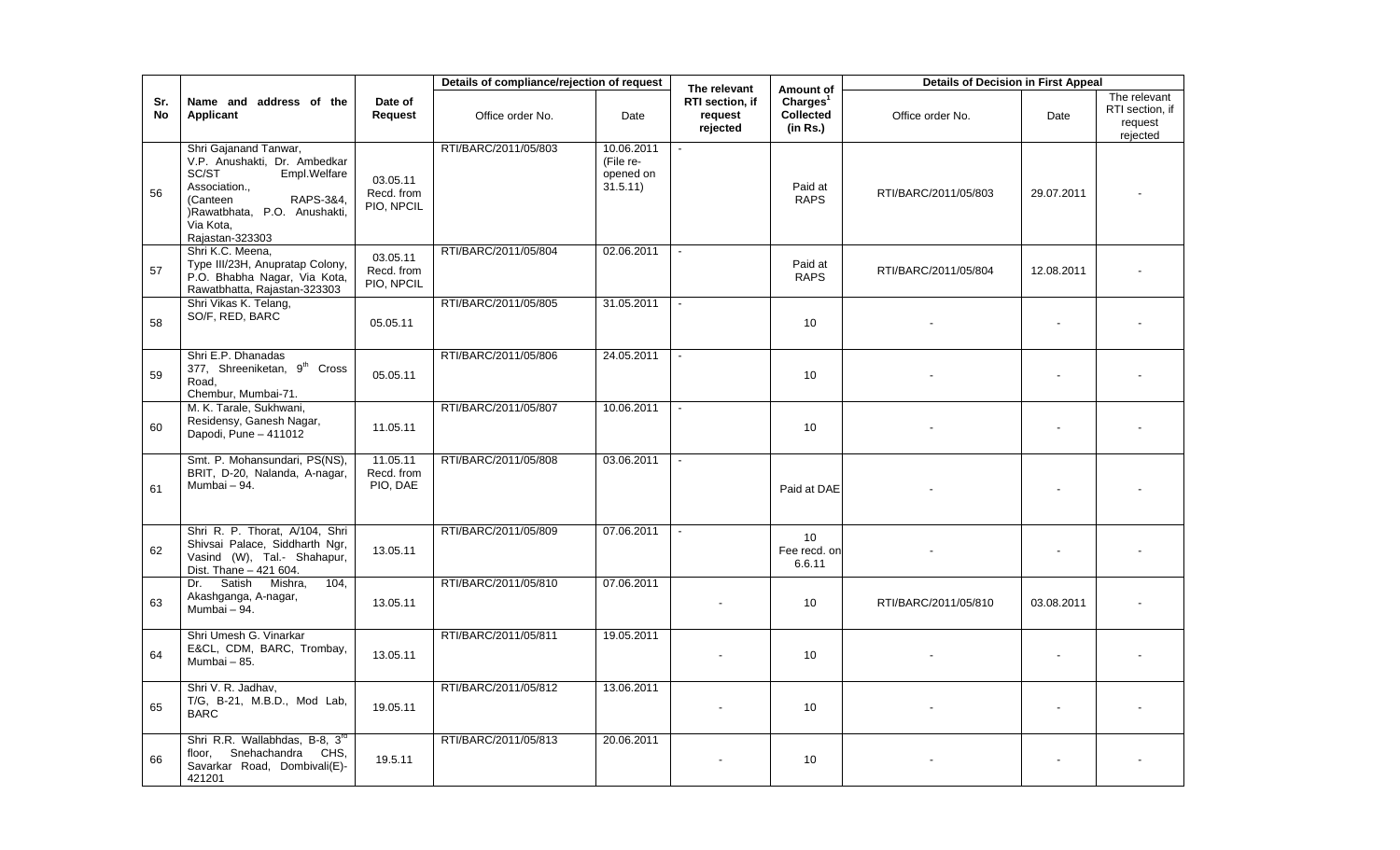|                  |                                                                                                                                                                                          |                                      | Details of compliance/rejection of request |                                                  | The relevant                           | Amount of                                     | <b>Details of Decision in First Appeal</b> |            |                                                        |
|------------------|------------------------------------------------------------------------------------------------------------------------------------------------------------------------------------------|--------------------------------------|--------------------------------------------|--------------------------------------------------|----------------------------------------|-----------------------------------------------|--------------------------------------------|------------|--------------------------------------------------------|
| Sr.<br><b>No</b> | Name and address of the<br><b>Applicant</b>                                                                                                                                              | Date of<br>Request                   | Office order No.                           | Date                                             | RTI section. if<br>request<br>rejected | Charles <sup>1</sup><br>Collected<br>(in Rs.) | Office order No.                           | Date       | The relevant<br>RTI section, if<br>request<br>rejected |
| 56               | Shri Gajanand Tanwar,<br>V.P. Anushakti, Dr. Ambedkar<br>SC/ST<br>Empl.Welfare<br>Association.,<br>(Canteen<br>RAPS-3&4,<br>)Rawatbhata, P.O. Anushakti,<br>Via Kota,<br>Rajastan-323303 | 03.05.11<br>Recd. from<br>PIO, NPCIL | RTI/BARC/2011/05/803                       | 10.06.2011<br>(File re-<br>opened on<br>31.5.11) |                                        | Paid at<br><b>RAPS</b>                        | RTI/BARC/2011/05/803                       | 29.07.2011 |                                                        |
| 57               | Shri K.C. Meena,<br>Type III/23H, Anupratap Colony,<br>P.O. Bhabha Nagar, Via Kota,<br>Rawatbhatta, Rajastan-323303                                                                      | 03.05.11<br>Recd. from<br>PIO, NPCIL | RTI/BARC/2011/05/804                       | 02.06.2011                                       |                                        | Paid at<br><b>RAPS</b>                        | RTI/BARC/2011/05/804                       | 12.08.2011 |                                                        |
| 58               | Shri Vikas K. Telang,<br>SO/F, RED, BARC                                                                                                                                                 | 05.05.11                             | RTI/BARC/2011/05/805                       | 31.05.2011                                       |                                        | 10                                            |                                            |            |                                                        |
| 59               | Shri E.P. Dhanadas<br>377, Shreeniketan, 9 <sup>th</sup> Cross<br>Road.<br>Chembur, Mumbai-71.                                                                                           | 05.05.11                             | RTI/BARC/2011/05/806                       | 24.05.2011                                       |                                        | 10                                            |                                            |            |                                                        |
| 60               | M. K. Tarale, Sukhwani,<br>Residensy, Ganesh Nagar,<br>Dapodi, Pune - 411012                                                                                                             | 11.05.11                             | RTI/BARC/2011/05/807                       | 10.06.2011                                       |                                        | 10                                            |                                            |            |                                                        |
| 61               | Smt. P. Mohansundari, PS(NS),<br>BRIT, D-20, Nalanda, A-nagar,<br>Mumbai - 94.                                                                                                           | 11.05.11<br>Recd. from<br>PIO, DAE   | RTI/BARC/2011/05/808                       | 03.06.2011                                       |                                        | Paid at DAE                                   |                                            |            |                                                        |
| 62               | Shri R. P. Thorat, A/104, Shri<br>Shivsai Palace, Siddharth Ngr,<br>Vasind (W), Tal.- Shahapur,<br>Dist. Thane - 421 604.                                                                | 13.05.11                             | RTI/BARC/2011/05/809                       | 07.06.2011                                       |                                        | 10 <sup>1</sup><br>Fee recd, on<br>6.6.11     |                                            |            |                                                        |
| 63               | Satish Mishra,<br>104,<br>Dr.<br>Akashganga, A-nagar,<br>Mumbai - 94.                                                                                                                    | 13.05.11                             | RTI/BARC/2011/05/810                       | 07.06.2011                                       |                                        | 10                                            | RTI/BARC/2011/05/810                       | 03.08.2011 |                                                        |
| 64               | Shri Umesh G. Vinarkar<br>E&CL, CDM, BARC, Trombay,<br>Mumbai - 85.                                                                                                                      | 13.05.11                             | RTI/BARC/2011/05/811                       | 19.05.2011                                       |                                        | 10 <sup>1</sup>                               |                                            |            |                                                        |
| 65               | Shri V. R. Jadhav,<br>T/G, B-21, M.B.D., Mod Lab,<br><b>BARC</b>                                                                                                                         | 19.05.11                             | RTI/BARC/2011/05/812                       | 13.06.2011                                       |                                        | 10                                            |                                            |            |                                                        |
| 66               | Shri R.R. Wallabhdas, B-8, 3rd<br>Snehachandra CHS,<br>floor,<br>Savarkar Road, Dombivali(E)-<br>421201                                                                                  | 19.5.11                              | RTI/BARC/2011/05/813                       | 20.06.2011                                       |                                        | 10 <sup>1</sup>                               |                                            |            |                                                        |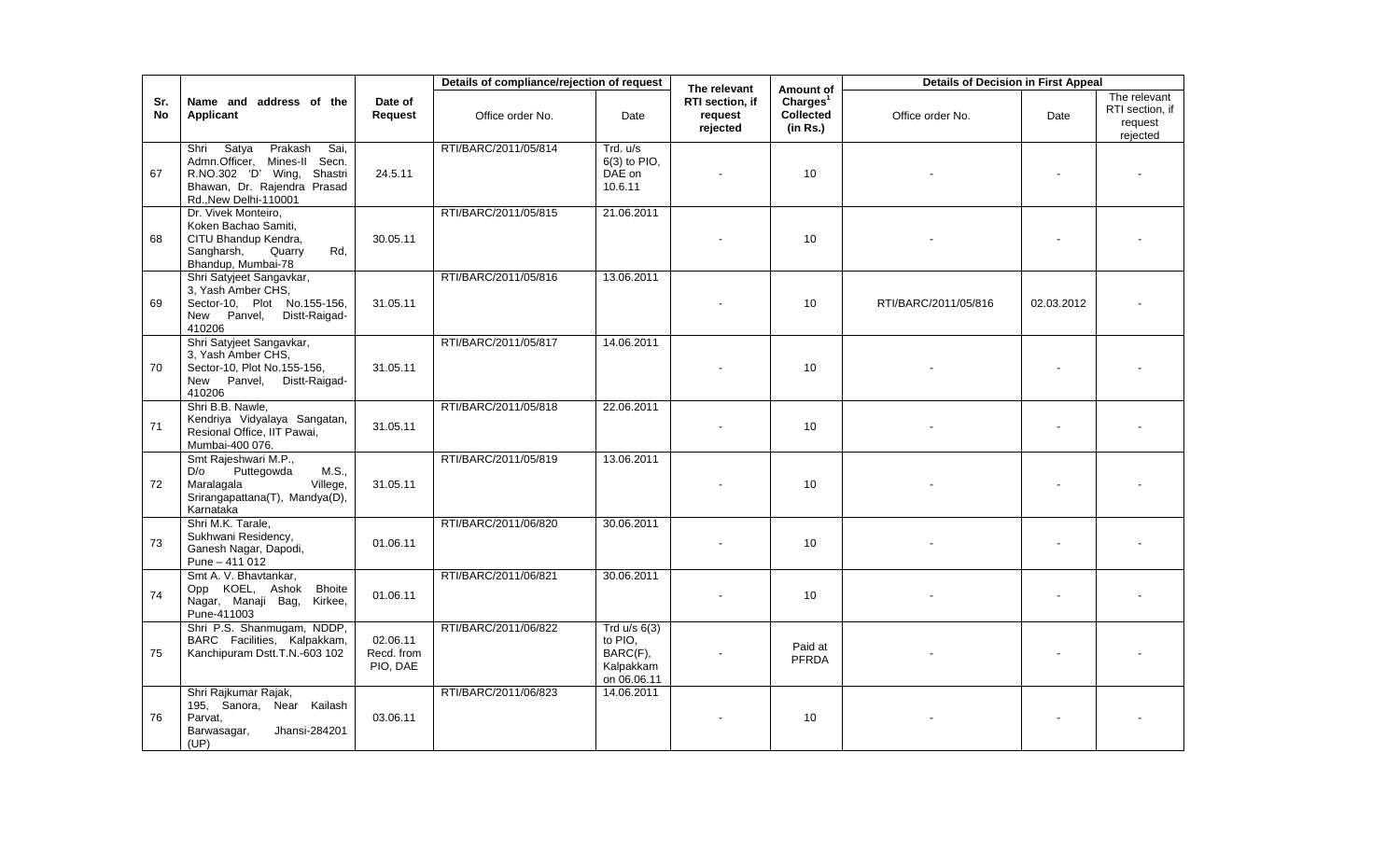|                  |                                                                                                                                                        |                                    | Details of compliance/rejection of request |                                                                   | The relevant                           | Amount of                                     | <b>Details of Decision in First Appeal</b> |            |                                                        |
|------------------|--------------------------------------------------------------------------------------------------------------------------------------------------------|------------------------------------|--------------------------------------------|-------------------------------------------------------------------|----------------------------------------|-----------------------------------------------|--------------------------------------------|------------|--------------------------------------------------------|
| Sr.<br><b>No</b> | Name and address of the<br><b>Applicant</b>                                                                                                            | Date of<br>Request                 | Office order No.                           | Date                                                              | RTI section. if<br>request<br>rejected | Charles <sup>1</sup><br>Collected<br>(in Rs.) | Office order No.                           | Date       | The relevant<br>RTI section, if<br>request<br>rejected |
| 67               | Shri Satya<br>Prakash<br>Sai,<br>Admn.Officer, Mines-II Secn.<br>R.NO.302 'D' Wing,<br>Shastri<br>Bhawan, Dr. Rajendra Prasad<br>Rd., New Delhi-110001 | 24.5.11                            | RTI/BARC/2011/05/814                       | Trd. u/s<br>$6(3)$ to PIO.<br>DAE on<br>10.6.11                   |                                        | 10                                            |                                            |            |                                                        |
| 68               | Dr. Vivek Monteiro,<br>Koken Bachao Samiti,<br>CITU Bhandup Kendra,<br>Sangharsh,<br>Quarry<br>Rd,<br>Bhandup, Mumbai-78                               | 30.05.11                           | RTI/BARC/2011/05/815                       | 21.06.2011                                                        |                                        | 10                                            |                                            |            |                                                        |
| 69               | Shri Satyjeet Sangavkar,<br>3, Yash Amber CHS,<br>Sector-10, Plot No.155-156,<br>New Panvel,<br>Distt-Raigad-<br>410206                                | 31.05.11                           | RTI/BARC/2011/05/816                       | 13.06.2011                                                        |                                        | 10                                            | RTI/BARC/2011/05/816                       | 02.03.2012 |                                                        |
| 70               | Shri Satyjeet Sangavkar,<br>3, Yash Amber CHS,<br>Sector-10, Plot No.155-156,<br>New Panvel,<br>Distt-Raigad-<br>410206                                | 31.05.11                           | RTI/BARC/2011/05/817                       | 14.06.2011                                                        |                                        | 10                                            |                                            |            |                                                        |
| 71               | Shri B.B. Nawle,<br>Kendriya Vidyalaya Sangatan,<br>Resional Office, IIT Pawai,<br>Mumbai-400 076.                                                     | 31.05.11                           | RTI/BARC/2011/05/818                       | 22.06.2011                                                        |                                        | 10                                            |                                            |            |                                                        |
| 72               | Smt Rajeshwari M.P.,<br>Puttegowda<br>M.S.,<br>D/o<br>Maralagala<br>Villege,<br>Srirangapattana(T), Mandya(D),<br>Karnataka                            | 31.05.11                           | RTI/BARC/2011/05/819                       | 13.06.2011                                                        |                                        | 10                                            |                                            |            |                                                        |
| 73               | Shri M.K. Tarale,<br>Sukhwani Residency,<br>Ganesh Nagar, Dapodi,<br>Pune $-411.012$                                                                   | 01.06.11                           | RTI/BARC/2011/06/820                       | 30.06.2011                                                        |                                        | 10                                            |                                            |            |                                                        |
| 74               | Smt A. V. Bhavtankar,<br>Opp KOEL, Ashok<br><b>Bhoite</b><br>Nagar, Manaji Bag,<br>Kirkee,<br>Pune-411003                                              | 01.06.11                           | RTI/BARC/2011/06/821                       | 30.06.2011                                                        |                                        | 10                                            |                                            |            |                                                        |
| 75               | Shri P.S. Shanmugam, NDDP,<br>BARC Facilities, Kalpakkam,<br>Kanchipuram Dstt.T.N.-603 102                                                             | 02.06.11<br>Recd. from<br>PIO, DAE | RTI/BARC/2011/06/822                       | Trd $u/s$ 6(3)<br>to PIO,<br>BARC(F),<br>Kalpakkam<br>on 06.06.11 |                                        | Paid at<br><b>PFRDA</b>                       |                                            |            |                                                        |
| 76               | Shri Rajkumar Rajak,<br>195, Sanora, Near Kailash<br>Parvat,<br>Jhansi-284201<br>Barwasagar,<br>(UP)                                                   | 03.06.11                           | RTI/BARC/2011/06/823                       | 14.06.2011                                                        |                                        | 10                                            |                                            |            |                                                        |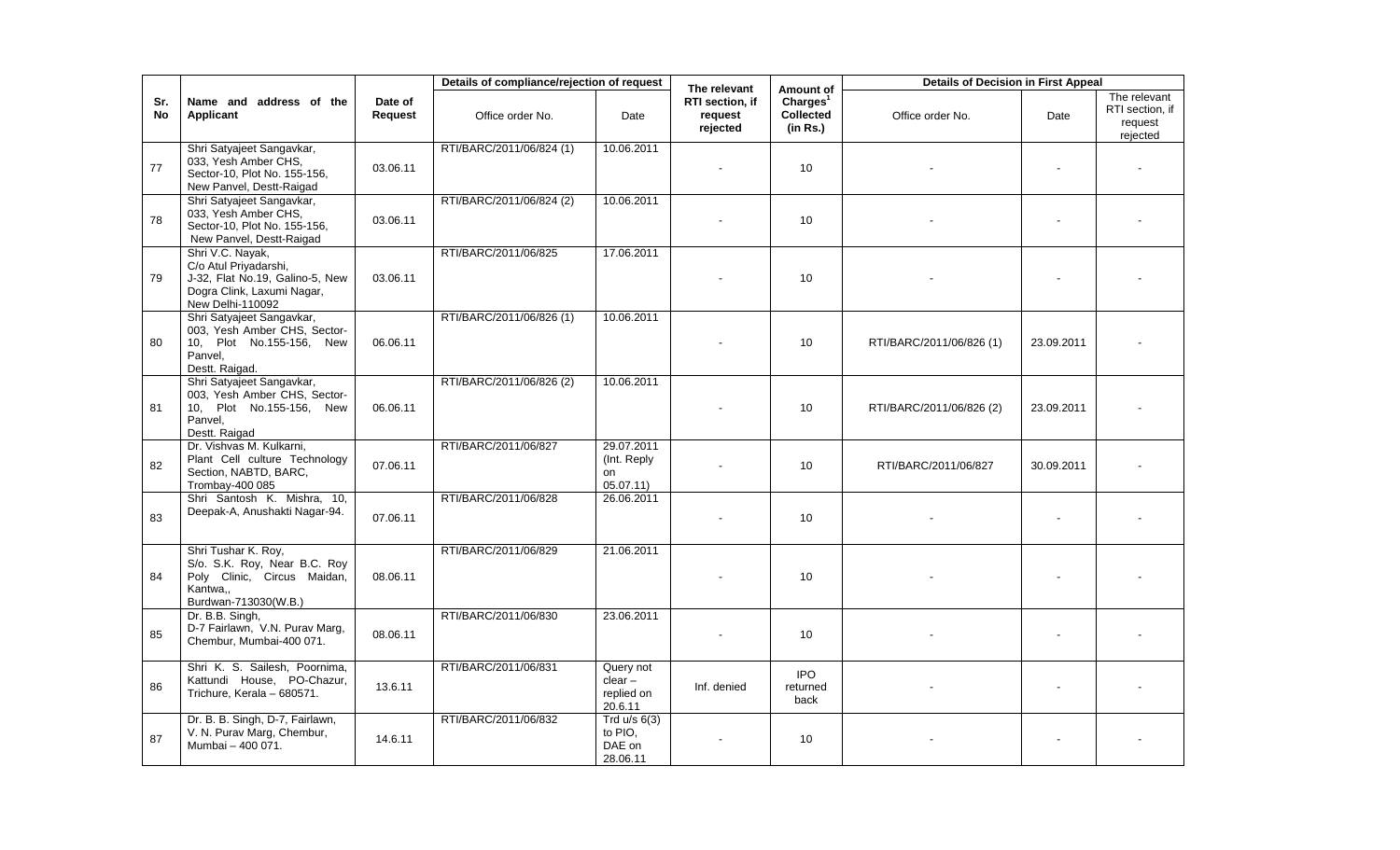|           |                                                                                                                                |                    | Details of compliance/rejection of request |                                                 | The relevant                           | Amount of                                            | <b>Details of Decision in First Appeal</b> |            |                                                        |
|-----------|--------------------------------------------------------------------------------------------------------------------------------|--------------------|--------------------------------------------|-------------------------------------------------|----------------------------------------|------------------------------------------------------|--------------------------------------------|------------|--------------------------------------------------------|
| Sr.<br>No | Name and address of the<br>Applicant                                                                                           | Date of<br>Request | Office order No.                           | Date                                            | RTI section, if<br>request<br>rejected | Charles <sup>1</sup><br><b>Collected</b><br>(in Rs.) | Office order No.                           | Date       | The relevant<br>RTI section, if<br>request<br>rejected |
| 77        | Shri Satyajeet Sangavkar,<br>033, Yesh Amber CHS,<br>Sector-10, Plot No. 155-156,<br>New Panvel, Destt-Raigad                  | 03.06.11           | RTI/BARC/2011/06/824 (1)                   | 10.06.2011                                      |                                        | 10 <sup>10</sup>                                     |                                            |            |                                                        |
| 78        | Shri Satyajeet Sangavkar,<br>033, Yesh Amber CHS,<br>Sector-10, Plot No. 155-156,<br>New Panvel, Destt-Raigad                  | 03.06.11           | RTI/BARC/2011/06/824 (2)                   | 10.06.2011                                      |                                        | 10 <sup>10</sup>                                     |                                            |            |                                                        |
| 79        | Shri V.C. Nayak,<br>C/o Atul Priyadarshi,<br>J-32, Flat No.19, Galino-5, New<br>Dogra Clink, Laxumi Nagar,<br>New Delhi-110092 | 03.06.11           | RTI/BARC/2011/06/825                       | 17.06.2011                                      |                                        | 10 <sup>10</sup>                                     |                                            |            |                                                        |
| 80        | Shri Satyajeet Sangavkar,<br>003, Yesh Amber CHS, Sector-<br>10, Plot No.155-156, New<br>Panvel,<br>Destt. Raigad.             | 06.06.11           | RTI/BARC/2011/06/826 (1)                   | 10.06.2011                                      |                                        | 10                                                   | RTI/BARC/2011/06/826 (1)                   | 23.09.2011 |                                                        |
| 81        | Shri Satyajeet Sangavkar,<br>003, Yesh Amber CHS, Sector-<br>10. Plot No.155-156. New<br>Panvel,<br>Destt. Raigad              | 06.06.11           | RTI/BARC/2011/06/826 (2)                   | 10.06.2011                                      |                                        | 10                                                   | RTI/BARC/2011/06/826 (2)                   | 23.09.2011 |                                                        |
| 82        | Dr. Vishvas M. Kulkarni,<br>Plant Cell culture Technology<br>Section, NABTD, BARC,<br>Trombay-400 085                          | 07.06.11           | RTI/BARC/2011/06/827                       | 29.07.2011<br>(Int. Reply)<br>on<br>05.07.11)   |                                        | 10                                                   | RTI/BARC/2011/06/827                       | 30.09.2011 |                                                        |
| 83        | Shri Santosh K. Mishra, 10,<br>Deepak-A, Anushakti Nagar-94.                                                                   | 07.06.11           | RTI/BARC/2011/06/828                       | 26.06.2011                                      |                                        | 10 <sup>1</sup>                                      |                                            |            |                                                        |
| 84        | Shri Tushar K. Roy,<br>S/o. S.K. Roy, Near B.C. Roy<br>Poly Clinic, Circus Maidan,<br>Kantwa,<br>Burdwan-713030(W.B.)          | 08.06.11           | RTI/BARC/2011/06/829                       | 21.06.2011                                      |                                        | 10 <sup>1</sup>                                      |                                            |            |                                                        |
| 85        | Dr. B.B. Singh,<br>D-7 Fairlawn, V.N. Purav Marg,<br>Chembur, Mumbai-400 071.                                                  | 08.06.11           | RTI/BARC/2011/06/830                       | 23.06.2011                                      |                                        | 10                                                   |                                            |            |                                                        |
| 86        | Shri K. S. Sailesh, Poornima,<br>Kattundi House, PO-Chazur,<br>Trichure, Kerala - 680571.                                      | 13.6.11            | RTI/BARC/2011/06/831                       | Query not<br>$clear -$<br>replied on<br>20.6.11 | Inf. denied                            | <b>IPO</b><br>returned<br>back                       |                                            |            |                                                        |
| 87        | Dr. B. B. Singh, D-7, Fairlawn,<br>V. N. Purav Marg, Chembur,<br>Mumbai - 400 071.                                             | 14.6.11            | RTI/BARC/2011/06/832                       | Trd $u/s$ 6(3)<br>to PIO,<br>DAE on<br>28.06.11 |                                        | 10 <sup>10</sup>                                     |                                            |            |                                                        |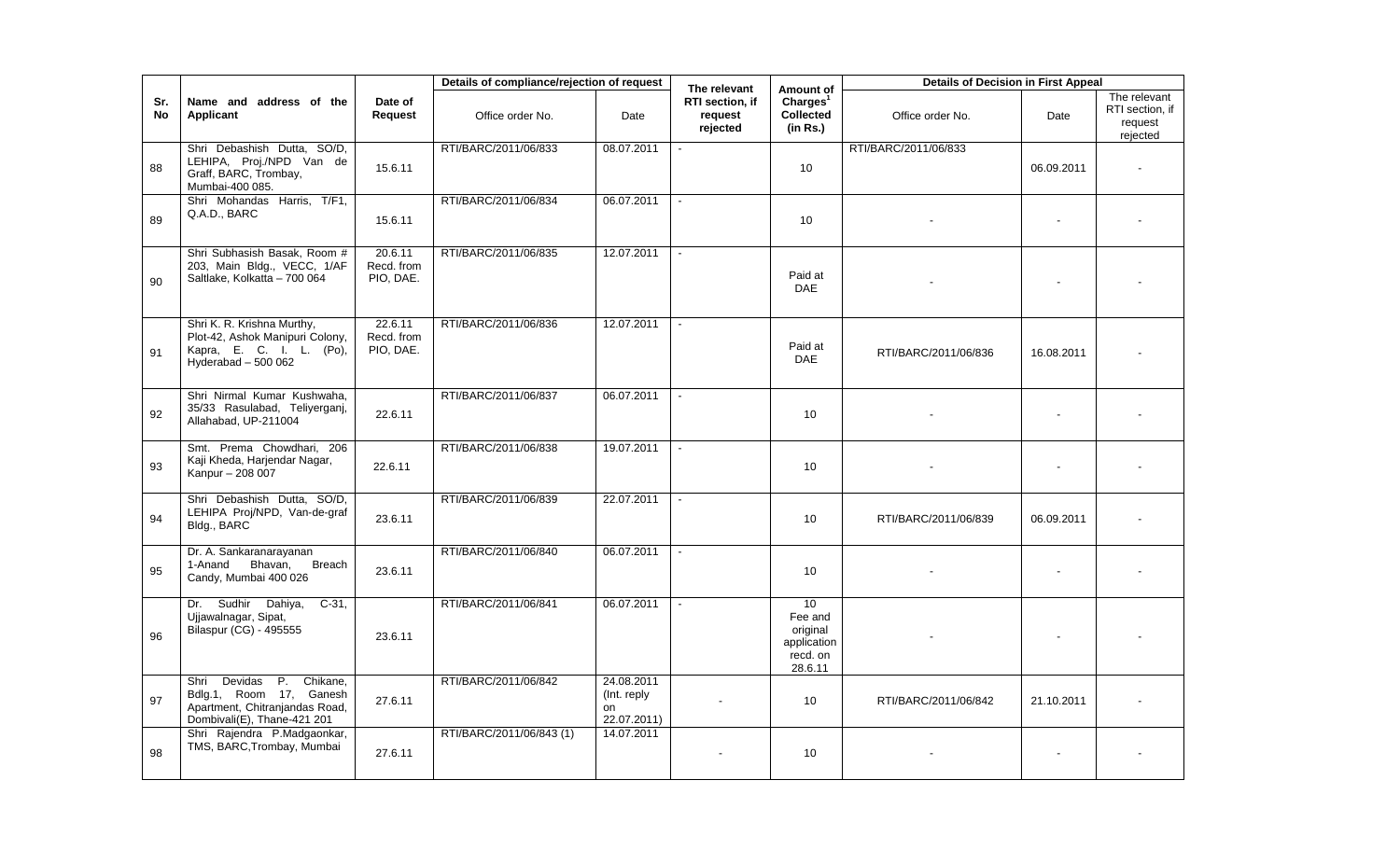|                  |                                                                                                                            |                                    | Details of compliance/rejection of request |                                                 | The relevant                           | Amount of                                                                    | <b>Details of Decision in First Appeal</b> |            |                                                        |
|------------------|----------------------------------------------------------------------------------------------------------------------------|------------------------------------|--------------------------------------------|-------------------------------------------------|----------------------------------------|------------------------------------------------------------------------------|--------------------------------------------|------------|--------------------------------------------------------|
| Sr.<br><b>No</b> | Name and address of the<br><b>Applicant</b>                                                                                | Date of<br>Request                 | Office order No.                           | Date                                            | RTI section, if<br>request<br>rejected | Charles <sup>1</sup><br>Collected<br>(in Rs.)                                | Office order No.                           | Date       | The relevant<br>RTI section, if<br>request<br>rejected |
| 88               | Shri Debashish Dutta, SO/D,<br>LEHIPA, Proj./NPD Van de<br>Graff, BARC, Trombay,<br>Mumbai-400 085.                        | 15.6.11                            | RTI/BARC/2011/06/833                       | 08.07.2011                                      |                                        | 10                                                                           | RTI/BARC/2011/06/833                       | 06.09.2011 |                                                        |
| 89               | Shri Mohandas Harris, T/F1,<br>Q.A.D., BARC                                                                                | 15.6.11                            | RTI/BARC/2011/06/834                       | 06.07.2011                                      |                                        | 10                                                                           |                                            |            |                                                        |
| 90               | Shri Subhasish Basak, Room #<br>203, Main Bldg., VECC, 1/AF<br>Saltlake, Kolkatta - 700 064                                | 20.6.11<br>Recd. from<br>PIO, DAE. | RTI/BARC/2011/06/835                       | 12.07.2011                                      |                                        | Paid at<br><b>DAE</b>                                                        |                                            |            |                                                        |
| 91               | Shri K. R. Krishna Murthy,<br>Plot-42, Ashok Manipuri Colony,<br>Kapra, E. C. I. L. (Po),<br>Hyderabad - 500 062           | 22.6.11<br>Recd. from<br>PIO, DAE. | RTI/BARC/2011/06/836                       | 12.07.2011                                      |                                        | Paid at<br><b>DAE</b>                                                        | RTI/BARC/2011/06/836                       | 16.08.2011 |                                                        |
| 92               | Shri Nirmal Kumar Kushwaha,<br>35/33 Rasulabad, Teliyerganj,<br>Allahabad, UP-211004                                       | 22.6.11                            | RTI/BARC/2011/06/837                       | 06.07.2011                                      |                                        | 10                                                                           |                                            |            |                                                        |
| 93               | Smt. Prema Chowdhari, 206<br>Kaji Kheda, Harjendar Nagar,<br>Kanpur - 208 007                                              | 22.6.11                            | RTI/BARC/2011/06/838                       | 19.07.2011                                      |                                        | 10                                                                           |                                            |            |                                                        |
| 94               | Shri Debashish Dutta, SO/D,<br>LEHIPA Proj/NPD, Van-de-graf<br>Bldg., BARC                                                 | 23.6.11                            | RTI/BARC/2011/06/839                       | 22.07.2011                                      |                                        | 10                                                                           | RTI/BARC/2011/06/839                       | 06.09.2011 |                                                        |
| 95               | Dr. A. Sankaranarayanan<br>Bhavan,<br>Breach<br>1-Anand<br>Candy, Mumbai 400 026                                           | 23.6.11                            | RTI/BARC/2011/06/840                       | 06.07.2011                                      |                                        | 10                                                                           |                                            |            |                                                        |
| 96               | Dr. Sudhir Dahiya,<br>$C-31$ ,<br>Ujjawalnagar, Sipat,<br>Bilaspur (CG) - 495555                                           | 23.6.11                            | RTI/BARC/2011/06/841                       | 06.07.2011                                      |                                        | 10 <sup>1</sup><br>Fee and<br>original<br>application<br>recd. on<br>28.6.11 |                                            |            |                                                        |
| 97               | Devidas<br>P. Chikane,<br>Shri<br>Bdlg.1, Room 17, Ganesh<br>Apartment, Chitranjandas Road,<br>Dombivali(E), Thane-421 201 | 27.6.11                            | RTI/BARC/2011/06/842                       | 24.08.2011<br>(Int. reply)<br>on<br>22.07.2011) |                                        | 10                                                                           | RTI/BARC/2011/06/842                       | 21.10.2011 |                                                        |
| 98               | Shri Rajendra P.Madgaonkar,<br>TMS, BARC, Trombay, Mumbai                                                                  | 27.6.11                            | RTI/BARC/2011/06/843 (1)                   | 14.07.2011                                      |                                        | 10                                                                           |                                            |            |                                                        |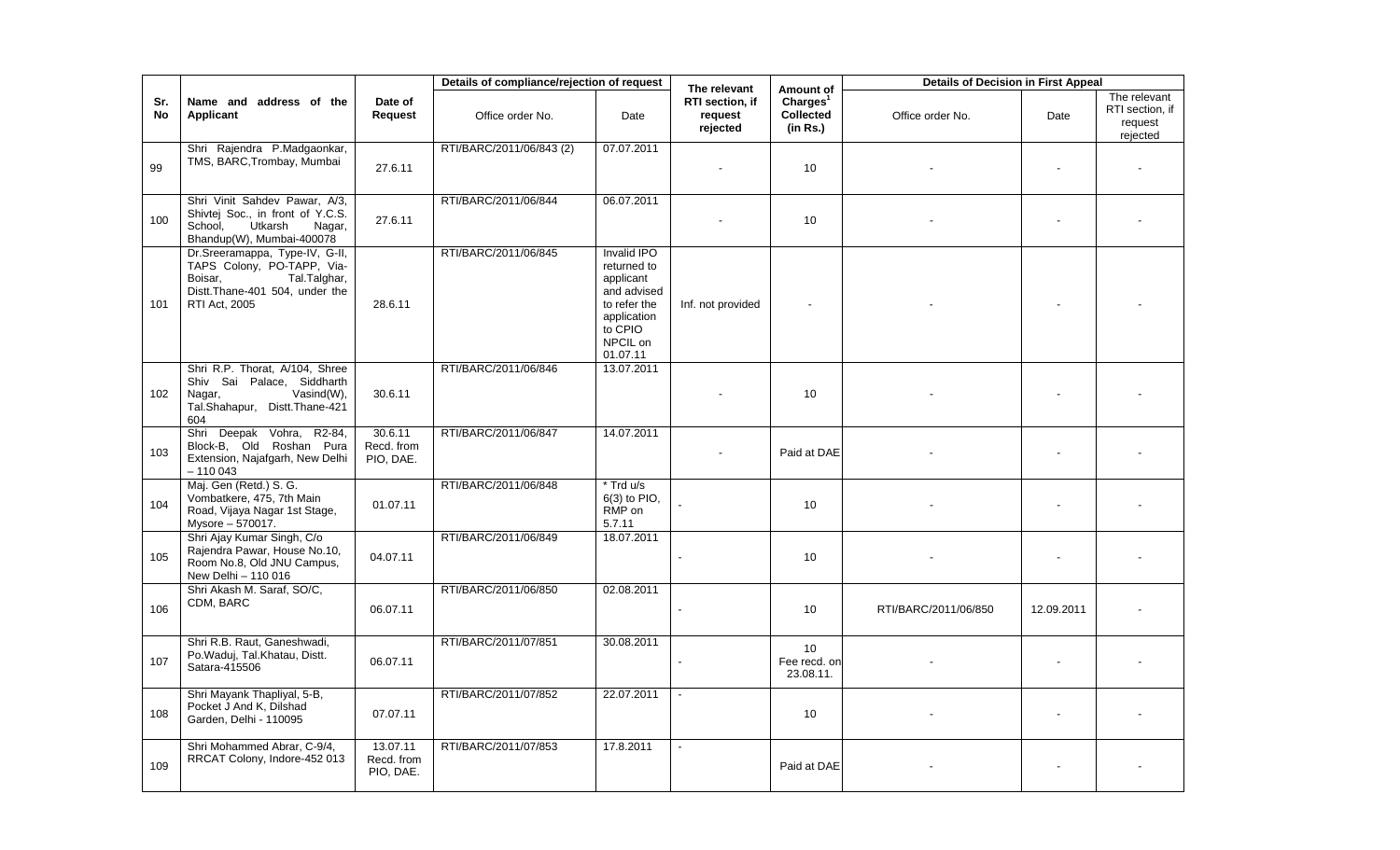|                  |                                                                                                                                            |                                     | Details of compliance/rejection of request |                                                                                                                          | The relevant                           | Amount of                                     | <b>Details of Decision in First Appeal</b> |            |                                                        |
|------------------|--------------------------------------------------------------------------------------------------------------------------------------------|-------------------------------------|--------------------------------------------|--------------------------------------------------------------------------------------------------------------------------|----------------------------------------|-----------------------------------------------|--------------------------------------------|------------|--------------------------------------------------------|
| Sr.<br><b>No</b> | Name and address of the<br>Applicant                                                                                                       | Date of<br>Request                  | Office order No.                           | Date                                                                                                                     | RTI section, if<br>request<br>rejected | Charles <sup>1</sup><br>Collected<br>(in Rs.) | Office order No.                           | Date       | The relevant<br>RTI section, if<br>request<br>rejected |
| 99               | Shri Rajendra P.Madgaonkar,<br>TMS, BARC, Trombay, Mumbai                                                                                  | 27.6.11                             | RTI/BARC/2011/06/843 (2)                   | 07.07.2011                                                                                                               |                                        | 10                                            |                                            |            |                                                        |
| 100              | Shri Vinit Sahdev Pawar, A/3,<br>Shivtej Soc., in front of Y.C.S.<br>Utkarsh<br>School,<br>Nagar,<br>Bhandup(W), Mumbai-400078             | 27.6.11                             | RTI/BARC/2011/06/844                       | 06.07.2011                                                                                                               |                                        | 10 <sup>10</sup>                              |                                            |            |                                                        |
| 101              | Dr.Sreeramappa, Type-IV, G-II,<br>TAPS Colony, PO-TAPP, Via-<br>Tal.Talghar,<br>Boisar.<br>Distt.Thane-401 504, under the<br>RTI Act, 2005 | 28.6.11                             | RTI/BARC/2011/06/845                       | Invalid IPO<br>returned to<br>applicant<br>and advised<br>to refer the<br>application<br>to CPIO<br>NPCIL on<br>01.07.11 | Inf. not provided                      |                                               |                                            |            |                                                        |
| 102              | Shri R.P. Thorat, A/104, Shree<br>Shiv Sai Palace, Siddharth<br>Vasind(W),<br>Nagar,<br>Tal.Shahapur, Distt.Thane-421<br>604               | 30.6.11                             | RTI/BARC/2011/06/846                       | 13.07.2011                                                                                                               |                                        | 10                                            |                                            |            |                                                        |
| 103              | Shri Deepak Vohra, R2-84,<br>Block-B, Old Roshan Pura<br>Extension, Najafgarh, New Delhi<br>$-110043$                                      | 30.6.11<br>Recd. from<br>PIO, DAE.  | RTI/BARC/2011/06/847                       | 14.07.2011                                                                                                               |                                        | Paid at DAE                                   |                                            |            |                                                        |
| 104              | Maj. Gen (Retd.) S. G.<br>Vombatkere, 475, 7th Main<br>Road, Vijaya Nagar 1st Stage,<br>Mysore - 570017.                                   | 01.07.11                            | RTI/BARC/2011/06/848                       | * Trd u/s<br>$6(3)$ to PIO,<br>RMP on<br>5.7.11                                                                          |                                        | 10 <sup>10</sup>                              |                                            |            |                                                        |
| 105              | Shri Ajay Kumar Singh, C/o<br>Rajendra Pawar, House No.10,<br>Room No.8, Old JNU Campus,<br>New Delhi - 110 016                            | 04.07.11                            | RTI/BARC/2011/06/849                       | 18.07.2011                                                                                                               |                                        | 10                                            |                                            |            |                                                        |
| 106              | Shri Akash M. Saraf, SO/C,<br>CDM, BARC                                                                                                    | 06.07.11                            | RTI/BARC/2011/06/850                       | 02.08.2011                                                                                                               |                                        | 10                                            | RTI/BARC/2011/06/850                       | 12.09.2011 |                                                        |
| 107              | Shri R.B. Raut, Ganeshwadi,<br>Po.Waduj, Tal.Khatau, Distt.<br>Satara-415506                                                               | 06.07.11                            | RTI/BARC/2011/07/851                       | 30.08.2011                                                                                                               |                                        | 10<br>Fee recd. on<br>23.08.11.               |                                            |            |                                                        |
| 108              | Shri Mayank Thapliyal, 5-B,<br>Pocket J And K, Dilshad<br>Garden, Delhi - 110095                                                           | 07.07.11                            | RTI/BARC/2011/07/852                       | 22.07.2011                                                                                                               |                                        | 10                                            |                                            |            |                                                        |
| 109              | Shri Mohammed Abrar, C-9/4,<br>RRCAT Colony, Indore-452 013                                                                                | 13.07.11<br>Recd. from<br>PIO, DAE. | RTI/BARC/2011/07/853                       | 17.8.2011                                                                                                                |                                        | Paid at DAE                                   |                                            |            |                                                        |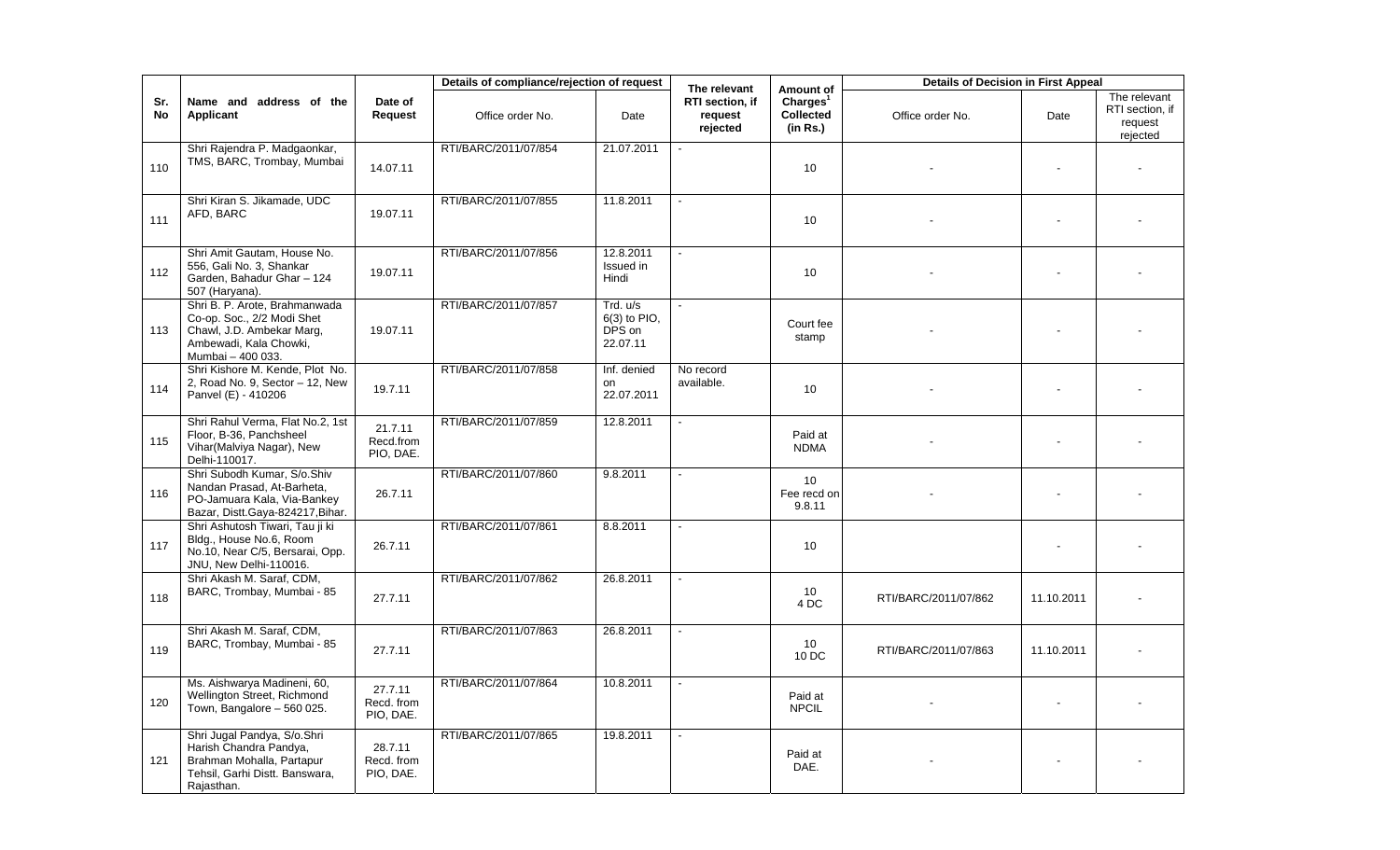|           |                                                                                                                                         |                                    | Details of compliance/rejection of request |                                                  | The relevant                           | Amount of                                     | <b>Details of Decision in First Appeal</b> |            |                                                        |
|-----------|-----------------------------------------------------------------------------------------------------------------------------------------|------------------------------------|--------------------------------------------|--------------------------------------------------|----------------------------------------|-----------------------------------------------|--------------------------------------------|------------|--------------------------------------------------------|
| Sr.<br>No | Name and address of the<br>Applicant                                                                                                    | Date of<br>Request                 | Office order No.                           | Date                                             | RTI section, if<br>request<br>rejected | Charles <sup>1</sup><br>Collected<br>(in Rs.) | Office order No.                           | Date       | The relevant<br>RTI section, if<br>request<br>rejected |
| 110       | Shri Rajendra P. Madgaonkar,<br>TMS, BARC, Trombay, Mumbai                                                                              | 14.07.11                           | RTI/BARC/2011/07/854                       | 21.07.2011                                       |                                        | 10                                            |                                            |            |                                                        |
| 111       | Shri Kiran S. Jikamade, UDC<br>AFD, BARC                                                                                                | 19.07.11                           | RTI/BARC/2011/07/855                       | 11.8.2011                                        |                                        | 10                                            |                                            |            |                                                        |
| 112       | Shri Amit Gautam, House No.<br>556, Gali No. 3, Shankar<br>Garden, Bahadur Ghar - 124<br>507 (Haryana).                                 | 19.07.11                           | RTI/BARC/2011/07/856                       | 12.8.2011<br>Issued in<br>Hindi                  |                                        | 10                                            |                                            |            |                                                        |
| 113       | Shri B. P. Arote, Brahmanwada<br>Co-op. Soc., 2/2 Modi Shet<br>Chawl, J.D. Ambekar Marg,<br>Ambewadi, Kala Chowki,<br>Mumbai - 400 033. | 19.07.11                           | RTI/BARC/2011/07/857                       | Trd. u/s<br>$6(3)$ to PIO.<br>DPS on<br>22.07.11 |                                        | Court fee<br>stamp                            |                                            |            |                                                        |
| 114       | Shri Kishore M. Kende, Plot No.<br>2, Road No. 9, Sector - 12, New<br>Panvel (E) - 410206                                               | 19.7.11                            | RTI/BARC/2011/07/858                       | Inf. denied<br>on<br>22.07.2011                  | No record<br>available.                | 10 <sup>°</sup>                               |                                            |            |                                                        |
| 115       | Shri Rahul Verma, Flat No.2, 1st<br>Floor, B-36, Panchsheel<br>Vihar(Malviya Nagar), New<br>Delhi-110017.                               | 21.7.11<br>Recd.from<br>PIO, DAE.  | RTI/BARC/2011/07/859                       | 12.8.2011                                        | $\blacksquare$                         | Paid at<br><b>NDMA</b>                        |                                            |            |                                                        |
| 116       | Shri Subodh Kumar, S/o.Shiv<br>Nandan Prasad, At-Barheta,<br>PO-Jamuara Kala, Via-Bankey<br>Bazar, Distt.Gaya-824217,Bihar.             | 26.7.11                            | RTI/BARC/2011/07/860                       | 9.8.2011                                         |                                        | 10<br>Fee recd on<br>9.8.11                   |                                            |            |                                                        |
| 117       | Shri Ashutosh Tiwari, Tau ji ki<br>Bldg., House No.6, Room<br>No.10, Near C/5, Bersarai, Opp.<br>JNU, New Delhi-110016.                 | 26.7.11                            | RTI/BARC/2011/07/861                       | 8.8.2011                                         |                                        | 10                                            |                                            |            |                                                        |
| 118       | Shri Akash M. Saraf, CDM,<br>BARC, Trombay, Mumbai - 85                                                                                 | 27.7.11                            | RTI/BARC/2011/07/862                       | 26.8.2011                                        | ÷.                                     | 10<br>4 DC                                    | RTI/BARC/2011/07/862                       | 11.10.2011 |                                                        |
| 119       | Shri Akash M. Saraf, CDM,<br>BARC, Trombay, Mumbai - 85                                                                                 | 27.7.11                            | RTI/BARC/2011/07/863                       | 26.8.2011                                        |                                        | 10<br>10 DC                                   | RTI/BARC/2011/07/863                       | 11.10.2011 |                                                        |
| 120       | Ms. Aishwarya Madineni, 60,<br>Wellington Street, Richmond<br>Town, Bangalore - 560 025.                                                | 27.7.11<br>Recd. from<br>PIO, DAE. | RTI/BARC/2011/07/864                       | 10.8.2011                                        |                                        | Paid at<br><b>NPCIL</b>                       |                                            |            |                                                        |
| 121       | Shri Jugal Pandya, S/o.Shri<br>Harish Chandra Pandya,<br>Brahman Mohalla, Partapur<br>Tehsil, Garhi Distt. Banswara,<br>Rajasthan.      | 28.7.11<br>Recd. from<br>PIO, DAE. | RTI/BARC/2011/07/865                       | 19.8.2011                                        |                                        | Paid at<br>DAE.                               |                                            |            |                                                        |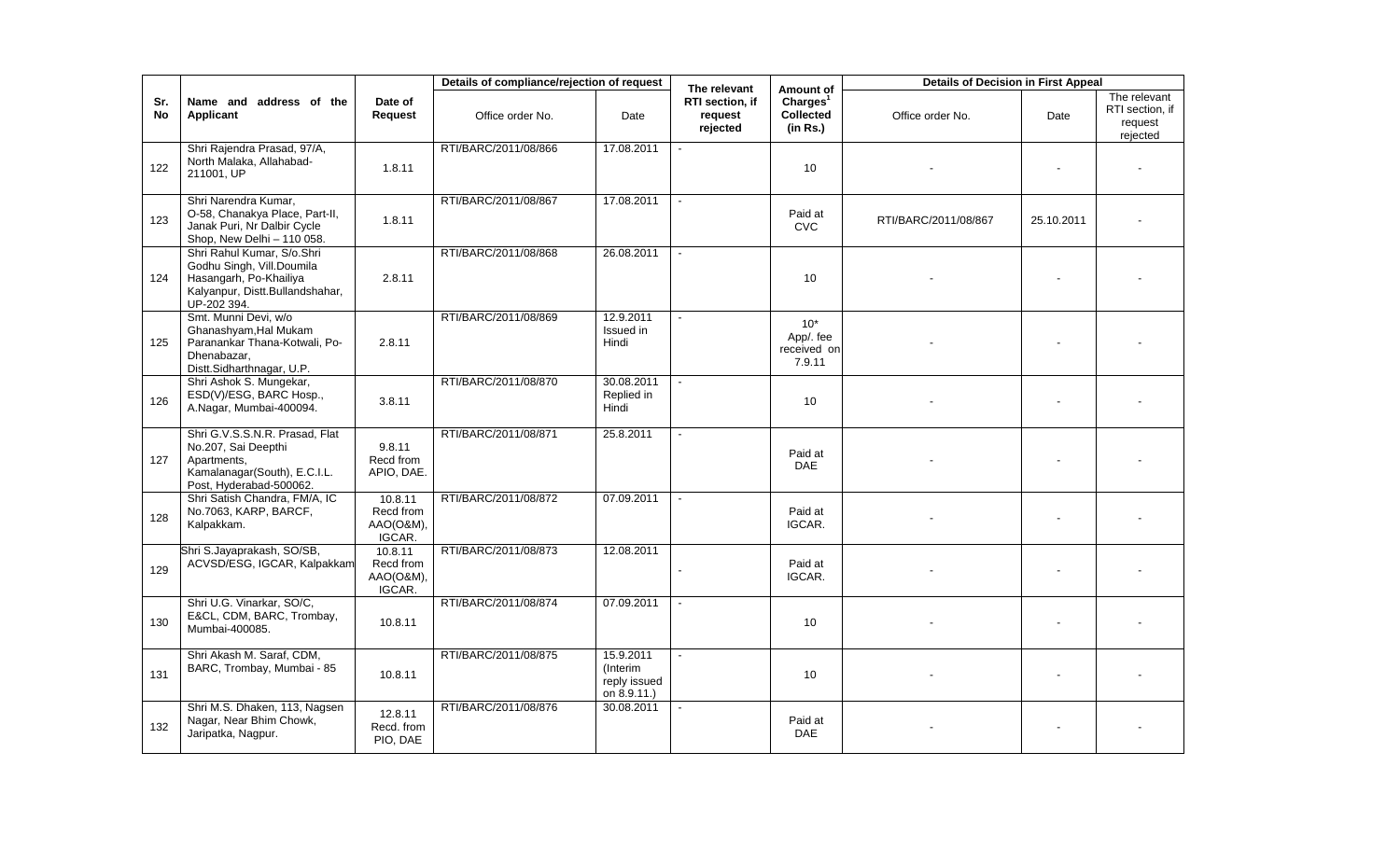|                  |                                                                                                                                     |                                             | Details of compliance/rejection of request |                                                      | The relevant                           | Amount of                                     | <b>Details of Decision in First Appeal</b> |            |                                                        |
|------------------|-------------------------------------------------------------------------------------------------------------------------------------|---------------------------------------------|--------------------------------------------|------------------------------------------------------|----------------------------------------|-----------------------------------------------|--------------------------------------------|------------|--------------------------------------------------------|
| Sr.<br><b>No</b> | Name and address of the<br><b>Applicant</b>                                                                                         | Date of<br>Request                          | Office order No.                           | Date                                                 | RTI section, if<br>request<br>rejected | Charles <sup>1</sup><br>Collected<br>(in Rs.) | Office order No.                           | Date       | The relevant<br>RTI section, if<br>request<br>rejected |
| 122              | Shri Rajendra Prasad, 97/A,<br>North Malaka, Allahabad-<br>211001, UP                                                               | 1.8.11                                      | RTI/BARC/2011/08/866                       | 17.08.2011                                           |                                        | 10                                            |                                            |            |                                                        |
| 123              | Shri Narendra Kumar,<br>O-58, Chanakya Place, Part-II,<br>Janak Puri, Nr Dalbir Cycle<br>Shop, New Delhi - 110 058.                 | 1.8.11                                      | RTI/BARC/2011/08/867                       | 17.08.2011                                           |                                        | Paid at<br><b>CVC</b>                         | RTI/BARC/2011/08/867                       | 25.10.2011 |                                                        |
| 124              | Shri Rahul Kumar, S/o.Shri<br>Godhu Singh, Vill.Doumila<br>Hasangarh, Po-Khailiya<br>Kalyanpur, Distt.Bullandshahar,<br>UP-202 394. | 2.8.11                                      | RTI/BARC/2011/08/868                       | 26.08.2011                                           |                                        | 10                                            |                                            |            |                                                        |
| 125              | Smt. Munni Devi, w/o<br>Ghanashyam, Hal Mukam<br>Paranankar Thana-Kotwali, Po-<br>Dhenabazar,<br>Distt.Sidharthnagar, U.P.          | 2.8.11                                      | RTI/BARC/2011/08/869                       | 12.9.2011<br>Issued in<br>Hindi                      |                                        | $10^*$<br>App/. fee<br>received on<br>7.9.11  |                                            |            |                                                        |
| 126              | Shri Ashok S. Mungekar,<br>ESD(V)/ESG, BARC Hosp.,<br>A.Nagar, Mumbai-400094.                                                       | 3.8.11                                      | RTI/BARC/2011/08/870                       | 30.08.2011<br>Replied in<br>Hindi                    |                                        | 10                                            |                                            |            |                                                        |
| 127              | Shri G.V.S.S.N.R. Prasad, Flat<br>No.207, Sai Deepthi<br>Apartments,<br>Kamalanagar(South), E.C.I.L.<br>Post, Hyderabad-500062.     | 9.8.11<br>Recd from<br>APIO, DAE.           | RTI/BARC/2011/08/871                       | 25.8.2011                                            |                                        | Paid at<br><b>DAE</b>                         |                                            |            |                                                        |
| 128              | Shri Satish Chandra, FM/A, IC<br>No.7063, KARP, BARCF,<br>Kalpakkam.                                                                | 10.8.11<br>Recd from<br>AAO(O&M),<br>IGCAR. | RTI/BARC/2011/08/872                       | 07.09.2011                                           |                                        | Paid at<br>IGCAR.                             |                                            |            |                                                        |
| 129              | Shri S.Jayaprakash, SO/SB,<br>ACVSD/ESG, IGCAR, Kalpakkam                                                                           | 10.8.11<br>Recd from<br>AAO(O&M),<br>IGCAR. | RTI/BARC/2011/08/873                       | 12.08.2011                                           |                                        | Paid at<br>IGCAR.                             |                                            |            |                                                        |
| 130              | Shri U.G. Vinarkar, SO/C,<br>E&CL, CDM, BARC, Trombay,<br>Mumbai-400085.                                                            | 10.8.11                                     | RTI/BARC/2011/08/874                       | 07.09.2011                                           |                                        | 10                                            |                                            |            |                                                        |
| 131              | Shri Akash M. Saraf, CDM,<br>BARC, Trombay, Mumbai - 85                                                                             | 10.8.11                                     | RTI/BARC/2011/08/875                       | 15.9.2011<br>(Interim<br>reply issued<br>on 8.9.11.) |                                        | 10                                            |                                            |            |                                                        |
| 132              | Shri M.S. Dhaken, 113, Nagsen<br>Nagar, Near Bhim Chowk,<br>Jaripatka, Nagpur.                                                      | 12.8.11<br>Recd. from<br>PIO, DAE           | RTI/BARC/2011/08/876                       | 30.08.2011                                           |                                        | Paid at<br><b>DAE</b>                         |                                            |            |                                                        |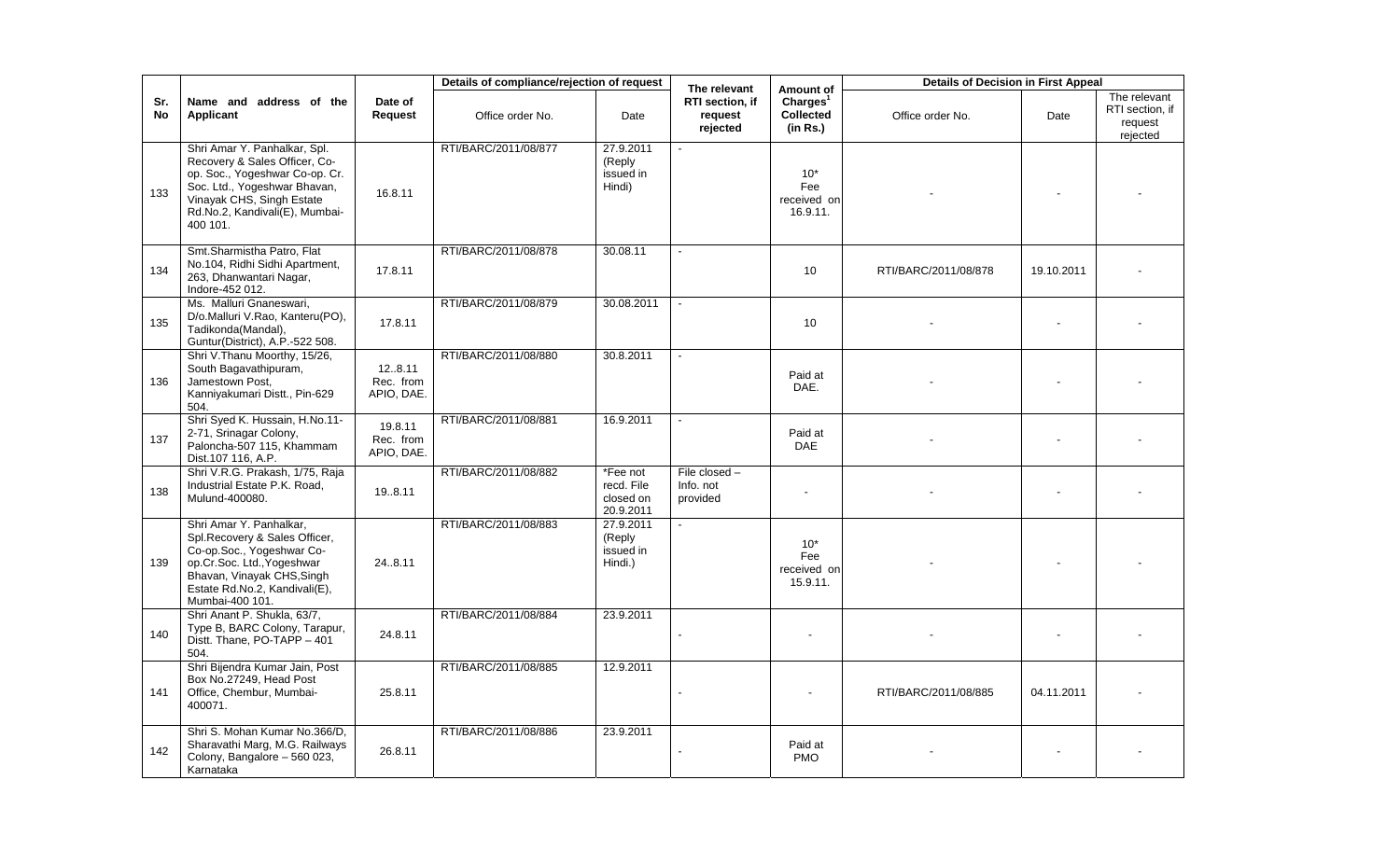|           |                                                                                                                                                                                                            |                                    | Details of compliance/rejection of request |                                                     | The relevant                             | Amount of                                            | <b>Details of Decision in First Appeal</b> |            |                                                        |
|-----------|------------------------------------------------------------------------------------------------------------------------------------------------------------------------------------------------------------|------------------------------------|--------------------------------------------|-----------------------------------------------------|------------------------------------------|------------------------------------------------------|--------------------------------------------|------------|--------------------------------------------------------|
| Sr.<br>No | Name and address of the<br>Applicant                                                                                                                                                                       | Date of<br>Request                 | Office order No.                           | Date                                                | RTI section, if<br>request<br>rejected   | Charles <sup>1</sup><br><b>Collected</b><br>(in Rs.) | Office order No.                           | Date       | The relevant<br>RTI section, if<br>request<br>rejected |
| 133       | Shri Amar Y. Panhalkar, Spl.<br>Recovery & Sales Officer, Co-<br>op. Soc., Yogeshwar Co-op. Cr.<br>Soc. Ltd., Yogeshwar Bhavan,<br>Vinayak CHS, Singh Estate<br>Rd.No.2, Kandivali(E), Mumbai-<br>400 101. | 16.8.11                            | RTI/BARC/2011/08/877                       | 27.9.2011<br>(Reply<br>issued in<br>Hindi)          |                                          | $10*$<br>Fee<br>received on<br>16.9.11.              |                                            |            |                                                        |
| 134       | Smt.Sharmistha Patro, Flat<br>No.104, Ridhi Sidhi Apartment,<br>263, Dhanwantari Nagar,<br>Indore-452 012.                                                                                                 | 17.8.11                            | RTI/BARC/2011/08/878                       | 30.08.11                                            |                                          | 10 <sup>10</sup>                                     | RTI/BARC/2011/08/878                       | 19.10.2011 |                                                        |
| 135       | Ms. Malluri Gnaneswari,<br>D/o.Malluri V.Rao, Kanteru(PO),<br>Tadikonda(Mandal),<br>Guntur(District), A.P.-522 508.                                                                                        | 17.8.11                            | RTI/BARC/2011/08/879                       | 30.08.2011                                          |                                          | 10                                                   |                                            |            |                                                        |
| 136       | Shri V.Thanu Moorthy, 15/26,<br>South Bagavathipuram,<br>Jamestown Post.<br>Kanniyakumari Distt., Pin-629<br>504.                                                                                          | 128.11<br>Rec. from<br>APIO, DAE.  | RTI/BARC/2011/08/880                       | 30.8.2011                                           |                                          | Paid at<br>DAE.                                      |                                            |            |                                                        |
| 137       | Shri Syed K. Hussain, H.No.11-<br>2-71, Srinagar Colony,<br>Paloncha-507 115, Khammam<br>Dist.107 116, A.P.                                                                                                | 19.8.11<br>Rec. from<br>APIO, DAE. | RTI/BARC/2011/08/881                       | 16.9.2011                                           |                                          | Paid at<br><b>DAE</b>                                |                                            |            |                                                        |
| 138       | Shri V.R.G. Prakash, 1/75, Raja<br>Industrial Estate P.K. Road,<br>Mulund-400080.                                                                                                                          | 19.8.11                            | RTI/BARC/2011/08/882                       | $*$ Fee not<br>recd. File<br>closed on<br>20.9.2011 | File closed $-$<br>Info. not<br>provided |                                                      |                                            |            |                                                        |
| 139       | Shri Amar Y. Panhalkar,<br>Spl. Recovery & Sales Officer,<br>Co-op.Soc., Yogeshwar Co-<br>op.Cr.Soc. Ltd., Yogeshwar<br>Bhavan, Vinayak CHS, Singh<br>Estate Rd.No.2, Kandivali(E),<br>Mumbai-400 101.     | 24.8.11                            | RTI/BARC/2011/08/883                       | 27.9.2011<br>(Reply<br>issued in<br>Hindi.)         |                                          | $10*$<br>Fee<br>received on<br>15.9.11.              |                                            |            |                                                        |
| 140       | Shri Anant P. Shukla, 63/7,<br>Type B, BARC Colony, Tarapur,<br>Distt. Thane, PO-TAPP - 401<br>504.                                                                                                        | 24.8.11                            | RTI/BARC/2011/08/884                       | 23.9.2011                                           |                                          | $\sim$                                               |                                            | $\sim$     |                                                        |
| 141       | Shri Bijendra Kumar Jain, Post<br>Box No.27249, Head Post<br>Office, Chembur, Mumbai-<br>400071.                                                                                                           | 25.8.11                            | RTI/BARC/2011/08/885                       | 12.9.2011                                           |                                          |                                                      | RTI/BARC/2011/08/885                       | 04.11.2011 |                                                        |
| 142       | Shri S. Mohan Kumar No.366/D,<br>Sharavathi Marg, M.G. Railways<br>Colony, Bangalore - 560 023,<br>Karnataka                                                                                               | 26.8.11                            | RTI/BARC/2011/08/886                       | 23.9.2011                                           |                                          | Paid at<br><b>PMO</b>                                |                                            |            |                                                        |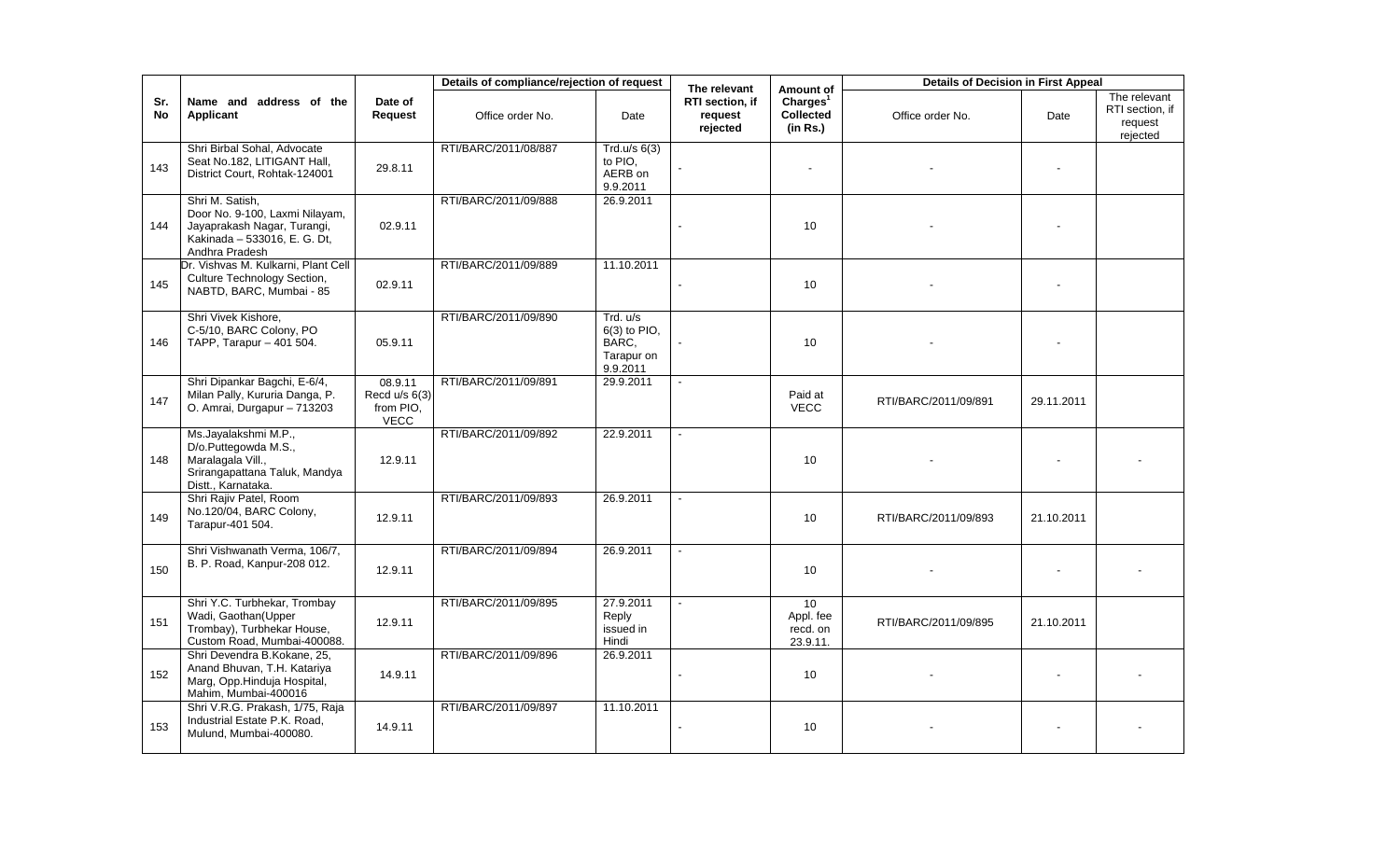|           |                                                                                                                                    |                                                        | Details of compliance/rejection of request |                                                               | The relevant                           | Amount of                                            | <b>Details of Decision in First Appeal</b> |            |                                                        |
|-----------|------------------------------------------------------------------------------------------------------------------------------------|--------------------------------------------------------|--------------------------------------------|---------------------------------------------------------------|----------------------------------------|------------------------------------------------------|--------------------------------------------|------------|--------------------------------------------------------|
| Sr.<br>No | Name and address of the<br><b>Applicant</b>                                                                                        | Date of<br>Request                                     | Office order No.                           | Date                                                          | RTI section, if<br>request<br>rejected | Charles <sup>1</sup><br><b>Collected</b><br>(in Rs.) | Office order No.                           | Date       | The relevant<br>RTI section, if<br>request<br>rejected |
| 143       | Shri Birbal Sohal, Advocate<br>Seat No.182, LITIGANT Hall,<br>District Court, Rohtak-124001                                        | 29.8.11                                                | RTI/BARC/2011/08/887                       | Trd.u/s $6(3)$<br>to PIO.<br>AERB on<br>9.9.2011              |                                        | $\sim$                                               |                                            |            |                                                        |
| 144       | Shri M. Satish,<br>Door No. 9-100, Laxmi Nilayam,<br>Jayaprakash Nagar, Turangi,<br>Kakinada - 533016, E. G. Dt,<br>Andhra Pradesh | 02.9.11                                                | RTI/BARC/2011/09/888                       | 26.9.2011                                                     |                                        | 10                                                   |                                            |            |                                                        |
| 145       | Dr. Vishvas M. Kulkarni, Plant Cell<br>Culture Technology Section,<br>NABTD, BARC, Mumbai - 85                                     | 02.9.11                                                | RTI/BARC/2011/09/889                       | 11.10.2011                                                    |                                        | 10                                                   |                                            |            |                                                        |
| 146       | Shri Vivek Kishore,<br>C-5/10, BARC Colony, PO<br>TAPP, Tarapur - 401 504.                                                         | 05.9.11                                                | RTI/BARC/2011/09/890                       | Trd. u/s<br>$6(3)$ to PIO,<br>BARC.<br>Tarapur on<br>9.9.2011 |                                        | 10                                                   |                                            |            |                                                        |
| 147       | Shri Dipankar Bagchi, E-6/4,<br>Milan Pally, Kururia Danga, P.<br>O. Amrai, Durgapur - 713203                                      | 08.9.11<br>Recd $u/s$ 6(3)<br>from PIO.<br><b>VECC</b> | RTI/BARC/2011/09/891                       | 29.9.2011                                                     |                                        | Paid at<br><b>VECC</b>                               | RTI/BARC/2011/09/891                       | 29.11.2011 |                                                        |
| 148       | Ms.Jayalakshmi M.P.,<br>D/o.Puttegowda M.S.,<br>Maralagala Vill.,<br>Srirangapattana Taluk, Mandya<br>Distt., Karnataka.           | 12.9.11                                                | RTI/BARC/2011/09/892                       | 22.9.2011                                                     |                                        | 10                                                   |                                            |            |                                                        |
| 149       | Shri Rajiv Patel, Room<br>No.120/04, BARC Colony,<br>Tarapur-401 504.                                                              | 12.9.11                                                | RTI/BARC/2011/09/893                       | 26.9.2011                                                     |                                        | 10                                                   | RTI/BARC/2011/09/893                       | 21.10.2011 |                                                        |
| 150       | Shri Vishwanath Verma, 106/7,<br>B. P. Road, Kanpur-208 012.                                                                       | 12.9.11                                                | RTI/BARC/2011/09/894                       | 26.9.2011                                                     |                                        | 10                                                   |                                            |            |                                                        |
| 151       | Shri Y.C. Turbhekar, Trombay<br>Wadi, Gaothan(Upper<br>Trombay), Turbhekar House,<br>Custom Road, Mumbai-400088.                   | 12.9.11                                                | RTI/BARC/2011/09/895                       | 27.9.2011<br>Reply<br>issued in<br>Hindi                      | $\sim$                                 | 10<br>Appl. fee<br>recd. on<br>23.9.11.              | RTI/BARC/2011/09/895                       | 21.10.2011 |                                                        |
| 152       | Shri Devendra B.Kokane, 25,<br>Anand Bhuvan, T.H. Katariya<br>Marg, Opp.Hinduja Hospital,<br>Mahim, Mumbai-400016                  | 14.9.11                                                | RTI/BARC/2011/09/896                       | 26.9.2011                                                     |                                        | 10                                                   |                                            |            |                                                        |
| 153       | Shri V.R.G. Prakash, 1/75, Raja<br>Industrial Estate P.K. Road,<br>Mulund, Mumbai-400080.                                          | 14.9.11                                                | RTI/BARC/2011/09/897                       | 11.10.2011                                                    |                                        | 10                                                   |                                            |            |                                                        |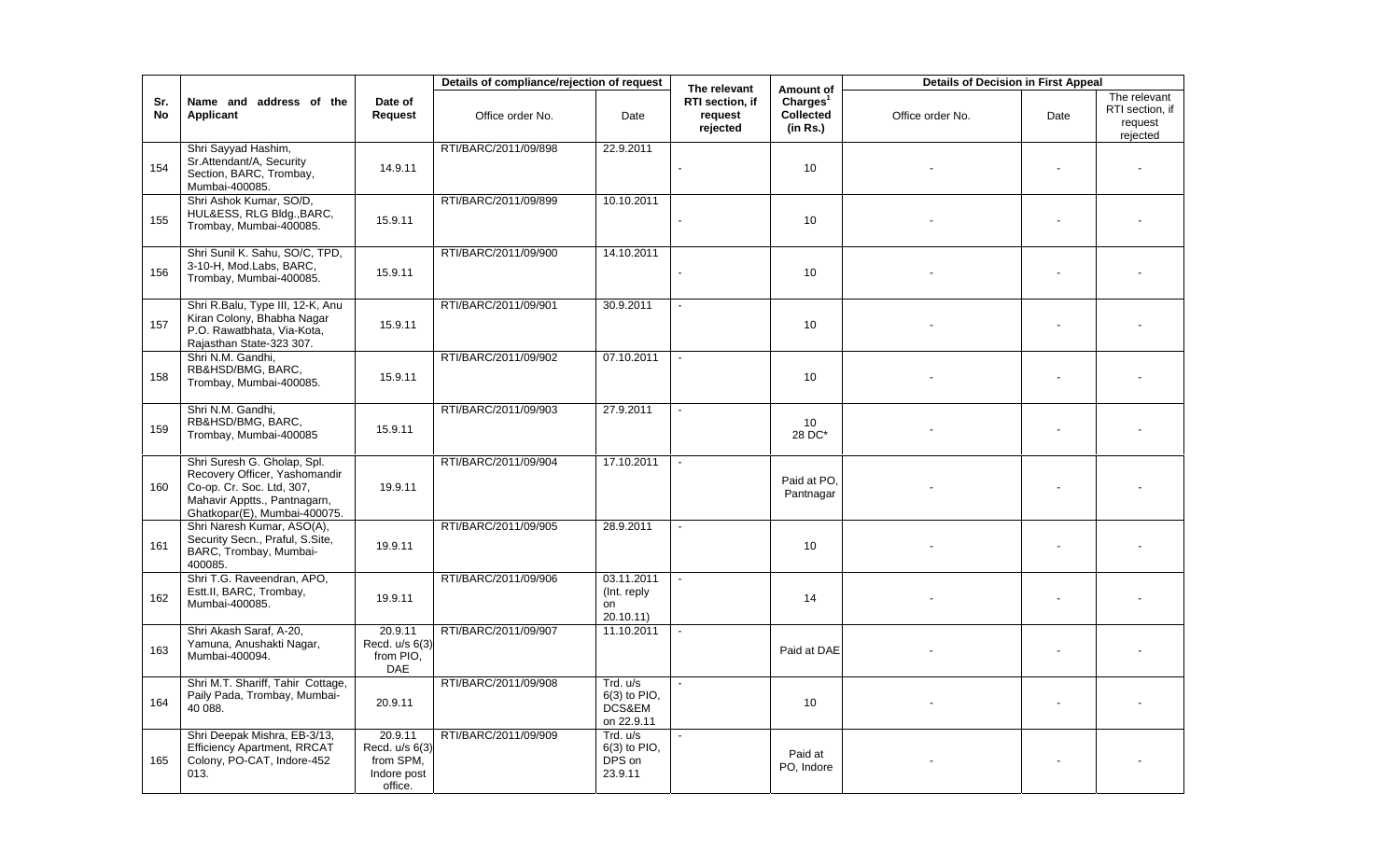|           |                                                                                                                                                           |                                                                  | Details of compliance/rejection of request |                                                    | The relevant                           | Amount of                                     | <b>Details of Decision in First Appeal</b> |      |                                                        |
|-----------|-----------------------------------------------------------------------------------------------------------------------------------------------------------|------------------------------------------------------------------|--------------------------------------------|----------------------------------------------------|----------------------------------------|-----------------------------------------------|--------------------------------------------|------|--------------------------------------------------------|
| Sr.<br>No | Name and address of the<br><b>Applicant</b>                                                                                                               | Date of<br>Request                                               | Office order No.                           | Date                                               | RTI section, if<br>request<br>rejected | Charles <sup>1</sup><br>Collected<br>(in Rs.) | Office order No.                           | Date | The relevant<br>RTI section, if<br>request<br>rejected |
| 154       | Shri Sayyad Hashim,<br>Sr.Attendant/A, Security<br>Section, BARC, Trombay,<br>Mumbai-400085.                                                              | 14.9.11                                                          | RTI/BARC/2011/09/898                       | 22.9.2011                                          |                                        | 10                                            |                                            |      |                                                        |
| 155       | Shri Ashok Kumar, SO/D,<br>HUL&ESS, RLG Bldg., BARC,<br>Trombay, Mumbai-400085.                                                                           | 15.9.11                                                          | RTI/BARC/2011/09/899                       | 10.10.2011                                         |                                        | 10                                            |                                            |      |                                                        |
| 156       | Shri Sunil K. Sahu, SO/C, TPD,<br>3-10-H, Mod.Labs, BARC,<br>Trombay, Mumbai-400085.                                                                      | 15.9.11                                                          | RTI/BARC/2011/09/900                       | 14.10.2011                                         |                                        | 10                                            |                                            |      |                                                        |
| 157       | Shri R.Balu, Type III, 12-K, Anu<br>Kiran Colony, Bhabha Nagar<br>P.O. Rawatbhata, Via-Kota,<br>Rajasthan State-323 307.                                  | 15.9.11                                                          | RTI/BARC/2011/09/901                       | 30.9.2011                                          |                                        | 10                                            |                                            |      |                                                        |
| 158       | Shri N.M. Gandhi,<br>RB&HSD/BMG, BARC,<br>Trombay, Mumbai-400085.                                                                                         | 15.9.11                                                          | RTI/BARC/2011/09/902                       | 07.10.2011                                         |                                        | 10                                            |                                            |      |                                                        |
| 159       | Shri N.M. Gandhi,<br>RB&HSD/BMG, BARC,<br>Trombay, Mumbai-400085                                                                                          | 15.9.11                                                          | RTI/BARC/2011/09/903                       | 27.9.2011                                          |                                        | 10<br>28 DC*                                  |                                            |      |                                                        |
| 160       | Shri Suresh G. Gholap, Spl.<br>Recovery Officer, Yashomandir<br>Co-op. Cr. Soc. Ltd, 307,<br>Mahavir Apptts., Pantnagarn,<br>Ghatkopar(E), Mumbai-400075. | 19.9.11                                                          | RTI/BARC/2011/09/904                       | 17.10.2011                                         |                                        | Paid at PO.<br>Pantnagar                      |                                            |      |                                                        |
| 161       | Shri Naresh Kumar, ASO(A),<br>Security Secn., Praful, S.Site,<br>BARC, Trombay, Mumbai-<br>400085.                                                        | 19.9.11                                                          | RTI/BARC/2011/09/905                       | 28.9.2011                                          |                                        | 10                                            |                                            |      |                                                        |
| 162       | Shri T.G. Raveendran, APO,<br>Estt.II, BARC, Trombay,<br>Mumbai-400085.                                                                                   | 19.9.11                                                          | RTI/BARC/2011/09/906                       | 03.11.2011<br>(Int. reply<br>on<br>20.10.11)       |                                        | 14                                            |                                            |      |                                                        |
| 163       | Shri Akash Saraf, A-20,<br>Yamuna, Anushakti Nagar,<br>Mumbai-400094.                                                                                     | 20.9.11<br>Recd. u/s 6(3)<br>from PIO,<br>DAE                    | RTI/BARC/2011/09/907                       | 11.10.2011                                         |                                        | Paid at DAE                                   |                                            |      |                                                        |
| 164       | Shri M.T. Shariff, Tahir Cottage,<br>Paily Pada, Trombay, Mumbai-<br>40 088.                                                                              | 20.9.11                                                          | RTI/BARC/2011/09/908                       | Trd. u/s<br>$6(3)$ to PIO,<br>DCS&EM<br>on 22.9.11 |                                        | 10                                            |                                            |      |                                                        |
| 165       | Shri Deepak Mishra, EB-3/13,<br><b>Efficiency Apartment, RRCAT</b><br>Colony, PO-CAT, Indore-452<br>013.                                                  | 20.9.11<br>Recd. u/s 6(3)<br>from SPM,<br>Indore post<br>office. | RTI/BARC/2011/09/909                       | Trd. u/s<br>6(3) to PIO,<br>DPS on<br>23.9.11      |                                        | Paid at<br>PO, Indore                         |                                            |      |                                                        |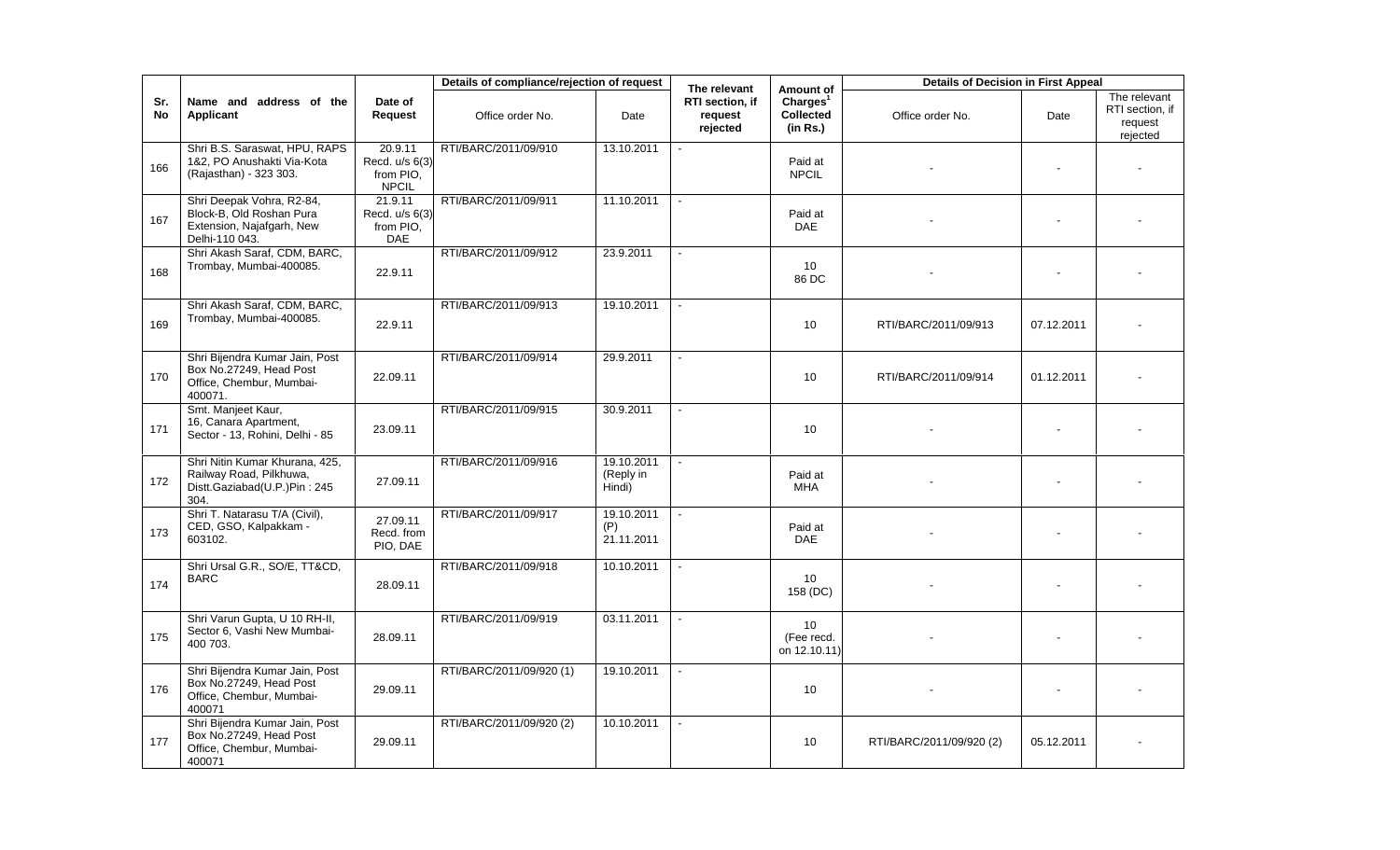|           |                                                                                                      |                                                        | Details of compliance/rejection of request |                                   | The relevant                           | Amount of                                            | <b>Details of Decision in First Appeal</b> |            |                                                        |
|-----------|------------------------------------------------------------------------------------------------------|--------------------------------------------------------|--------------------------------------------|-----------------------------------|----------------------------------------|------------------------------------------------------|--------------------------------------------|------------|--------------------------------------------------------|
| Sr.<br>No | Name and address of the<br>Applicant                                                                 | Date of<br><b>Request</b>                              | Office order No.                           | Date                              | RTI section, if<br>request<br>rejected | Charles <sup>1</sup><br><b>Collected</b><br>(in Rs.) | Office order No.                           | Date       | The relevant<br>RTI section, if<br>request<br>rejected |
| 166       | Shri B.S. Saraswat, HPU, RAPS<br>1&2, PO Anushakti Via-Kota<br>(Rajasthan) - 323 303.                | 20.9.11<br>Recd. u/s 6(3)<br>from PIO.<br><b>NPCIL</b> | RTI/BARC/2011/09/910                       | 13.10.2011                        |                                        | Paid at<br><b>NPCIL</b>                              |                                            |            |                                                        |
| 167       | Shri Deepak Vohra, R2-84,<br>Block-B, Old Roshan Pura<br>Extension, Najafgarh, New<br>Delhi-110 043. | 21.9.11<br>Recd. u/s 6(3)<br>from PIO.<br>DAE          | RTI/BARC/2011/09/911                       | 11.10.2011                        |                                        | Paid at<br><b>DAE</b>                                |                                            |            |                                                        |
| 168       | Shri Akash Saraf, CDM, BARC,<br>Trombay, Mumbai-400085.                                              | 22.9.11                                                | RTI/BARC/2011/09/912                       | 23.9.2011                         |                                        | 10<br>86 DC                                          |                                            |            |                                                        |
| 169       | Shri Akash Saraf, CDM, BARC,<br>Trombay, Mumbai-400085.                                              | 22.9.11                                                | RTI/BARC/2011/09/913                       | 19.10.2011                        |                                        | 10 <sup>°</sup>                                      | RTI/BARC/2011/09/913                       | 07.12.2011 |                                                        |
| 170       | Shri Bijendra Kumar Jain, Post<br>Box No.27249, Head Post<br>Office, Chembur, Mumbai-<br>400071.     | 22.09.11                                               | RTI/BARC/2011/09/914                       | 29.9.2011                         |                                        | 10                                                   | RTI/BARC/2011/09/914                       | 01.12.2011 |                                                        |
| 171       | Smt. Manjeet Kaur,<br>16, Canara Apartment,<br>Sector - 13, Rohini, Delhi - 85                       | 23.09.11                                               | RTI/BARC/2011/09/915                       | 30.9.2011                         |                                        | 10                                                   |                                            |            |                                                        |
| 172       | Shri Nitin Kumar Khurana, 425,<br>Railway Road, Pilkhuwa,<br>Distt.Gaziabad(U.P.)Pin: 245<br>304.    | 27.09.11                                               | RTI/BARC/2011/09/916                       | 19.10.2011<br>(Reply in<br>Hindi) |                                        | Paid at<br><b>MHA</b>                                |                                            |            |                                                        |
| 173       | Shri T. Natarasu T/A (Civil),<br>CED, GSO, Kalpakkam -<br>603102.                                    | 27.09.11<br>Recd. from<br>PIO, DAE                     | RTI/BARC/2011/09/917                       | 19.10.2011<br>(P)<br>21.11.2011   |                                        | Paid at<br><b>DAE</b>                                |                                            |            |                                                        |
| 174       | Shri Ursal G.R., SO/E, TT&CD,<br><b>BARC</b>                                                         | 28.09.11                                               | RTI/BARC/2011/09/918                       | 10.10.2011                        |                                        | 10<br>158 (DC)                                       |                                            |            |                                                        |
| 175       | Shri Varun Gupta, U 10 RH-II,<br>Sector 6, Vashi New Mumbai-<br>400 703.                             | 28.09.11                                               | RTI/BARC/2011/09/919                       | 03.11.2011                        | $\sim$                                 | 10 <sup>°</sup><br>(Fee recd.<br>on 12.10.11)        |                                            |            |                                                        |
| 176       | Shri Bijendra Kumar Jain, Post<br>Box No.27249, Head Post<br>Office, Chembur, Mumbai-<br>400071      | 29.09.11                                               | RTI/BARC/2011/09/920 (1)                   | 19.10.2011                        |                                        | 10 <sup>°</sup>                                      |                                            |            |                                                        |
| 177       | Shri Bijendra Kumar Jain, Post<br>Box No.27249, Head Post<br>Office, Chembur, Mumbai-<br>400071      | 29.09.11                                               | RTI/BARC/2011/09/920 (2)                   | 10.10.2011                        |                                        | 10                                                   | RTI/BARC/2011/09/920 (2)                   | 05.12.2011 |                                                        |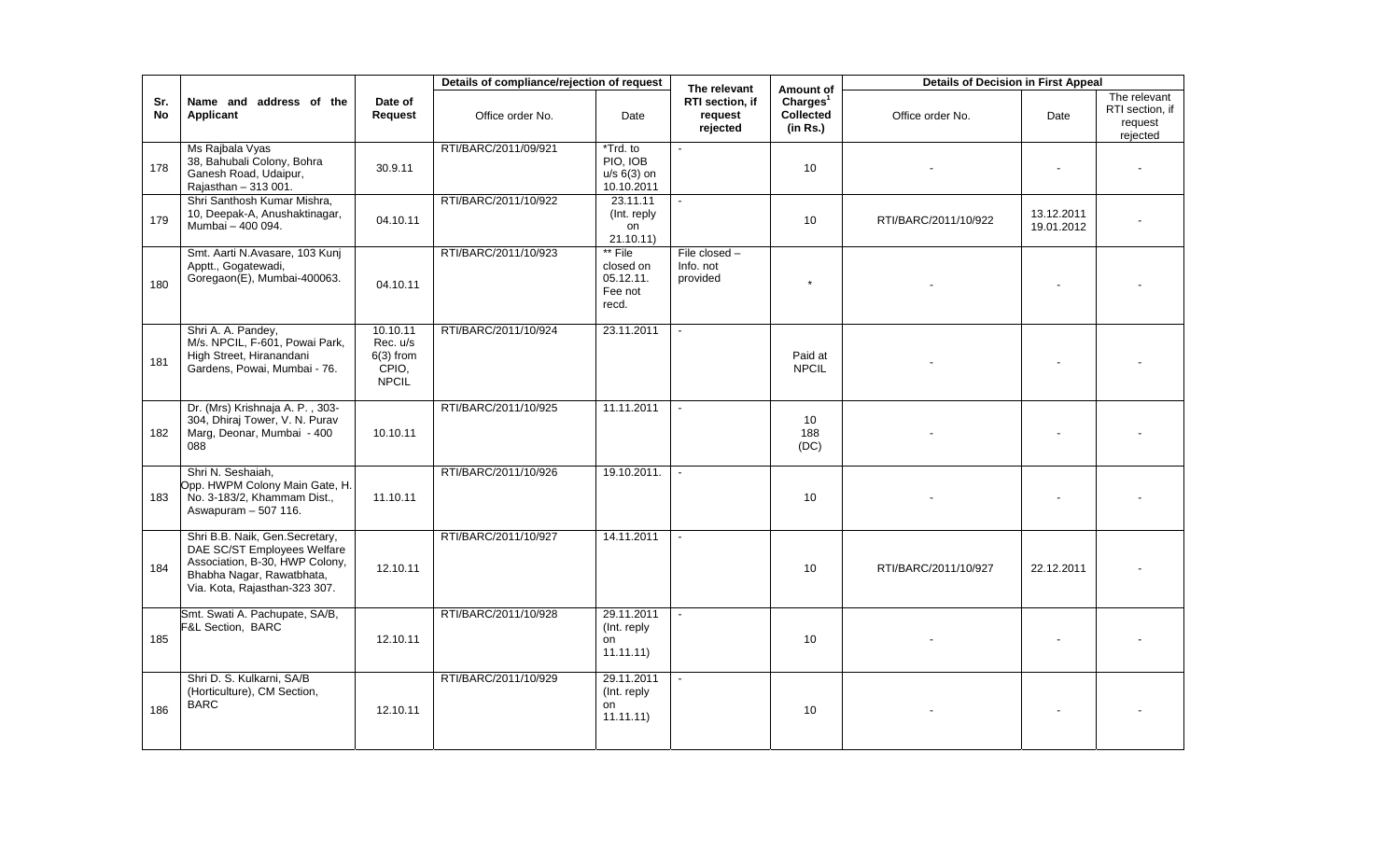|            |                                                                                                                                                               |                                                              | Details of compliance/rejection of request |                                                       | The relevant                             | Amount of                                     | <b>Details of Decision in First Appeal</b> |                          |                                                        |
|------------|---------------------------------------------------------------------------------------------------------------------------------------------------------------|--------------------------------------------------------------|--------------------------------------------|-------------------------------------------------------|------------------------------------------|-----------------------------------------------|--------------------------------------------|--------------------------|--------------------------------------------------------|
| Sr.<br>No. | Name and address of the<br>Applicant                                                                                                                          | Date of<br>Request                                           | Office order No.                           | Date                                                  | RTI section, if<br>request<br>rejected   | Charles <sup>1</sup><br>Collected<br>(in Rs.) | Office order No.                           | Date                     | The relevant<br>RTI section, if<br>request<br>rejected |
| 178        | Ms Rajbala Vyas<br>38, Bahubali Colony, Bohra<br>Ganesh Road, Udaipur,<br>Rajasthan - 313 001.                                                                | 30.9.11                                                      | RTI/BARC/2011/09/921                       | *Trd. to<br>PIO. IOB<br>$u/s$ 6(3) on<br>10.10.2011   |                                          | 10                                            |                                            |                          |                                                        |
| 179        | Shri Santhosh Kumar Mishra,<br>10, Deepak-A, Anushaktinagar,<br>Mumbai - 400 094.                                                                             | 04.10.11                                                     | RTI/BARC/2011/10/922                       | 23.11.11<br>(Int. reply)<br>on<br>21.10.11)           |                                          | 10                                            | RTI/BARC/2011/10/922                       | 13.12.2011<br>19.01.2012 |                                                        |
| 180        | Smt. Aarti N.Avasare, 103 Kunj<br>Apptt., Gogatewadi,<br>Goregaon(E), Mumbai-400063.                                                                          | 04.10.11                                                     | RTI/BARC/2011/10/923                       | ** File<br>closed on<br>05.12.11.<br>Fee not<br>recd. | File closed $-$<br>Info. not<br>provided | $\star$                                       |                                            |                          |                                                        |
| 181        | Shri A. A. Pandey,<br>M/s. NPCIL, F-601, Powai Park,<br>High Street, Hiranandani<br>Gardens, Powai, Mumbai - 76.                                              | 10.10.11<br>Rec. u/s<br>$6(3)$ from<br>CPIO,<br><b>NPCIL</b> | RTI/BARC/2011/10/924                       | 23.11.2011                                            | $\mathbf{r}$                             | Paid at<br><b>NPCIL</b>                       |                                            |                          |                                                        |
| 182        | Dr. (Mrs) Krishnaja A. P., 303-<br>304, Dhiraj Tower, V. N. Purav<br>Marg, Deonar, Mumbai - 400<br>088                                                        | 10.10.11                                                     | RTI/BARC/2011/10/925                       | 11.11.2011                                            |                                          | 10<br>188<br>(DC)                             |                                            |                          |                                                        |
| 183        | Shri N. Seshaiah,<br>Opp. HWPM Colony Main Gate, H.<br>No. 3-183/2, Khammam Dist.,<br>Aswapuram - 507 116.                                                    | 11.10.11                                                     | RTI/BARC/2011/10/926                       | 19.10.2011.                                           |                                          | 10 <sup>1</sup>                               |                                            |                          |                                                        |
| 184        | Shri B.B. Naik, Gen.Secretary,<br>DAE SC/ST Employees Welfare<br>Association, B-30, HWP Colony,<br>Bhabha Nagar, Rawatbhata,<br>Via. Kota, Rajasthan-323 307. | 12.10.11                                                     | RTI/BARC/2011/10/927                       | 14.11.2011                                            |                                          | 10                                            | RTI/BARC/2011/10/927                       | 22.12.2011               |                                                        |
| 185        | Smt. Swati A. Pachupate, SA/B,<br>F&L Section, BARC                                                                                                           | 12.10.11                                                     | RTI/BARC/2011/10/928                       | 29.11.2011<br>(Int. reply<br>on<br>11.11.11)          |                                          | 10                                            |                                            |                          |                                                        |
| 186        | Shri D. S. Kulkarni, SA/B<br>(Horticulture), CM Section,<br><b>BARC</b>                                                                                       | 12.10.11                                                     | RTI/BARC/2011/10/929                       | 29.11.2011<br>(Int. reply<br>on<br>11.11.11           |                                          | 10                                            |                                            |                          |                                                        |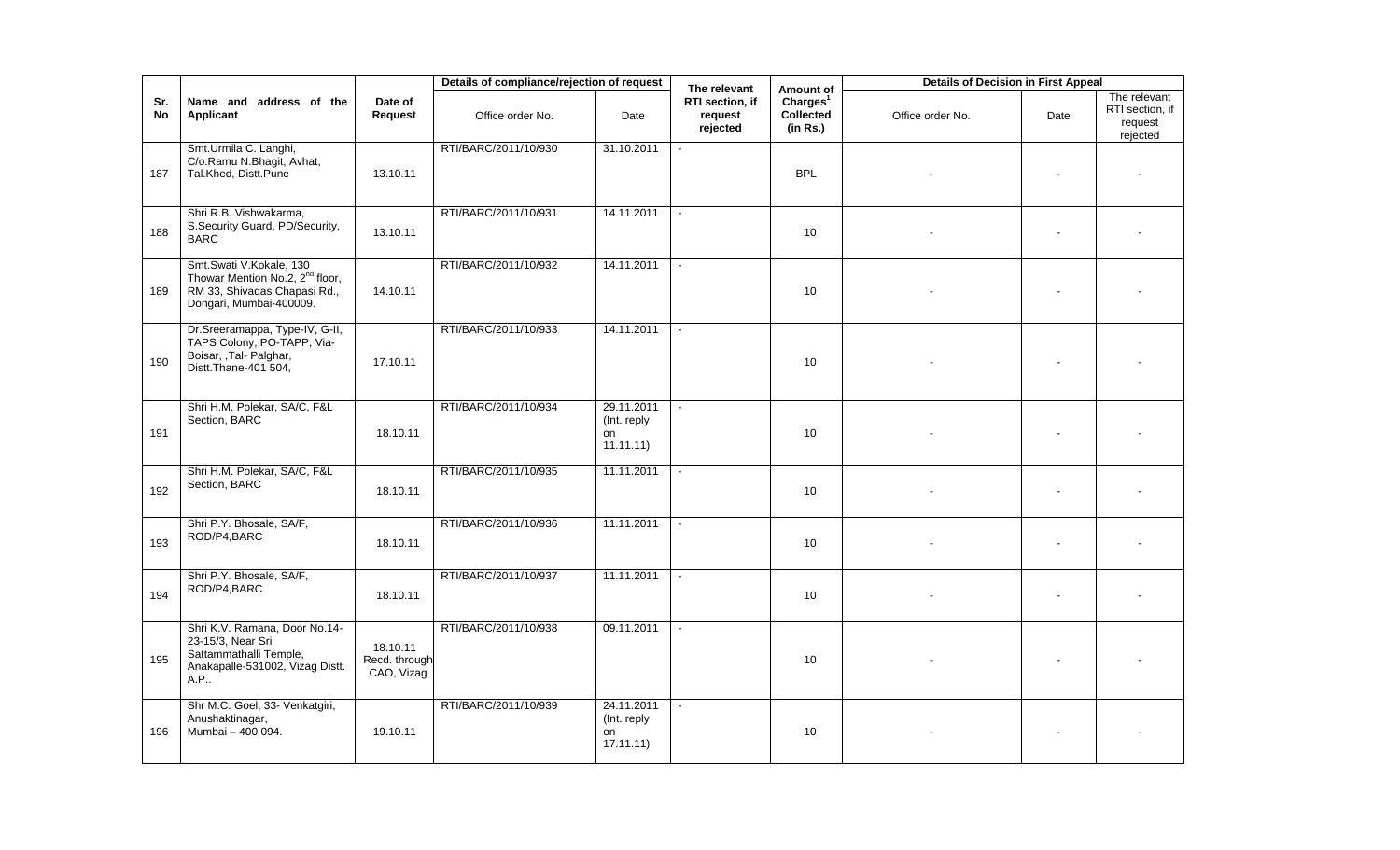|                  |                                                                                                                                   |                                         | Details of compliance/rejection of request |                                              | The relevant                           | Amount of                                     | <b>Details of Decision in First Appeal</b> |                |                                                        |
|------------------|-----------------------------------------------------------------------------------------------------------------------------------|-----------------------------------------|--------------------------------------------|----------------------------------------------|----------------------------------------|-----------------------------------------------|--------------------------------------------|----------------|--------------------------------------------------------|
| Sr.<br><b>No</b> | Name and address of the<br>Applicant                                                                                              | Date of<br>Request                      | Office order No.                           | Date                                         | RTI section, if<br>request<br>rejected | Charles <sup>1</sup><br>Collected<br>(in Rs.) | Office order No.                           | Date           | The relevant<br>RTI section, if<br>request<br>rejected |
| 187              | Smt.Urmila C. Langhi,<br>C/o.Ramu N.Bhagit, Avhat,<br>Tal.Khed, Distt.Pune                                                        | 13.10.11                                | RTI/BARC/2011/10/930                       | 31.10.2011                                   |                                        | <b>BPL</b>                                    |                                            |                |                                                        |
| 188              | Shri R.B. Vishwakarma.<br>S.Security Guard, PD/Security,<br><b>BARC</b>                                                           | 13.10.11                                | RTI/BARC/2011/10/931                       | 14.11.2011                                   | $\sim$                                 | 10                                            |                                            |                |                                                        |
| 189              | Smt.Swati V.Kokale, 130<br>Thowar Mention No.2, 2 <sup>nd</sup> floor,<br>RM 33, Shivadas Chapasi Rd.,<br>Dongari, Mumbai-400009. | 14.10.11                                | RTI/BARC/2011/10/932                       | 14.11.2011                                   |                                        | 10 <sup>1</sup>                               |                                            | $\blacksquare$ |                                                        |
| 190              | Dr.Sreeramappa, Type-IV, G-II,<br>TAPS Colony, PO-TAPP, Via-<br>Boisar, ,Tal-Palghar,<br>Distt. Thane-401 504,                    | 17.10.11                                | RTI/BARC/2011/10/933                       | 14.11.2011                                   |                                        | 10                                            |                                            |                |                                                        |
| 191              | Shri H.M. Polekar, SA/C, F&L<br>Section, BARC                                                                                     | 18.10.11                                | RTI/BARC/2011/10/934                       | 29.11.2011<br>(Int. reply)<br>on<br>11.11.11 |                                        | 10                                            |                                            |                |                                                        |
| 192              | Shri H.M. Polekar, SA/C, F&L<br>Section, BARC                                                                                     | 18.10.11                                | RTI/BARC/2011/10/935                       | 11.11.2011                                   | $\sim$                                 | 10 <sup>1</sup>                               |                                            | $\sim$         |                                                        |
| 193              | Shri P.Y. Bhosale, SA/F,<br>ROD/P4,BARC                                                                                           | 18.10.11                                | RTI/BARC/2011/10/936                       | 11.11.2011                                   |                                        | 10                                            |                                            |                |                                                        |
| 194              | Shri P.Y. Bhosale, SA/F,<br>ROD/P4,BARC                                                                                           | 18.10.11                                | RTI/BARC/2011/10/937                       | 11.11.2011                                   | $\omega$                               | 10                                            |                                            |                |                                                        |
| 195              | Shri K.V. Ramana, Door No.14-<br>23-15/3, Near Sri<br>Sattammathalli Temple,<br>Anakapalle-531002, Vizag Distt.<br>A.P            | 18.10.11<br>Recd. through<br>CAO, Vizag | RTI/BARC/2011/10/938                       | 09.11.2011                                   |                                        | 10                                            |                                            |                |                                                        |
| 196              | Shr M.C. Goel, 33- Venkatgiri,<br>Anushaktinagar,<br>Mumbai - 400 094.                                                            | 19.10.11                                | RTI/BARC/2011/10/939                       | 24.11.2011<br>(Int. reply<br>on<br>17.11.11) |                                        | 10                                            |                                            |                |                                                        |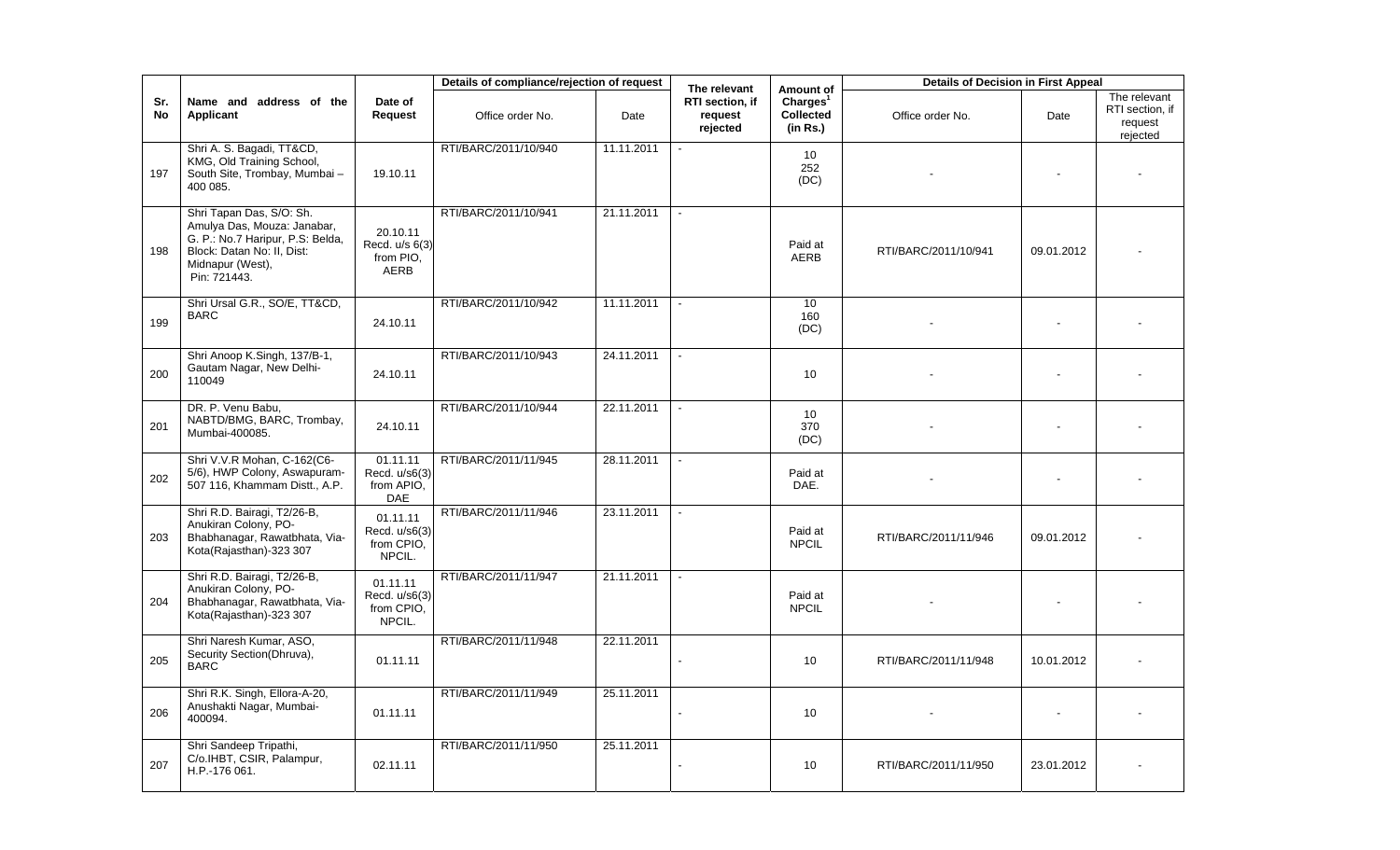|                  |                                                                                                                                                               |                                                   | Details of compliance/rejection of request |            | The relevant                           | Amount of                                     | <b>Details of Decision in First Appeal</b> |            |                                                        |
|------------------|---------------------------------------------------------------------------------------------------------------------------------------------------------------|---------------------------------------------------|--------------------------------------------|------------|----------------------------------------|-----------------------------------------------|--------------------------------------------|------------|--------------------------------------------------------|
| Sr.<br><b>No</b> | Name and address of the<br><b>Applicant</b>                                                                                                                   | Date of<br>Request                                | Office order No.                           | Date       | RTI section, if<br>request<br>rejected | Charles <sup>1</sup><br>Collected<br>(in Rs.) | Office order No.                           | Date       | The relevant<br>RTI section, if<br>request<br>rejected |
| 197              | Shri A. S. Bagadi, TT&CD,<br>KMG, Old Training School,<br>South Site, Trombay, Mumbai -<br>400 085.                                                           | 19.10.11                                          | RTI/BARC/2011/10/940                       | 11.11.2011 |                                        | 10 <sup>°</sup><br>252<br>(DC)                |                                            |            |                                                        |
| 198              | Shri Tapan Das, S/O: Sh.<br>Amulya Das, Mouza: Janabar,<br>G. P.: No.7 Haripur, P.S. Belda,<br>Block: Datan No: II, Dist:<br>Midnapur (West),<br>Pin: 721443. | 20.10.11<br>Recd. u/s 6(3)<br>from PIO,<br>AERB   | RTI/BARC/2011/10/941                       | 21.11.2011 |                                        | Paid at<br><b>AERB</b>                        | RTI/BARC/2011/10/941                       | 09.01.2012 |                                                        |
| 199              | Shri Ursal G.R., SO/E, TT&CD,<br><b>BARC</b>                                                                                                                  | 24.10.11                                          | RTI/BARC/2011/10/942                       | 11.11.2011 |                                        | 10 <sup>10</sup><br>160<br>(DC)               |                                            |            |                                                        |
| 200              | Shri Anoop K.Singh, 137/B-1,<br>Gautam Nagar, New Delhi-<br>110049                                                                                            | 24.10.11                                          | RTI/BARC/2011/10/943                       | 24.11.2011 |                                        | 10                                            |                                            |            |                                                        |
| 201              | DR. P. Venu Babu,<br>NABTD/BMG, BARC, Trombay,<br>Mumbai-400085.                                                                                              | 24.10.11                                          | RTI/BARC/2011/10/944                       | 22.11.2011 |                                        | 10 <sup>°</sup><br>370<br>(DC)                |                                            |            |                                                        |
| 202              | Shri V.V.R Mohan, C-162(C6-<br>5/6), HWP Colony, Aswapuram-<br>507 116, Khammam Distt., A.P.                                                                  | 01.11.11<br>Recd. u/s6(3)<br>from APIO.<br>DAE    | RTI/BARC/2011/11/945                       | 28.11.2011 |                                        | Paid at<br>DAE.                               |                                            |            |                                                        |
| 203              | Shri R.D. Bairagi, T2/26-B,<br>Anukiran Colony, PO-<br>Bhabhanagar, Rawatbhata, Via-<br>Kota(Rajasthan)-323 307                                               | 01.11.11<br>Recd. u/s6(3)<br>from CPIO,<br>NPCIL. | RTI/BARC/2011/11/946                       | 23.11.2011 | $\sim$                                 | Paid at<br><b>NPCIL</b>                       | RTI/BARC/2011/11/946                       | 09.01.2012 |                                                        |
| 204              | Shri R.D. Bairagi, T2/26-B,<br>Anukiran Colony, PO-<br>Bhabhanagar, Rawatbhata, Via-<br>Kota(Rajasthan)-323 307                                               | 01.11.11<br>Recd. u/s6(3)<br>from CPIO,<br>NPCIL. | RTI/BARC/2011/11/947                       | 21.11.2011 |                                        | Paid at<br><b>NPCIL</b>                       |                                            |            |                                                        |
| 205              | Shri Naresh Kumar, ASO,<br>Security Section(Dhruva),<br><b>BARC</b>                                                                                           | 01.11.11                                          | RTI/BARC/2011/11/948                       | 22.11.2011 |                                        | 10 <sup>°</sup>                               | RTI/BARC/2011/11/948                       | 10.01.2012 |                                                        |
| 206              | Shri R.K. Singh, Ellora-A-20,<br>Anushakti Nagar, Mumbai-<br>400094.                                                                                          | 01.11.11                                          | RTI/BARC/2011/11/949                       | 25.11.2011 |                                        | 10 <sup>°</sup>                               |                                            |            |                                                        |
| 207              | Shri Sandeep Tripathi,<br>C/o.IHBT, CSIR, Palampur,<br>H.P.-176 061.                                                                                          | 02.11.11                                          | RTI/BARC/2011/11/950                       | 25.11.2011 |                                        | 10 <sup>°</sup>                               | RTI/BARC/2011/11/950                       | 23.01.2012 |                                                        |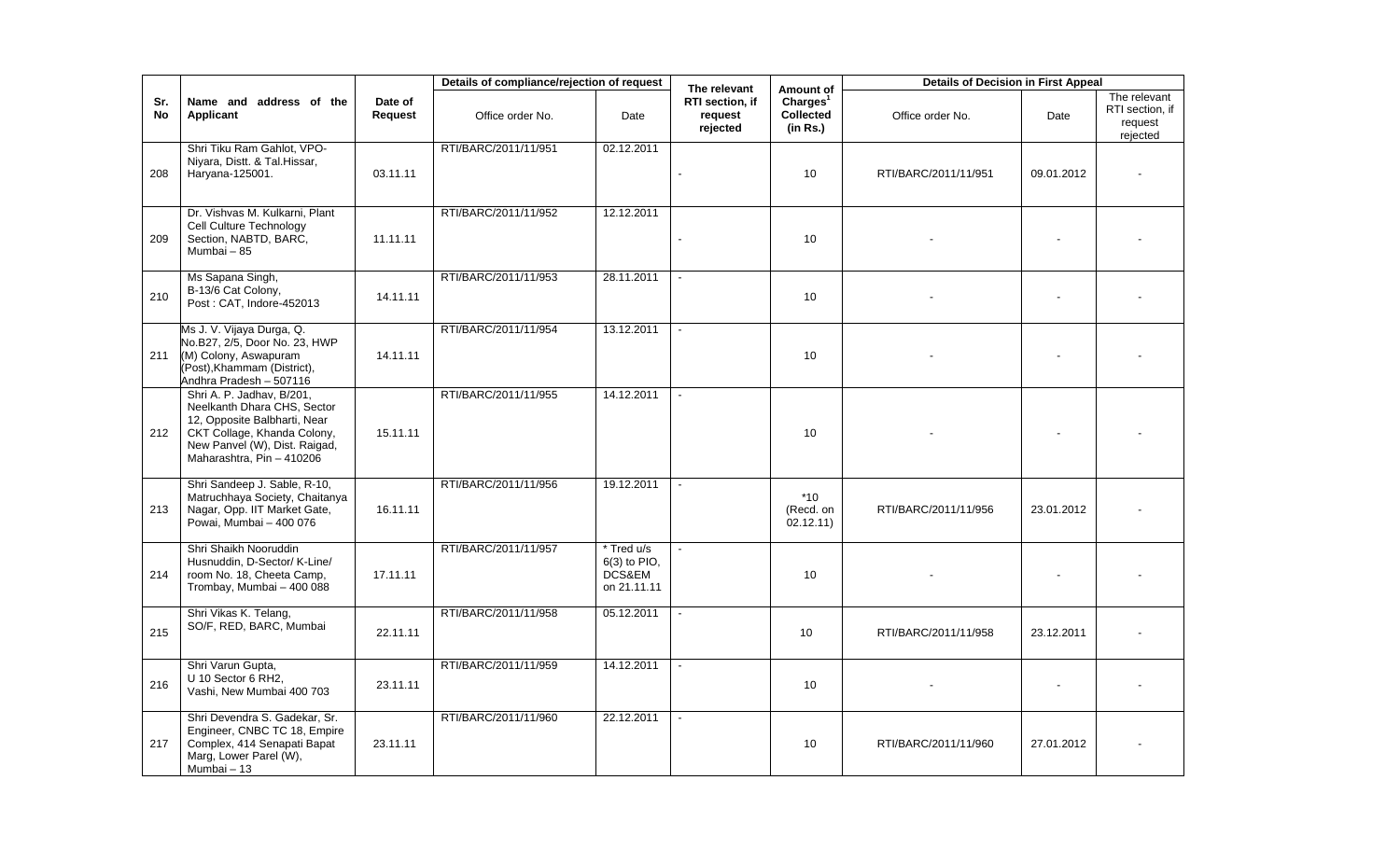|           |                                                                                                                                                                                       |                    | Details of compliance/rejection of request |                                                       | The relevant                           | Amount of                                     | <b>Details of Decision in First Appeal</b> |            |                                                        |
|-----------|---------------------------------------------------------------------------------------------------------------------------------------------------------------------------------------|--------------------|--------------------------------------------|-------------------------------------------------------|----------------------------------------|-----------------------------------------------|--------------------------------------------|------------|--------------------------------------------------------|
| Sr.<br>No | Name and address of the<br>Applicant                                                                                                                                                  | Date of<br>Request | Office order No.                           | Date                                                  | RTI section, if<br>request<br>rejected | Charles <sup>1</sup><br>Collected<br>(in Rs.) | Office order No.                           | Date       | The relevant<br>RTI section, if<br>request<br>rejected |
| 208       | Shri Tiku Ram Gahlot, VPO-<br>Niyara, Distt. & Tal.Hissar,<br>Haryana-125001.                                                                                                         | 03.11.11           | RTI/BARC/2011/11/951                       | 02.12.2011                                            |                                        | 10                                            | RTI/BARC/2011/11/951                       | 09.01.2012 |                                                        |
| 209       | Dr. Vishvas M. Kulkarni, Plant<br>Cell Culture Technology<br>Section, NABTD, BARC,<br>Mumbai - 85                                                                                     | 11.11.11           | RTI/BARC/2011/11/952                       | 12.12.2011                                            |                                        | 10                                            |                                            |            |                                                        |
| 210       | Ms Sapana Singh,<br>B-13/6 Cat Colony,<br>Post: CAT, Indore-452013                                                                                                                    | 14.11.11           | RTI/BARC/2011/11/953                       | 28.11.2011                                            | $\sim$                                 | 10                                            |                                            |            |                                                        |
| 211       | Ms J. V. Vijaya Durga, Q.<br>No.B27, 2/5, Door No. 23, HWP<br>(M) Colony, Aswapuram<br>(Post), Khammam (District),<br>Andhra Pradesh - 507116                                         | 14.11.11           | RTI/BARC/2011/11/954                       | 13.12.2011                                            |                                        | 10                                            |                                            |            |                                                        |
| 212       | Shri A. P. Jadhav, B/201,<br>Neelkanth Dhara CHS, Sector<br>12, Opposite Balbharti, Near<br>CKT Collage, Khanda Colony,<br>New Panvel (W), Dist. Raigad,<br>Maharashtra, Pin - 410206 | 15.11.11           | RTI/BARC/2011/11/955                       | 14.12.2011                                            |                                        | 10 <sup>°</sup>                               |                                            |            |                                                        |
| 213       | Shri Sandeep J. Sable, R-10,<br>Matruchhaya Society, Chaitanya<br>Nagar, Opp. IIT Market Gate,<br>Powai, Mumbai - 400 076                                                             | 16.11.11           | RTI/BARC/2011/11/956                       | 19.12.2011                                            | $\sim$                                 | $*10$<br>(Recd. on<br>02.12.11)               | RTI/BARC/2011/11/956                       | 23.01.2012 |                                                        |
| 214       | Shri Shaikh Nooruddin<br>Husnuddin, D-Sector/ K-Line/<br>room No. 18, Cheeta Camp,<br>Trombay, Mumbai - 400 088                                                                       | 17.11.11           | RTI/BARC/2011/11/957                       | * Tred u/s<br>$6(3)$ to PIO,<br>DCS&EM<br>on 21.11.11 |                                        | 10                                            |                                            |            |                                                        |
| 215       | Shri Vikas K. Telang,<br>SO/F, RED, BARC, Mumbai                                                                                                                                      | 22.11.11           | RTI/BARC/2011/11/958                       | 05.12.2011                                            |                                        | 10 <sup>10</sup>                              | RTI/BARC/2011/11/958                       | 23.12.2011 |                                                        |
| 216       | Shri Varun Gupta,<br>U 10 Sector 6 RH2,<br>Vashi, New Mumbai 400 703                                                                                                                  | 23.11.11           | RTI/BARC/2011/11/959                       | 14.12.2011                                            | $\blacksquare$                         | 10                                            |                                            |            |                                                        |
| 217       | Shri Devendra S. Gadekar, Sr.<br>Engineer, CNBC TC 18, Empire<br>Complex, 414 Senapati Bapat<br>Marg, Lower Parel (W),<br>Mumbai - 13                                                 | 23.11.11           | RTI/BARC/2011/11/960                       | 22.12.2011                                            | $\blacksquare$                         | 10 <sup>10</sup>                              | RTI/BARC/2011/11/960                       | 27.01.2012 |                                                        |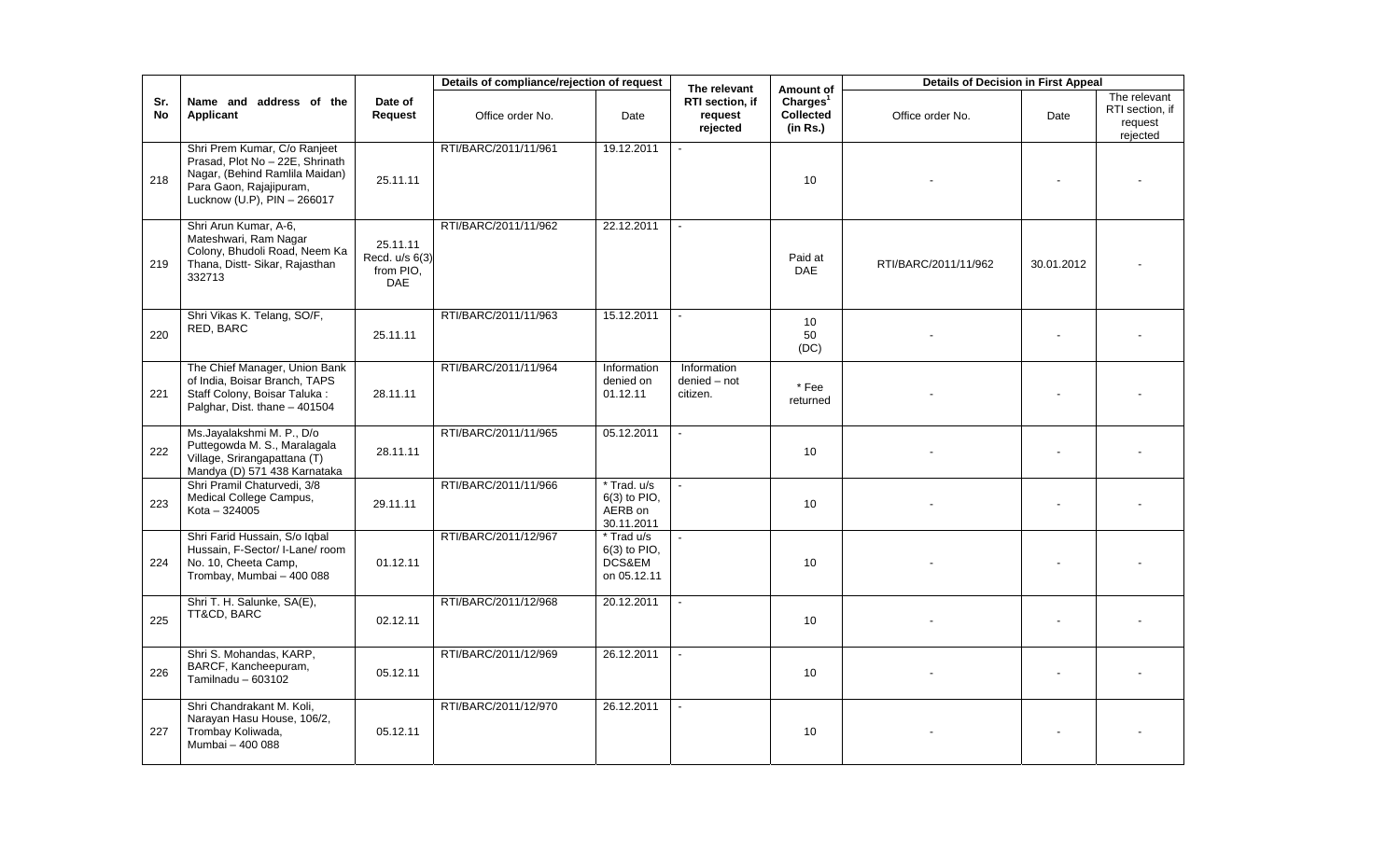|           |                                                                                                                                                             |                                                       | Details of compliance/rejection of request |                                                        | The relevant                            | Amount of                                            | <b>Details of Decision in First Appeal</b> |            |                                                        |
|-----------|-------------------------------------------------------------------------------------------------------------------------------------------------------------|-------------------------------------------------------|--------------------------------------------|--------------------------------------------------------|-----------------------------------------|------------------------------------------------------|--------------------------------------------|------------|--------------------------------------------------------|
| Sr.<br>No | Name and address of the<br>Applicant                                                                                                                        | Date of<br>Request                                    | Office order No.                           | Date                                                   | RTI section. if<br>request<br>rejected  | Charles <sup>1</sup><br><b>Collected</b><br>(in Rs.) | Office order No.                           | Date       | The relevant<br>RTI section, if<br>request<br>rejected |
| 218       | Shri Prem Kumar, C/o Ranjeet<br>Prasad, Plot No - 22E, Shrinath<br>Nagar, (Behind Ramlila Maidan)<br>Para Gaon, Rajajipuram,<br>Lucknow (U.P), PIN - 266017 | 25.11.11                                              | RTI/BARC/2011/11/961                       | 19.12.2011                                             |                                         | 10 <sup>1</sup>                                      |                                            |            |                                                        |
| 219       | Shri Arun Kumar, A-6,<br>Mateshwari, Ram Nagar<br>Colony, Bhudoli Road, Neem Ka<br>Thana, Distt- Sikar, Rajasthan<br>332713                                 | 25.11.11<br>Recd. u/s 6(3)<br>from PIO.<br><b>DAE</b> | RTI/BARC/2011/11/962                       | 22.12.2011                                             |                                         | Paid at<br><b>DAE</b>                                | RTI/BARC/2011/11/962                       | 30.01.2012 |                                                        |
| 220       | Shri Vikas K. Telang, SO/F,<br>RED, BARC                                                                                                                    | 25.11.11                                              | RTI/BARC/2011/11/963                       | 15.12.2011                                             |                                         | 10 <sup>°</sup><br>50<br>(DC)                        |                                            |            |                                                        |
| 221       | The Chief Manager, Union Bank<br>of India, Boisar Branch, TAPS<br>Staff Colony, Boisar Taluka:<br>Palghar, Dist. thane - 401504                             | 28.11.11                                              | RTI/BARC/2011/11/964                       | Information<br>denied on<br>01.12.11                   | Information<br>denied - not<br>citizen. | * Fee<br>returned                                    |                                            |            |                                                        |
| 222       | Ms.Jayalakshmi M. P., D/o<br>Puttegowda M. S., Maralagala<br>Village, Srirangapattana (T)<br>Mandya (D) 571 438 Karnataka                                   | 28.11.11                                              | RTI/BARC/2011/11/965                       | 05.12.2011                                             |                                         | 10                                                   |                                            |            |                                                        |
| 223       | Shri Pramil Chaturvedi, 3/8<br>Medical College Campus,<br>$Kota - 324005$                                                                                   | 29.11.11                                              | RTI/BARC/2011/11/966                       | * Trad. u/s<br>$6(3)$ to PIO.<br>AERB on<br>30.11.2011 |                                         | 10 <sup>°</sup>                                      |                                            |            |                                                        |
| 224       | Shri Farid Hussain, S/o Iqbal<br>Hussain, F-Sector/ I-Lane/ room<br>No. 10, Cheeta Camp,<br>Trombay, Mumbai - 400 088                                       | 01.12.11                                              | RTI/BARC/2011/12/967                       | * Trad u/s<br>6(3) to PIO,<br>DCS&EM<br>on 05.12.11    |                                         | 10 <sup>1</sup>                                      |                                            |            |                                                        |
| 225       | Shri T. H. Salunke, SA(E),<br>TT&CD, BARC                                                                                                                   | 02.12.11                                              | RTI/BARC/2011/12/968                       | 20.12.2011                                             |                                         | 10 <sup>1</sup>                                      |                                            |            |                                                        |
| 226       | Shri S. Mohandas, KARP,<br>BARCF, Kancheepuram,<br>Tamilnadu $-603102$                                                                                      | 05.12.11                                              | RTI/BARC/2011/12/969                       | 26.12.2011                                             |                                         | 10 <sup>10</sup>                                     |                                            |            |                                                        |
| 227       | Shri Chandrakant M. Koli,<br>Narayan Hasu House, 106/2,<br>Trombay Koliwada,<br>Mumbai - 400 088                                                            | 05.12.11                                              | RTI/BARC/2011/12/970                       | 26.12.2011                                             |                                         | 10                                                   |                                            |            |                                                        |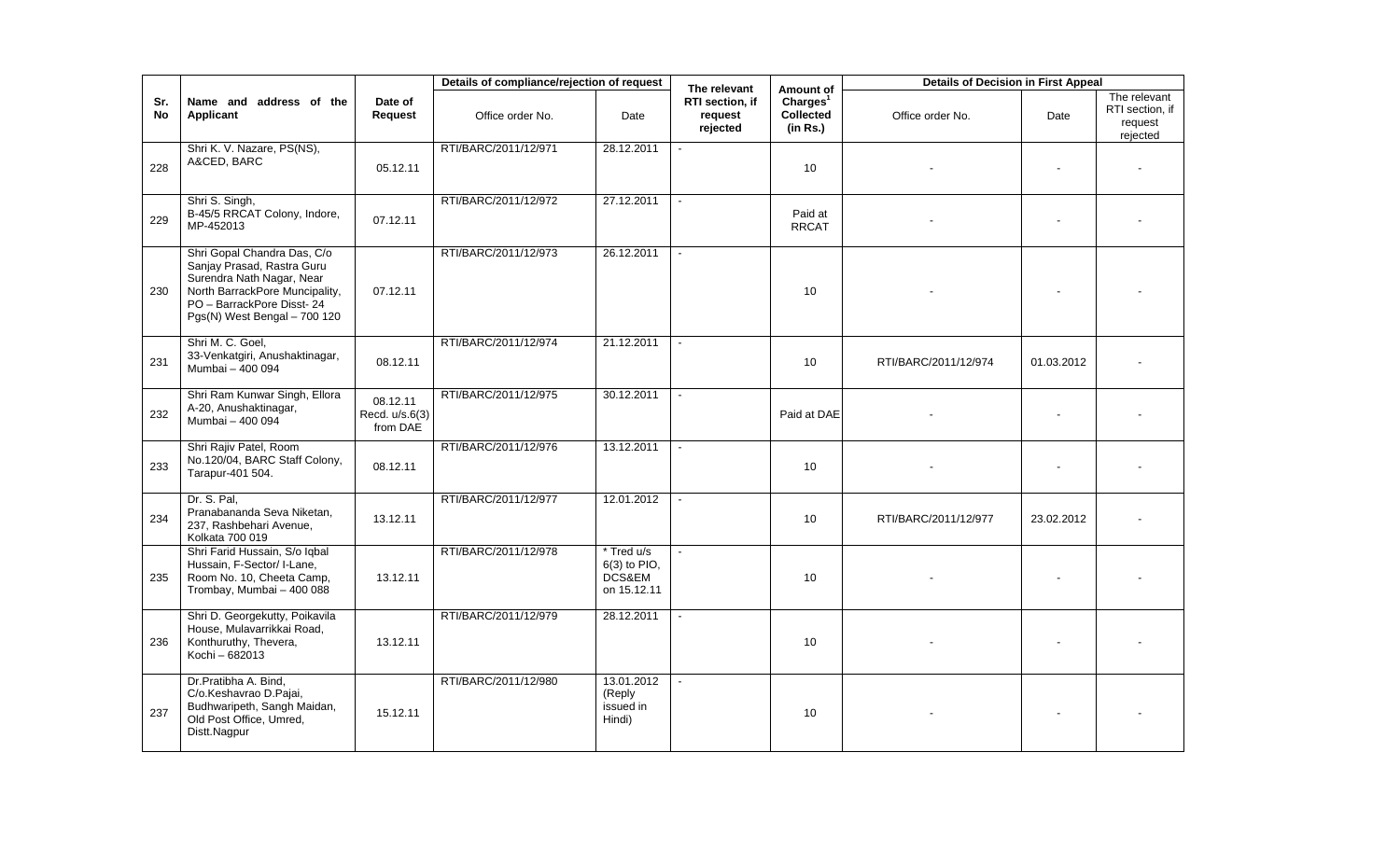|                  |                                                                                                                                                                                       |                                        | Details of compliance/rejection of request |                                                     | The relevant                           | Amount of                                            | <b>Details of Decision in First Appeal</b> |            |                                                        |
|------------------|---------------------------------------------------------------------------------------------------------------------------------------------------------------------------------------|----------------------------------------|--------------------------------------------|-----------------------------------------------------|----------------------------------------|------------------------------------------------------|--------------------------------------------|------------|--------------------------------------------------------|
| Sr.<br><b>No</b> | Name and address of the<br>Applicant                                                                                                                                                  | Date of<br>Request                     | Office order No.                           | Date                                                | RTI section, if<br>request<br>rejected | Charles <sup>1</sup><br><b>Collected</b><br>(in Rs.) | Office order No.                           | Date       | The relevant<br>RTI section, if<br>request<br>rejected |
| 228              | Shri K. V. Nazare, PS(NS),<br>A&CED, BARC                                                                                                                                             | 05.12.11                               | RTI/BARC/2011/12/971                       | 28.12.2011                                          |                                        | 10                                                   |                                            |            |                                                        |
| 229              | Shri S. Singh,<br>B-45/5 RRCAT Colony, Indore,<br>MP-452013                                                                                                                           | 07.12.11                               | RTI/BARC/2011/12/972                       | 27.12.2011                                          |                                        | Paid at<br><b>RRCAT</b>                              |                                            |            |                                                        |
| 230              | Shri Gopal Chandra Das, C/o<br>Sanjay Prasad, Rastra Guru<br>Surendra Nath Nagar, Near<br>North BarrackPore Muncipality,<br>PO - BarrackPore Disst-24<br>Pgs(N) West Bengal - 700 120 | 07.12.11                               | RTI/BARC/2011/12/973                       | 26.12.2011                                          |                                        | 10 <sup>1</sup>                                      |                                            |            |                                                        |
| 231              | Shri M. C. Goel,<br>33-Venkatgiri, Anushaktinagar,<br>Mumbai - 400 094                                                                                                                | 08.12.11                               | RTI/BARC/2011/12/974                       | 21.12.2011                                          |                                        | 10 <sup>1</sup>                                      | RTI/BARC/2011/12/974                       | 01.03.2012 |                                                        |
| 232              | Shri Ram Kunwar Singh, Ellora<br>A-20, Anushaktinagar,<br>Mumbai - 400 094                                                                                                            | 08.12.11<br>Recd. u/s.6(3)<br>from DAE | RTI/BARC/2011/12/975                       | 30.12.2011                                          |                                        | Paid at DAE                                          |                                            | $\sim$     |                                                        |
| 233              | Shri Rajiv Patel, Room<br>No.120/04, BARC Staff Colony,<br>Tarapur-401 504.                                                                                                           | 08.12.11                               | RTI/BARC/2011/12/976                       | 13.12.2011                                          |                                        | 10 <sup>1</sup>                                      |                                            |            |                                                        |
| 234              | Dr. S. Pal.<br>Pranabananda Seva Niketan,<br>237, Rashbehari Avenue,<br>Kolkata 700 019                                                                                               | 13.12.11                               | RTI/BARC/2011/12/977                       | 12.01.2012                                          |                                        | 10 <sup>1</sup>                                      | RTI/BARC/2011/12/977                       | 23.02.2012 |                                                        |
| 235              | Shri Farid Hussain, S/o Iqbal<br>Hussain, F-Sector/ I-Lane,<br>Room No. 10, Cheeta Camp,<br>Trombay, Mumbai - 400 088                                                                 | 13.12.11                               | RTI/BARC/2011/12/978                       | * Tred u/s<br>6(3) to PIO,<br>DCS&EM<br>on 15.12.11 |                                        | 10                                                   |                                            | $\sim$     |                                                        |
| 236              | Shri D. Georgekutty, Poikavila<br>House, Mulavarrikkai Road,<br>Konthuruthy, Thevera,<br>Kochi - 682013                                                                               | 13.12.11                               | RTI/BARC/2011/12/979                       | 28.12.2011                                          |                                        | 10 <sup>1</sup>                                      |                                            |            |                                                        |
| 237              | Dr.Pratibha A. Bind,<br>C/o.Keshavrao D.Pajai,<br>Budhwaripeth, Sangh Maidan,<br>Old Post Office, Umred,<br>Distt.Nagpur                                                              | 15.12.11                               | RTI/BARC/2011/12/980                       | 13.01.2012<br>(Reply<br>issued in<br>Hindi)         |                                        | 10                                                   |                                            |            |                                                        |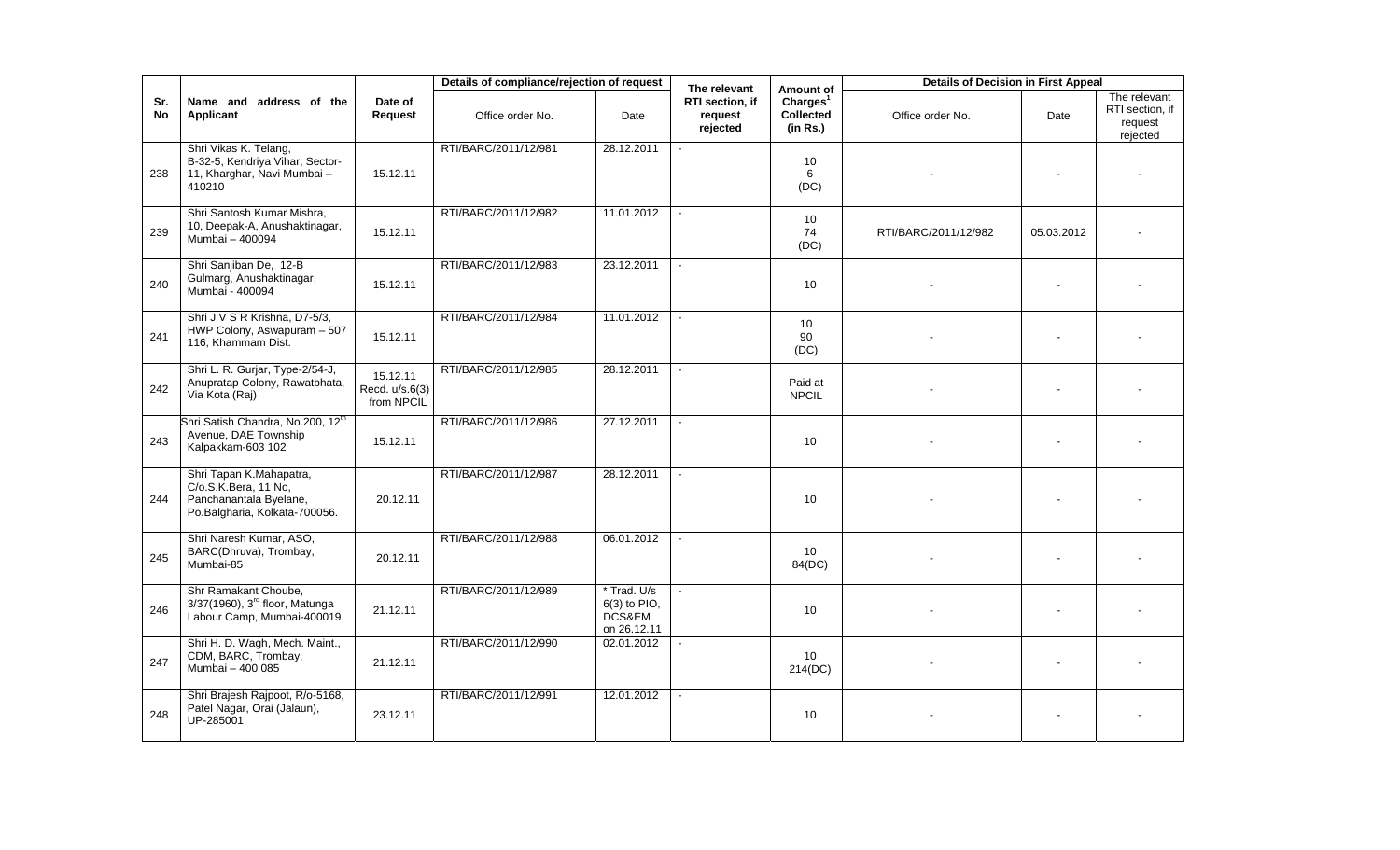|           |                                                                                                            |                                          | Details of compliance/rejection of request |                                                        | The relevant                           | Amount of                                            | <b>Details of Decision in First Appeal</b> |            |                                                        |
|-----------|------------------------------------------------------------------------------------------------------------|------------------------------------------|--------------------------------------------|--------------------------------------------------------|----------------------------------------|------------------------------------------------------|--------------------------------------------|------------|--------------------------------------------------------|
| Sr.<br>No | Name and address of the<br>Applicant                                                                       | Date of<br>Request                       | Office order No.                           | Date                                                   | RTI section, if<br>request<br>rejected | Charles <sup>1</sup><br><b>Collected</b><br>(in Rs.) | Office order No.                           | Date       | The relevant<br>RTI section, if<br>request<br>rejected |
| 238       | Shri Vikas K. Telang,<br>B-32-5, Kendriya Vihar, Sector-<br>11, Kharghar, Navi Mumbai -<br>410210          | 15.12.11                                 | RTI/BARC/2011/12/981                       | 28.12.2011                                             |                                        | 10<br>6<br>(DC)                                      |                                            |            |                                                        |
| 239       | Shri Santosh Kumar Mishra,<br>10, Deepak-A, Anushaktinagar,<br>Mumbai - 400094                             | 15.12.11                                 | RTI/BARC/2011/12/982                       | 11.01.2012                                             |                                        | 10<br>74<br>(DC)                                     | RTI/BARC/2011/12/982                       | 05.03.2012 |                                                        |
| 240       | Shri Sanjiban De, 12-B<br>Gulmarg, Anushaktinagar,<br>Mumbai - 400094                                      | 15.12.11                                 | RTI/BARC/2011/12/983                       | 23.12.2011                                             |                                        | 10 <sup>1</sup>                                      |                                            | $\sim$     |                                                        |
| 241       | Shri J V S R Krishna, D7-5/3,<br>HWP Colony, Aswapuram - 507<br>116, Khammam Dist.                         | 15.12.11                                 | RTI/BARC/2011/12/984                       | 11.01.2012                                             |                                        | 10<br>90<br>(DC)                                     |                                            |            |                                                        |
| 242       | Shri L. R. Gurjar, Type-2/54-J,<br>Anupratap Colony, Rawatbhata,<br>Via Kota (Raj)                         | 15.12.11<br>Recd. u/s.6(3)<br>from NPCIL | RTI/BARC/2011/12/985                       | 28.12.2011                                             |                                        | Paid at<br><b>NPCIL</b>                              |                                            |            |                                                        |
| 243       | Shri Satish Chandra, No.200, 12 <sup>th</sup><br>Avenue, DAE Township<br>Kalpakkam-603 102                 | 15.12.11                                 | RTI/BARC/2011/12/986                       | 27.12.2011                                             |                                        | 10 <sup>1</sup>                                      |                                            |            |                                                        |
| 244       | Shri Tapan K.Mahapatra,<br>C/o.S.K.Bera, 11 No,<br>Panchanantala Byelane,<br>Po.Balgharia, Kolkata-700056. | 20.12.11                                 | RTI/BARC/2011/12/987                       | 28.12.2011                                             |                                        | 10 <sup>1</sup>                                      |                                            |            |                                                        |
| 245       | Shri Naresh Kumar, ASO,<br>BARC(Dhruva), Trombay,<br>Mumbai-85                                             | 20.12.11                                 | RTI/BARC/2011/12/988                       | 06.01.2012                                             |                                        | 10 <sup>°</sup><br>84(DC)                            |                                            |            |                                                        |
| 246       | Shr Ramakant Choube,<br>3/37(1960), 3 <sup>rd</sup> floor, Matunga<br>Labour Camp, Mumbai-400019.          | 21.12.11                                 | RTI/BARC/2011/12/989                       | * Trad. U/s<br>$6(3)$ to PIO,<br>DCS&EM<br>on 26.12.11 |                                        | 10 <sup>°</sup>                                      |                                            |            |                                                        |
| 247       | Shri H. D. Wagh, Mech. Maint.,<br>CDM, BARC, Trombay,<br>Mumbai - 400 085                                  | 21.12.11                                 | RTI/BARC/2011/12/990                       | 02.01.2012                                             |                                        | 10<br>214(DC)                                        |                                            |            |                                                        |
| 248       | Shri Brajesh Rajpoot, R/o-5168,<br>Patel Nagar, Orai (Jalaun),<br>UP-285001                                | 23.12.11                                 | RTI/BARC/2011/12/991                       | 12.01.2012                                             |                                        | 10                                                   |                                            |            |                                                        |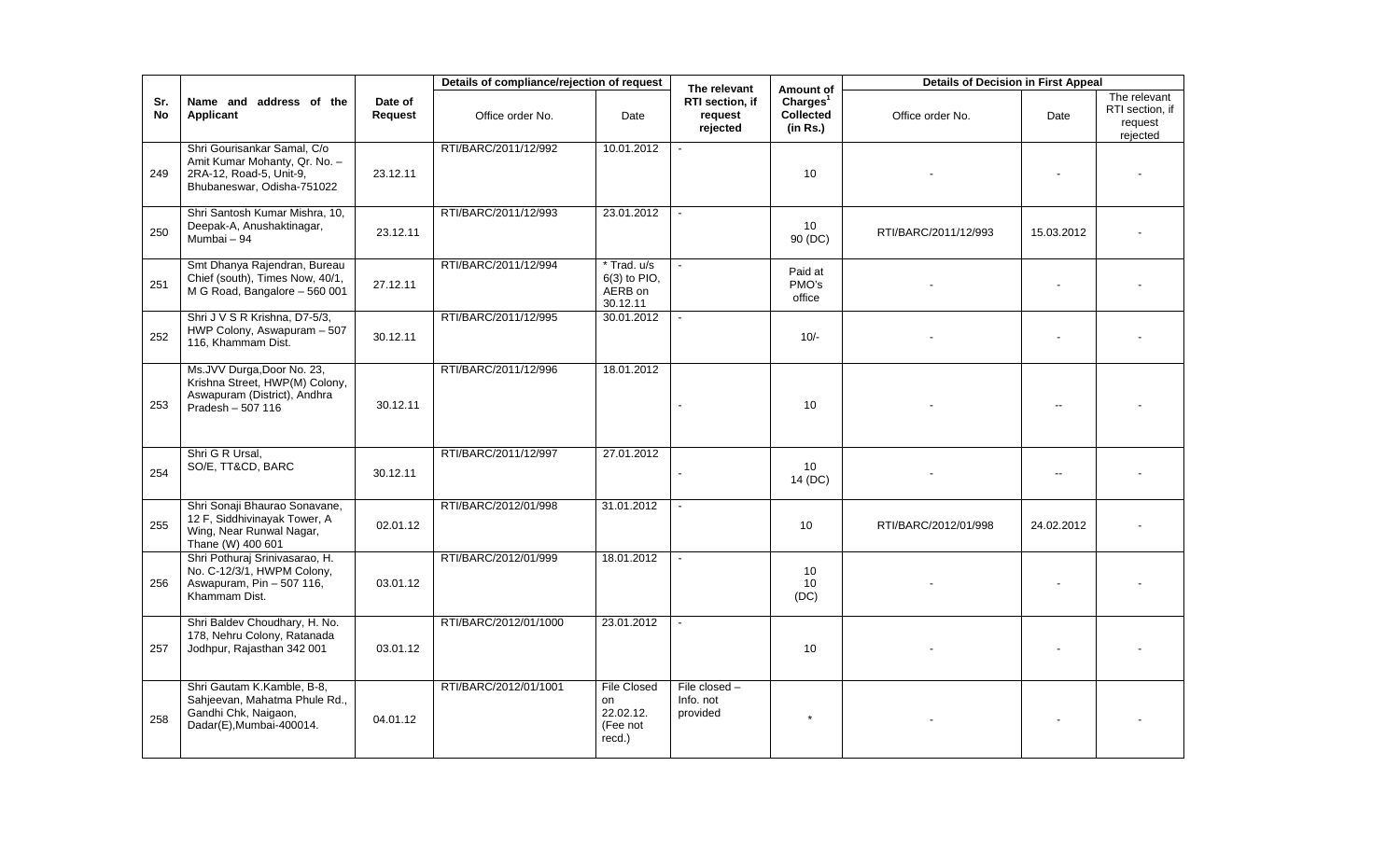|                  |                                                                                                                       |                    | Details of compliance/rejection of request |                                                             | The relevant                             | Amount of                                            | <b>Details of Decision in First Appeal</b> |                          |                                                        |
|------------------|-----------------------------------------------------------------------------------------------------------------------|--------------------|--------------------------------------------|-------------------------------------------------------------|------------------------------------------|------------------------------------------------------|--------------------------------------------|--------------------------|--------------------------------------------------------|
| Sr.<br><b>No</b> | Name and address of the<br><b>Applicant</b>                                                                           | Date of<br>Request | Office order No.                           | Date                                                        | RTI section, if<br>request<br>rejected   | Charles <sup>1</sup><br><b>Collected</b><br>(in Rs.) | Office order No.                           | Date                     | The relevant<br>RTI section, if<br>request<br>rejected |
| 249              | Shri Gourisankar Samal, C/o<br>Amit Kumar Mohanty, Qr. No. -<br>2RA-12, Road-5, Unit-9,<br>Bhubaneswar, Odisha-751022 | 23.12.11           | RTI/BARC/2011/12/992                       | 10.01.2012                                                  |                                          | 10                                                   |                                            |                          |                                                        |
| 250              | Shri Santosh Kumar Mishra, 10,<br>Deepak-A, Anushaktinagar,<br>Mumbai - 94                                            | 23.12.11           | RTI/BARC/2011/12/993                       | 23.01.2012                                                  |                                          | 10<br>90 (DC)                                        | RTI/BARC/2011/12/993                       | 15.03.2012               |                                                        |
| 251              | Smt Dhanya Rajendran, Bureau<br>Chief (south), Times Now, 40/1,<br>M G Road, Bangalore - 560 001                      | 27.12.11           | RTI/BARC/2011/12/994                       | * Trad. u/s<br>6(3) to PIO,<br>AERB on<br>30.12.11          |                                          | Paid at<br>PMO's<br>office                           |                                            |                          |                                                        |
| 252              | Shri J V S R Krishna, D7-5/3,<br>HWP Colony, Aswapuram - 507<br>116, Khammam Dist.                                    | 30.12.11           | RTI/BARC/2011/12/995                       | 30.01.2012                                                  |                                          | $10/-$                                               |                                            |                          |                                                        |
| 253              | Ms.JVV Durga, Door No. 23,<br>Krishna Street, HWP(M) Colony,<br>Aswapuram (District), Andhra<br>Pradesh - 507 116     | 30.12.11           | RTI/BARC/2011/12/996                       | 18.01.2012                                                  |                                          | 10                                                   |                                            |                          |                                                        |
| 254              | Shri G R Ursal,<br>SO/E, TT&CD, BARC                                                                                  | 30.12.11           | RTI/BARC/2011/12/997                       | 27.01.2012                                                  |                                          | 10 <sup>°</sup><br>14 (DC)                           |                                            | $\overline{\phantom{a}}$ |                                                        |
| 255              | Shri Sonaji Bhaurao Sonavane,<br>12 F, Siddhivinayak Tower, A<br>Wing, Near Runwal Nagar,<br>Thane (W) 400 601        | 02.01.12           | RTI/BARC/2012/01/998                       | 31.01.2012                                                  |                                          | 10                                                   | RTI/BARC/2012/01/998                       | 24.02.2012               |                                                        |
| 256              | Shri Pothuraj Srinivasarao, H.<br>No. C-12/3/1, HWPM Colony,<br>Aswapuram, Pin - 507 116,<br>Khammam Dist.            | 03.01.12           | RTI/BARC/2012/01/999                       | 18.01.2012                                                  |                                          | 10<br>10<br>(DC)                                     |                                            |                          |                                                        |
| 257              | Shri Baldev Choudhary, H. No.<br>178, Nehru Colony, Ratanada<br>Jodhpur, Rajasthan 342 001                            | 03.01.12           | RTI/BARC/2012/01/1000                      | 23.01.2012                                                  |                                          | 10                                                   |                                            |                          |                                                        |
| 258              | Shri Gautam K.Kamble, B-8,<br>Sahjeevan, Mahatma Phule Rd.,<br>Gandhi Chk, Naigaon,<br>Dadar(E), Mumbai-400014.       | 04.01.12           | RTI/BARC/2012/01/1001                      | <b>File Closed</b><br>on<br>22.02.12.<br>(Fee not<br>recd.) | File closed $-$<br>Info. not<br>provided | $\star$                                              |                                            |                          |                                                        |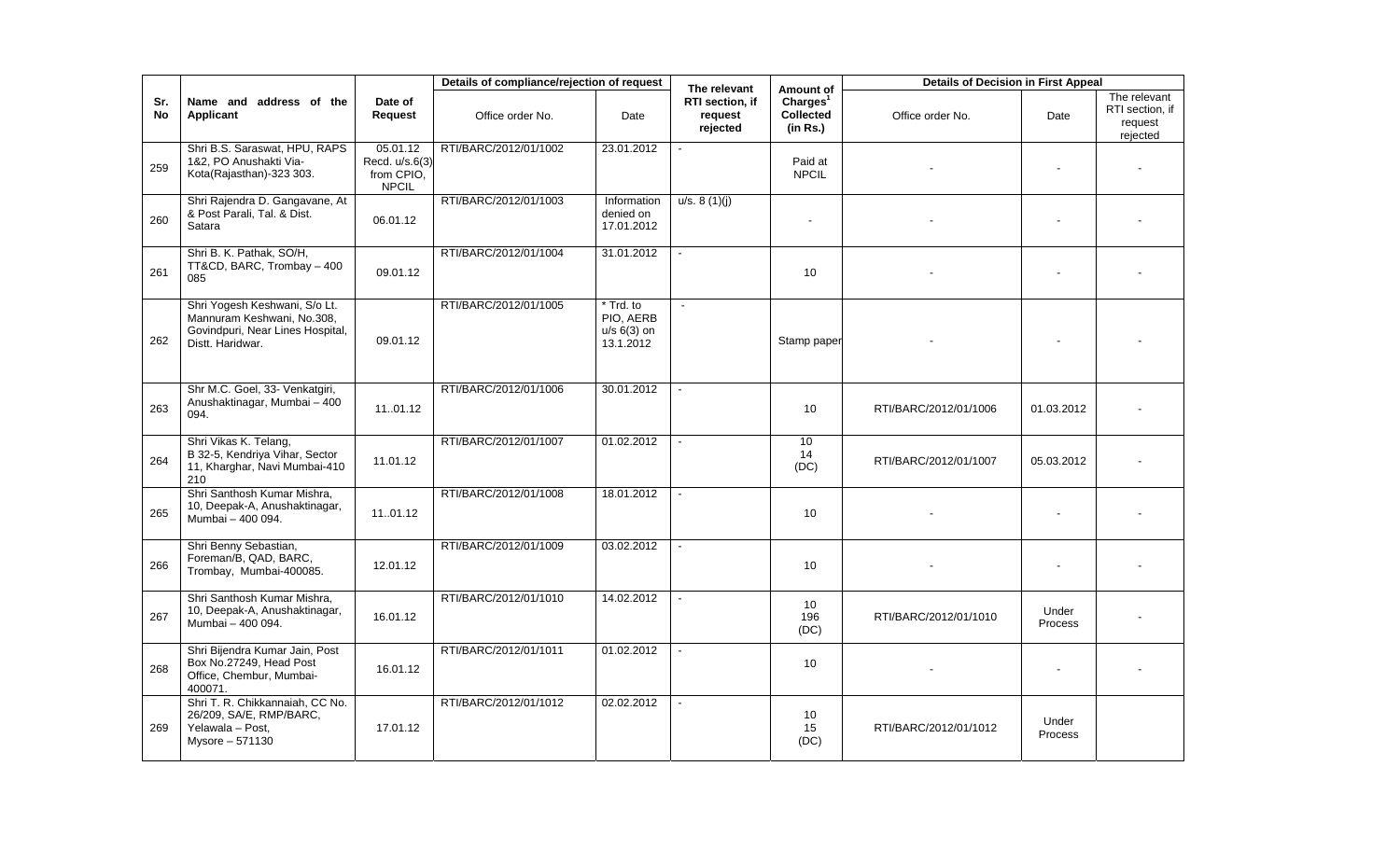|                  |                                                                                                                     |                                                          | Details of compliance/rejection of request |                                                      | The relevant                           | Amount of                                     | <b>Details of Decision in First Appeal</b> |                  |                                                        |
|------------------|---------------------------------------------------------------------------------------------------------------------|----------------------------------------------------------|--------------------------------------------|------------------------------------------------------|----------------------------------------|-----------------------------------------------|--------------------------------------------|------------------|--------------------------------------------------------|
| Sr.<br><b>No</b> | Name and address of the<br>Applicant                                                                                | Date of<br>Request                                       | Office order No.                           | Date                                                 | RTI section, if<br>request<br>rejected | Charles <sup>1</sup><br>Collected<br>(in Rs.) | Office order No.                           | Date             | The relevant<br>RTI section, if<br>request<br>rejected |
| 259              | Shri B.S. Saraswat, HPU, RAPS<br>1&2, PO Anushakti Via-<br>Kota(Rajasthan)-323 303.                                 | 05.01.12<br>Recd. u/s.6(3)<br>from CPIO,<br><b>NPCIL</b> | RTI/BARC/2012/01/1002                      | 23.01.2012                                           |                                        | Paid at<br><b>NPCIL</b>                       |                                            |                  |                                                        |
| 260              | Shri Rajendra D. Gangavane, At<br>& Post Parali, Tal. & Dist.<br>Satara                                             | 06.01.12                                                 | RTI/BARC/2012/01/1003                      | Information<br>denied on<br>17.01.2012               | u/s. 8(1)(j)                           |                                               |                                            |                  |                                                        |
| 261              | Shri B. K. Pathak, SO/H,<br>TT&CD, BARC, Trombay - 400<br>085                                                       | 09.01.12                                                 | RTI/BARC/2012/01/1004                      | 31.01.2012                                           | $\mathbf{r}$                           | 10                                            |                                            |                  |                                                        |
| 262              | Shri Yogesh Keshwani, S/o Lt.<br>Mannuram Keshwani, No.308,<br>Govindpuri, Near Lines Hospital,<br>Distt. Haridwar. | 09.01.12                                                 | RTI/BARC/2012/01/1005                      | * Trd. to<br>PIO. AERB<br>$u/s$ 6(3) on<br>13.1.2012 |                                        | Stamp paper                                   |                                            |                  |                                                        |
| 263              | Shr M.C. Goel, 33- Venkatgiri,<br>Anushaktinagar, Mumbai - 400<br>094.                                              | 1101.12                                                  | RTI/BARC/2012/01/1006                      | 30.01.2012                                           |                                        | 10                                            | RTI/BARC/2012/01/1006                      | 01.03.2012       |                                                        |
| 264              | Shri Vikas K. Telang,<br>B 32-5, Kendriya Vihar, Sector<br>11, Kharghar, Navi Mumbai-410<br>210                     | 11.01.12                                                 | RTI/BARC/2012/01/1007                      | 01.02.2012                                           |                                        | 10<br>14<br>(DC)                              | RTI/BARC/2012/01/1007                      | 05.03.2012       |                                                        |
| 265              | Shri Santhosh Kumar Mishra,<br>10, Deepak-A, Anushaktinagar,<br>Mumbai - 400 094.                                   | 1101.12                                                  | RTI/BARC/2012/01/1008                      | 18.01.2012                                           |                                        | 10                                            |                                            |                  |                                                        |
| 266              | Shri Benny Sebastian,<br>Foreman/B, QAD, BARC,<br>Trombay, Mumbai-400085.                                           | 12.01.12                                                 | RTI/BARC/2012/01/1009                      | 03.02.2012                                           |                                        | 10                                            |                                            |                  |                                                        |
| 267              | Shri Santhosh Kumar Mishra,<br>10, Deepak-A, Anushaktinagar,<br>Mumbai - 400 094.                                   | 16.01.12                                                 | RTI/BARC/2012/01/1010                      | 14.02.2012                                           |                                        | 10<br>196<br>(DC)                             | RTI/BARC/2012/01/1010                      | Under<br>Process |                                                        |
| 268              | Shri Bijendra Kumar Jain, Post<br>Box No.27249, Head Post<br>Office, Chembur, Mumbai-<br>400071.                    | 16.01.12                                                 | RTI/BARC/2012/01/1011                      | 01.02.2012                                           |                                        | 10                                            |                                            |                  |                                                        |
| 269              | Shri T. R. Chikkannaiah, CC No.<br>26/209, SA/E, RMP/BARC,<br>Yelawala - Post,<br>Mysore - 571130                   | 17.01.12                                                 | RTI/BARC/2012/01/1012                      | 02.02.2012                                           | $\sim$                                 | 10<br>15<br>(DC)                              | RTI/BARC/2012/01/1012                      | Under<br>Process |                                                        |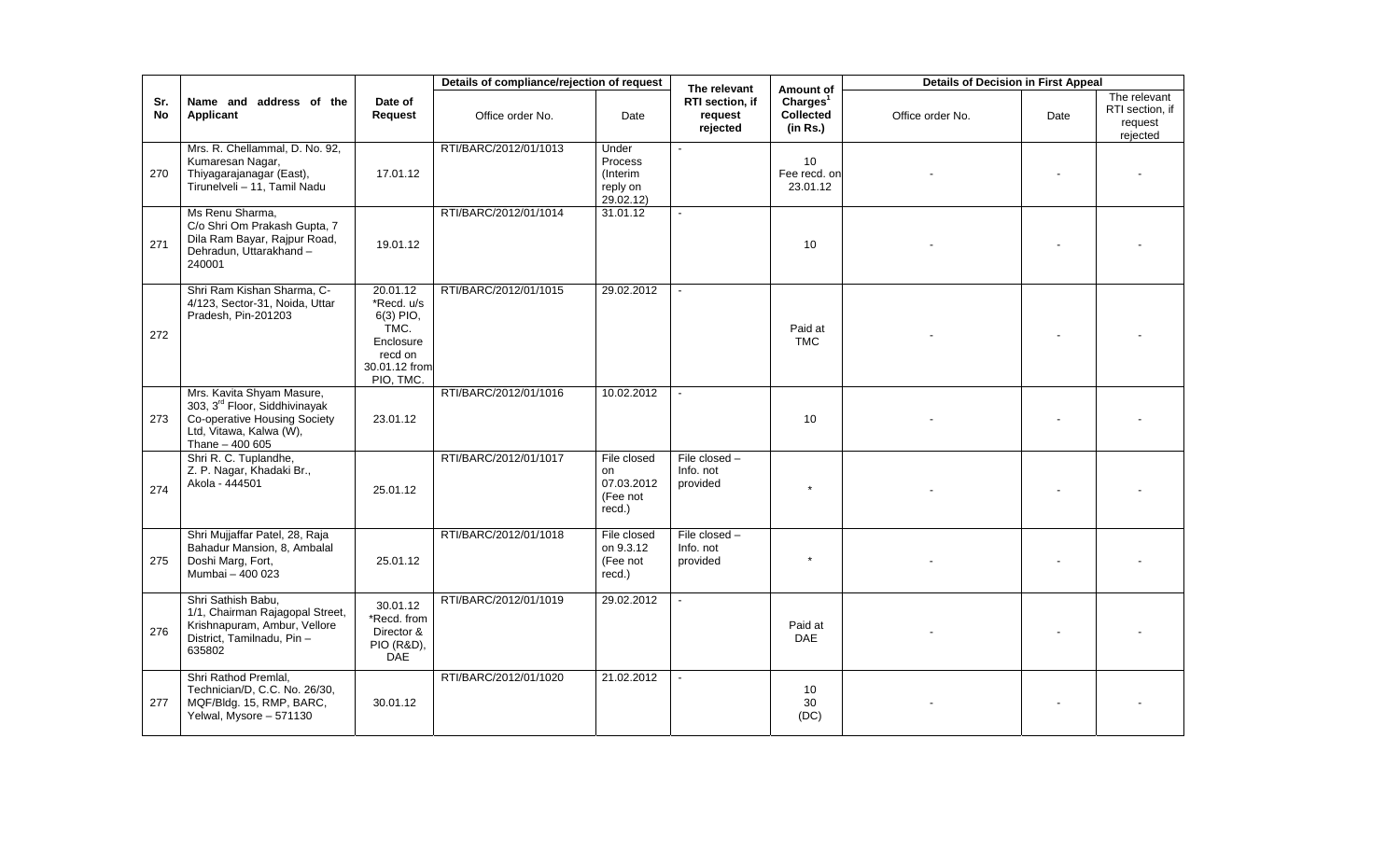|           |                                                                                                                                                      |                                                                                                   | Details of compliance/rejection of request |                                                       | The relevant                             | Amount of                                            | <b>Details of Decision in First Appeal</b> |      |                                                        |
|-----------|------------------------------------------------------------------------------------------------------------------------------------------------------|---------------------------------------------------------------------------------------------------|--------------------------------------------|-------------------------------------------------------|------------------------------------------|------------------------------------------------------|--------------------------------------------|------|--------------------------------------------------------|
| Sr.<br>No | Name and address of the<br>Applicant                                                                                                                 | Date of<br>Request                                                                                | Office order No.                           | Date                                                  | RTI section, if<br>request<br>rejected   | Charles <sup>1</sup><br><b>Collected</b><br>(in Rs.) | Office order No.                           | Date | The relevant<br>RTI section, if<br>request<br>rejected |
| 270       | Mrs. R. Chellammal, D. No. 92,<br>Kumaresan Nagar,<br>Thiyagarajanagar (East),<br>Tirunelveli - 11, Tamil Nadu                                       | 17.01.12                                                                                          | RTI/BARC/2012/01/1013                      | Under<br>Process<br>(Interim<br>reply on<br>29.02.12) |                                          | 10 <sup>°</sup><br>Fee recd. on<br>23.01.12          |                                            |      |                                                        |
| 271       | Ms Renu Sharma,<br>C/o Shri Om Prakash Gupta, 7<br>Dila Ram Bayar, Rajpur Road,<br>Dehradun, Uttarakhand-<br>240001                                  | 19.01.12                                                                                          | RTI/BARC/2012/01/1014                      | 31.01.12                                              |                                          | 10                                                   |                                            |      |                                                        |
| 272       | Shri Ram Kishan Sharma, C-<br>4/123, Sector-31, Noida, Uttar<br>Pradesh, Pin-201203                                                                  | 20.01.12<br>*Recd. u/s<br>6(3) PIO,<br>TMC.<br>Enclosure<br>recd on<br>30.01.12 from<br>PIO, TMC. | RTI/BARC/2012/01/1015                      | 29.02.2012                                            |                                          | Paid at<br><b>TMC</b>                                |                                            |      |                                                        |
| 273       | Mrs. Kavita Shyam Masure,<br>303, 3 <sup>rd</sup> Floor, Siddhivinayak<br>Co-operative Housing Society<br>Ltd, Vitawa, Kalwa (W),<br>Thane - 400 605 | 23.01.12                                                                                          | RTI/BARC/2012/01/1016                      | 10.02.2012                                            |                                          | 10                                                   |                                            |      |                                                        |
| 274       | Shri R. C. Tuplandhe,<br>Z. P. Nagar, Khadaki Br.,<br>Akola - 444501                                                                                 | 25.01.12                                                                                          | RTI/BARC/2012/01/1017                      | File closed<br>on<br>07.03.2012<br>(Fee not<br>recd.) | File closed $-$<br>Info. not<br>provided |                                                      |                                            |      |                                                        |
| 275       | Shri Mujjaffar Patel, 28, Raja<br>Bahadur Mansion, 8, Ambalal<br>Doshi Marg, Fort,<br>Mumbai - 400 023                                               | 25.01.12                                                                                          | RTI/BARC/2012/01/1018                      | File closed<br>on 9.3.12<br>(Fee not<br>recd.)        | File closed -<br>Info. not<br>provided   | $\star$                                              |                                            |      |                                                        |
| 276       | Shri Sathish Babu,<br>1/1, Chairman Rajagopal Street,<br>Krishnapuram, Ambur, Vellore<br>District, Tamilnadu, Pin-<br>635802                         | 30.01.12<br>*Recd. from<br>Director &<br><b>PIO (R&amp;D),</b><br>DAE                             | RTI/BARC/2012/01/1019                      | 29.02.2012                                            |                                          | Paid at<br>DAE                                       |                                            |      |                                                        |
| 277       | Shri Rathod Premlal,<br>Technician/D, C.C. No. 26/30,<br>MQF/Bldg. 15, RMP, BARC,<br>Yelwal, Mysore - 571130                                         | 30.01.12                                                                                          | RTI/BARC/2012/01/1020                      | 21.02.2012                                            |                                          | 10<br>30<br>(DC)                                     |                                            |      |                                                        |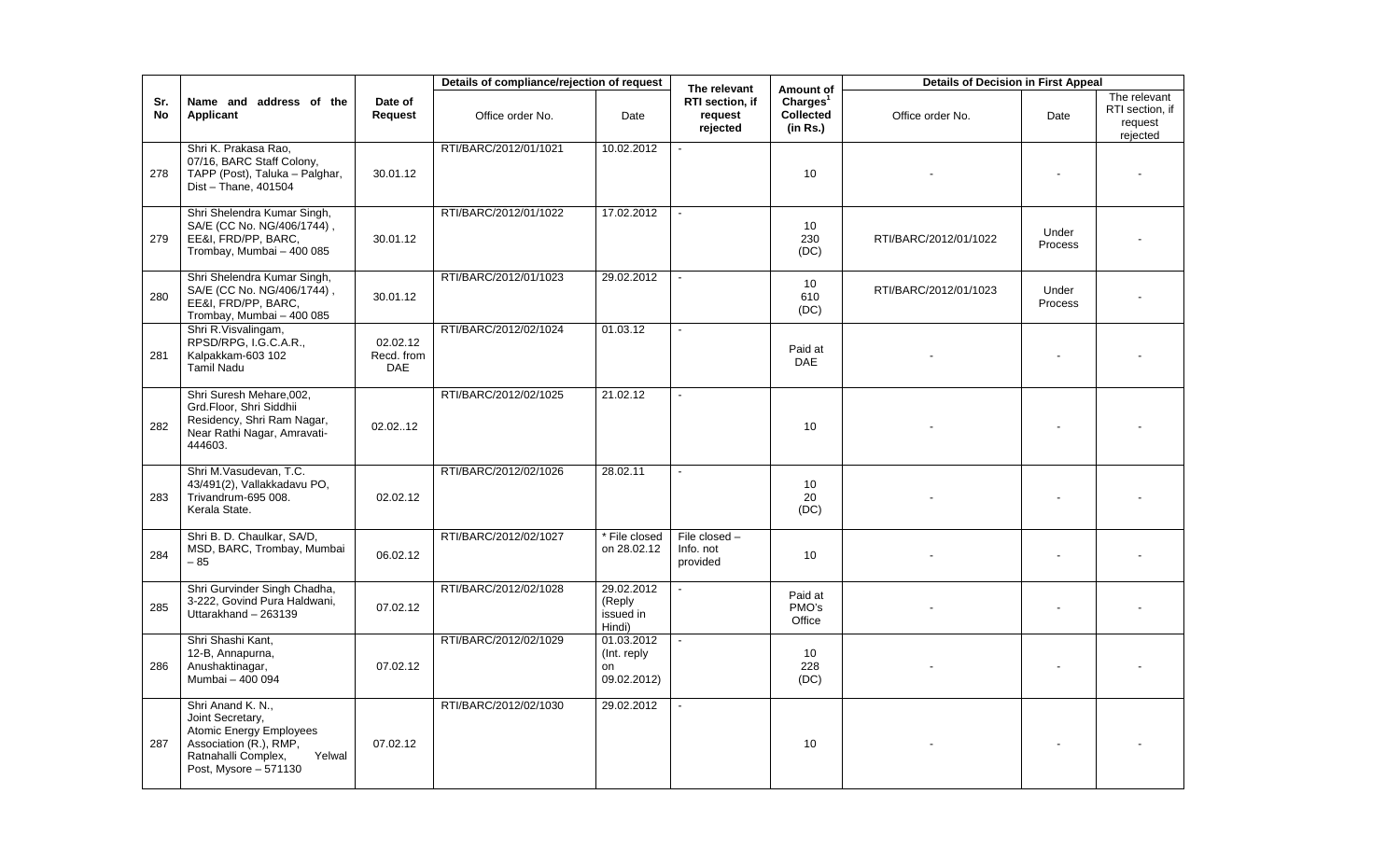|           |                                                                                                                                                             |                               | Details of compliance/rejection of request |                                                | The relevant                             | Amount of                                     | <b>Details of Decision in First Appeal</b> |                  |                                                        |
|-----------|-------------------------------------------------------------------------------------------------------------------------------------------------------------|-------------------------------|--------------------------------------------|------------------------------------------------|------------------------------------------|-----------------------------------------------|--------------------------------------------|------------------|--------------------------------------------------------|
| Sr.<br>No | Name and address of the<br><b>Applicant</b>                                                                                                                 | Date of<br>Request            | Office order No.                           | Date                                           | RTI section, if<br>request<br>rejected   | Charges <sup>1</sup><br>Collected<br>(in Rs.) | Office order No.                           | Date             | The relevant<br>RTI section, if<br>request<br>rejected |
| 278       | Shri K. Prakasa Rao,<br>07/16, BARC Staff Colony,<br>TAPP (Post), Taluka - Palghar,<br>Dist - Thane, 401504                                                 | 30.01.12                      | RTI/BARC/2012/01/1021                      | 10.02.2012                                     |                                          | 10                                            |                                            |                  |                                                        |
| 279       | Shri Shelendra Kumar Singh,<br>SA/E (CC No. NG/406/1744),<br>EE&I, FRD/PP, BARC,<br>Trombay, Mumbai - 400 085                                               | 30.01.12                      | RTI/BARC/2012/01/1022                      | 17.02.2012                                     |                                          | 10<br>230<br>(DC)                             | RTI/BARC/2012/01/1022                      | Under<br>Process |                                                        |
| 280       | Shri Shelendra Kumar Singh,<br>SA/E (CC No. NG/406/1744),<br>EE&I, FRD/PP, BARC,<br>Trombay, Mumbai - 400 085                                               | 30.01.12                      | RTI/BARC/2012/01/1023                      | 29.02.2012                                     |                                          | 10<br>610<br>(DC)                             | RTI/BARC/2012/01/1023                      | Under<br>Process |                                                        |
| 281       | Shri R. Visvalingam,<br>RPSD/RPG, I.G.C.A.R.,<br>Kalpakkam-603 102<br><b>Tamil Nadu</b>                                                                     | 02.02.12<br>Recd. from<br>DAE | RTI/BARC/2012/02/1024                      | 01.03.12                                       |                                          | Paid at<br><b>DAE</b>                         |                                            | $\mathbf{r}$     |                                                        |
| 282       | Shri Suresh Mehare, 002,<br>Grd.Floor, Shri Siddhii<br>Residency, Shri Ram Nagar,<br>Near Rathi Nagar, Amravati-<br>444603.                                 | 02.0212                       | RTI/BARC/2012/02/1025                      | 21.02.12                                       |                                          | 10 <sup>1</sup>                               |                                            |                  |                                                        |
| 283       | Shri M.Vasudevan, T.C.<br>43/491(2), Vallakkadavu PO,<br>Trivandrum-695 008.<br>Kerala State.                                                               | 02.02.12                      | RTI/BARC/2012/02/1026                      | 28.02.11                                       |                                          | 10<br>20<br>(DC)                              |                                            |                  |                                                        |
| 284       | Shri B. D. Chaulkar, SA/D,<br>MSD, BARC, Trombay, Mumbai<br>$-85$                                                                                           | 06.02.12                      | RTI/BARC/2012/02/1027                      | * File closed<br>on 28.02.12                   | File closed $-$<br>Info. not<br>provided | 10                                            |                                            |                  |                                                        |
| 285       | Shri Gurvinder Singh Chadha,<br>3-222, Govind Pura Haldwani,<br>Uttarakhand - 263139                                                                        | 07.02.12                      | RTI/BARC/2012/02/1028                      | 29.02.2012<br>(Reply<br>issued in<br>Hindi)    |                                          | Paid at<br>PMO's<br>Office                    |                                            |                  |                                                        |
| 286       | Shri Shashi Kant,<br>12-B, Annapurna,<br>Anushaktinagar,<br>Mumbai - 400 094                                                                                | 07.02.12                      | RTI/BARC/2012/02/1029                      | 01.03.2012<br>(Int. reply<br>on<br>09.02.2012) |                                          | 10 <sup>°</sup><br>228<br>(DC)                |                                            |                  |                                                        |
| 287       | Shri Anand K. N.,<br>Joint Secretary,<br><b>Atomic Energy Employees</b><br>Association (R.), RMP,<br>Ratnahalli Complex,<br>Yelwal<br>Post, Mysore - 571130 | 07.02.12                      | RTI/BARC/2012/02/1030                      | 29.02.2012                                     |                                          | 10                                            |                                            |                  |                                                        |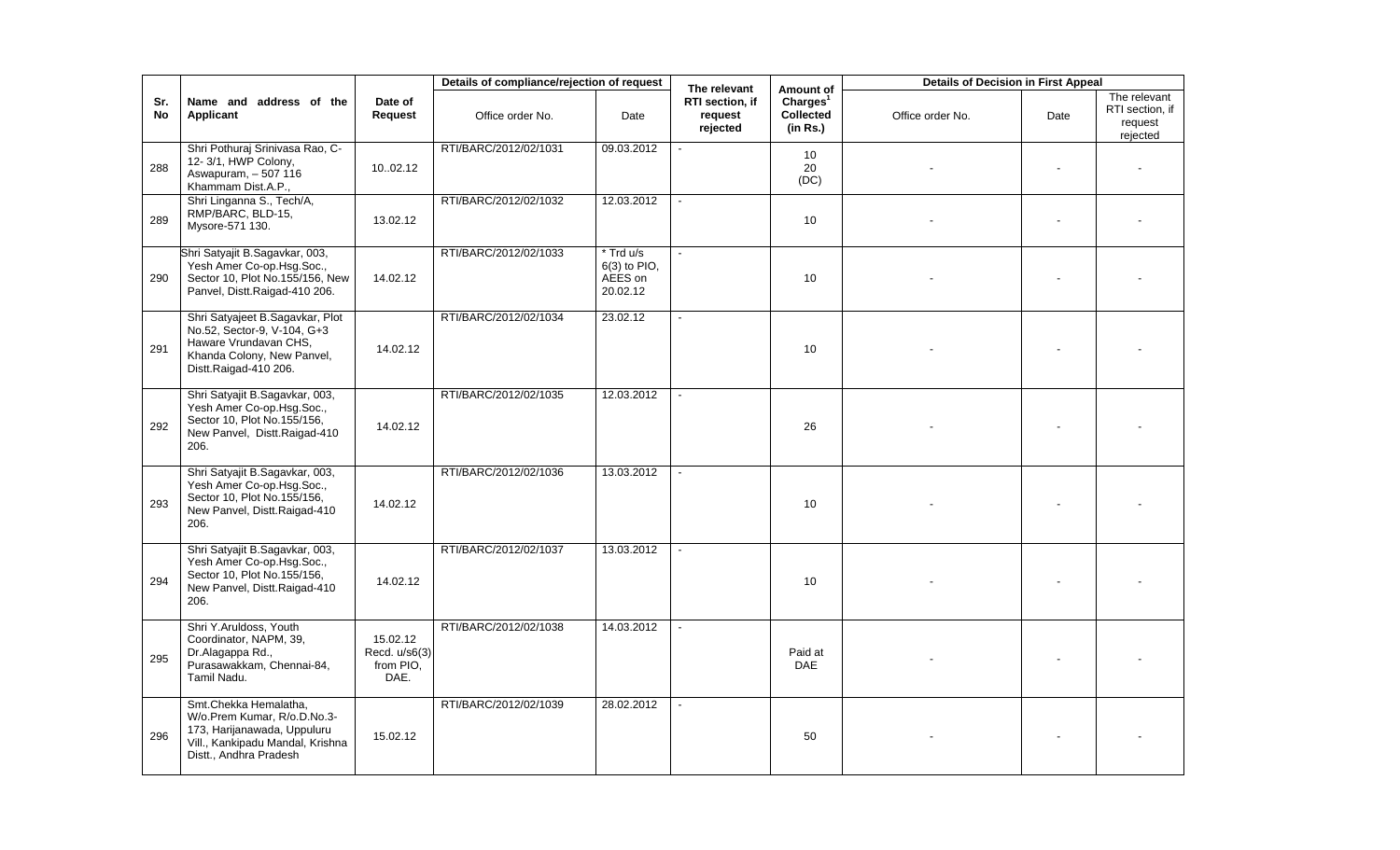|           |                                                                                                                                                   |                                                | Details of compliance/rejection of request |                                                  | The relevant                           | Amount of                                     | <b>Details of Decision in First Appeal</b> |      |                                                        |
|-----------|---------------------------------------------------------------------------------------------------------------------------------------------------|------------------------------------------------|--------------------------------------------|--------------------------------------------------|----------------------------------------|-----------------------------------------------|--------------------------------------------|------|--------------------------------------------------------|
| Sr.<br>No | Name and address of the<br>Applicant                                                                                                              | Date of<br>Request                             | Office order No.                           | Date                                             | RTI section, if<br>request<br>rejected | Charles <sup>1</sup><br>Collected<br>(in Rs.) | Office order No.                           | Date | The relevant<br>RTI section, if<br>request<br>rejected |
| 288       | Shri Pothuraj Srinivasa Rao, C-<br>12-3/1, HWP Colony,<br>Aswapuram, - 507 116<br>Khammam Dist.A.P.,                                              | 10.02.12                                       | RTI/BARC/2012/02/1031                      | 09.03.2012                                       |                                        | 10<br>20<br>(DC)                              |                                            |      |                                                        |
| 289       | Shri Linganna S., Tech/A,<br>RMP/BARC, BLD-15,<br>Mysore-571 130.                                                                                 | 13.02.12                                       | RTI/BARC/2012/02/1032                      | 12.03.2012                                       |                                        | 10                                            |                                            |      |                                                        |
| 290       | Shri Satyajit B.Sagavkar, 003,<br>Yesh Amer Co-op.Hsg.Soc.,<br>Sector 10, Plot No.155/156, New<br>Panvel, Distt.Raigad-410 206.                   | 14.02.12                                       | RTI/BARC/2012/02/1033                      | * Trd u/s<br>6(3) to PIO,<br>AEES on<br>20.02.12 |                                        | 10                                            |                                            |      |                                                        |
| 291       | Shri Satyajeet B.Sagavkar, Plot<br>No.52, Sector-9, V-104, G+3<br>Haware Vrundavan CHS,<br>Khanda Colony, New Panvel,<br>Distt.Raigad-410 206.    | 14.02.12                                       | RTI/BARC/2012/02/1034                      | 23.02.12                                         |                                        | 10                                            |                                            |      |                                                        |
| 292       | Shri Satyajit B.Sagavkar, 003,<br>Yesh Amer Co-op.Hsg.Soc.,<br>Sector 10, Plot No.155/156,<br>New Panvel, Distt.Raigad-410<br>206.                | 14.02.12                                       | RTI/BARC/2012/02/1035                      | 12.03.2012                                       |                                        | 26                                            |                                            |      |                                                        |
| 293       | Shri Satyajit B.Sagavkar, 003,<br>Yesh Amer Co-op.Hsg.Soc.,<br>Sector 10, Plot No.155/156,<br>New Panvel, Distt.Raigad-410<br>206.                | 14.02.12                                       | RTI/BARC/2012/02/1036                      | 13.03.2012                                       |                                        | 10                                            |                                            |      |                                                        |
| 294       | Shri Satyajit B.Sagavkar, 003,<br>Yesh Amer Co-op.Hsg.Soc.,<br>Sector 10, Plot No.155/156,<br>New Panvel, Distt.Raigad-410<br>206.                | 14.02.12                                       | RTI/BARC/2012/02/1037                      | 13.03.2012                                       |                                        | 10                                            |                                            |      |                                                        |
| 295       | Shri Y.Aruldoss, Youth<br>Coordinator, NAPM, 39,<br>Dr.Alagappa Rd.,<br>Purasawakkam, Chennai-84,<br>Tamil Nadu.                                  | 15.02.12<br>Recd. u/s6(3)<br>from PIO,<br>DAE. | RTI/BARC/2012/02/1038                      | 14.03.2012                                       |                                        | Paid at<br><b>DAE</b>                         |                                            |      |                                                        |
| 296       | Smt.Chekka Hemalatha,<br>W/o.Prem Kumar, R/o.D.No.3-<br>173, Harijanawada, Uppuluru<br>Vill., Kankipadu Mandal, Krishna<br>Distt., Andhra Pradesh | 15.02.12                                       | RTI/BARC/2012/02/1039                      | 28.02.2012                                       |                                        | 50                                            |                                            |      |                                                        |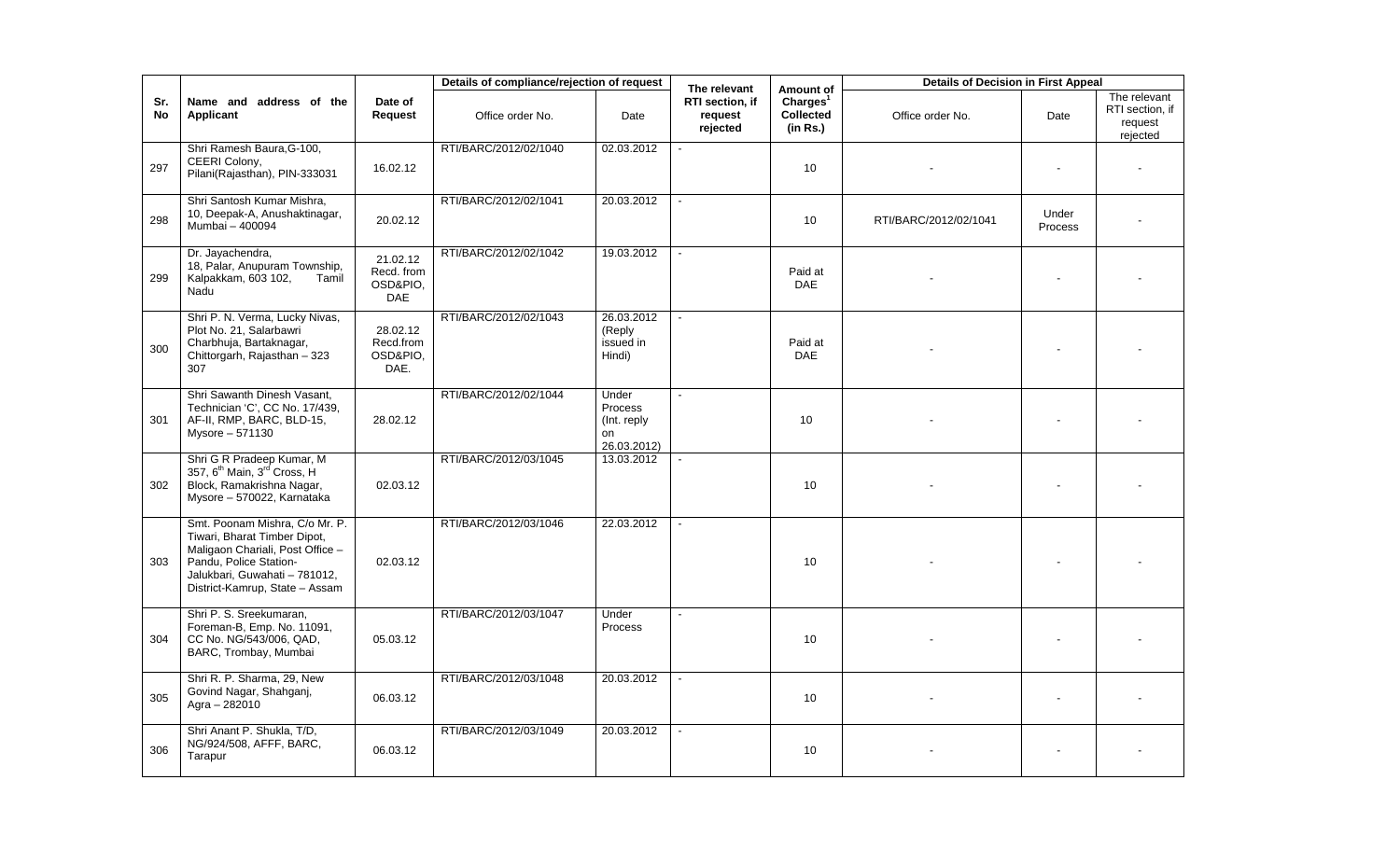|           |                                                                                                                                                                                                 |                                                  | Details of compliance/rejection of request |                                                       | The relevant                           | Amount of                                            | <b>Details of Decision in First Appeal</b> |                  |                                                        |
|-----------|-------------------------------------------------------------------------------------------------------------------------------------------------------------------------------------------------|--------------------------------------------------|--------------------------------------------|-------------------------------------------------------|----------------------------------------|------------------------------------------------------|--------------------------------------------|------------------|--------------------------------------------------------|
| Sr.<br>No | Name and address of the<br>Applicant                                                                                                                                                            | Date of<br><b>Request</b>                        | Office order No.                           | Date                                                  | RTI section, if<br>request<br>rejected | Charles <sup>1</sup><br><b>Collected</b><br>(in Rs.) | Office order No.                           | Date             | The relevant<br>RTI section, if<br>request<br>rejected |
| 297       | Shri Ramesh Baura, G-100,<br>CEERI Colony,<br>Pilani(Rajasthan), PIN-333031                                                                                                                     | 16.02.12                                         | RTI/BARC/2012/02/1040                      | 02.03.2012                                            |                                        | 10                                                   |                                            |                  |                                                        |
| 298       | Shri Santosh Kumar Mishra,<br>10, Deepak-A, Anushaktinagar,<br>Mumbai - 400094                                                                                                                  | 20.02.12                                         | RTI/BARC/2012/02/1041                      | 20.03.2012                                            |                                        | 10                                                   | RTI/BARC/2012/02/1041                      | Under<br>Process |                                                        |
| 299       | Dr. Jayachendra,<br>18, Palar, Anupuram Township,<br>Kalpakkam, 603 102,<br>Tamil<br>Nadu                                                                                                       | 21.02.12<br>Recd. from<br>OSD&PIO,<br><b>DAE</b> | RTI/BARC/2012/02/1042                      | 19.03.2012                                            |                                        | Paid at<br><b>DAE</b>                                |                                            |                  |                                                        |
| 300       | Shri P. N. Verma, Lucky Nivas,<br>Plot No. 21, Salarbawri<br>Charbhuja, Bartaknagar,<br>Chittorgarh, Rajasthan - 323<br>307                                                                     | 28.02.12<br>Recd.from<br>OSD&PIO,<br>DAE.        | RTI/BARC/2012/02/1043                      | 26.03.2012<br>(Reply<br>issued in<br>Hindi)           |                                        | Paid at<br><b>DAE</b>                                |                                            |                  |                                                        |
| 301       | Shri Sawanth Dinesh Vasant,<br>Technician 'C', CC No. 17/439,<br>AF-II, RMP, BARC, BLD-15,<br>Mysore - 571130                                                                                   | 28.02.12                                         | RTI/BARC/2012/02/1044                      | Under<br>Process<br>(Int. reply)<br>on<br>26.03.2012) | $\mathbf{r}$                           | 10                                                   |                                            |                  |                                                        |
| 302       | Shri G R Pradeep Kumar, M<br>357, 6 <sup>th</sup> Main, 3 <sup>rd</sup> Cross, H<br>Block, Ramakrishna Nagar,<br>Mysore - 570022, Karnataka                                                     | 02.03.12                                         | RTI/BARC/2012/03/1045                      | 13.03.2012                                            |                                        | 10                                                   |                                            |                  |                                                        |
| 303       | Smt. Poonam Mishra, C/o Mr. P.<br>Tiwari, Bharat Timber Dipot,<br>Maligaon Chariali, Post Office -<br>Pandu. Police Station-<br>Jalukbari, Guwahati - 781012,<br>District-Kamrup, State - Assam | 02.03.12                                         | RTI/BARC/2012/03/1046                      | 22.03.2012                                            |                                        | 10                                                   |                                            |                  |                                                        |
| 304       | Shri P. S. Sreekumaran,<br>Foreman-B, Emp. No. 11091,<br>CC No. NG/543/006, QAD,<br>BARC, Trombay, Mumbai                                                                                       | 05.03.12                                         | RTI/BARC/2012/03/1047                      | Under<br>Process                                      |                                        | 10                                                   |                                            |                  |                                                        |
| 305       | Shri R. P. Sharma, 29, New<br>Govind Nagar, Shahganj,<br>Agra $- 282010$                                                                                                                        | 06.03.12                                         | RTI/BARC/2012/03/1048                      | 20.03.2012                                            |                                        | 10                                                   |                                            |                  |                                                        |
| 306       | Shri Anant P. Shukla, T/D,<br>NG/924/508, AFFF, BARC,<br>Tarapur                                                                                                                                | 06.03.12                                         | RTI/BARC/2012/03/1049                      | 20.03.2012                                            |                                        | 10                                                   |                                            |                  |                                                        |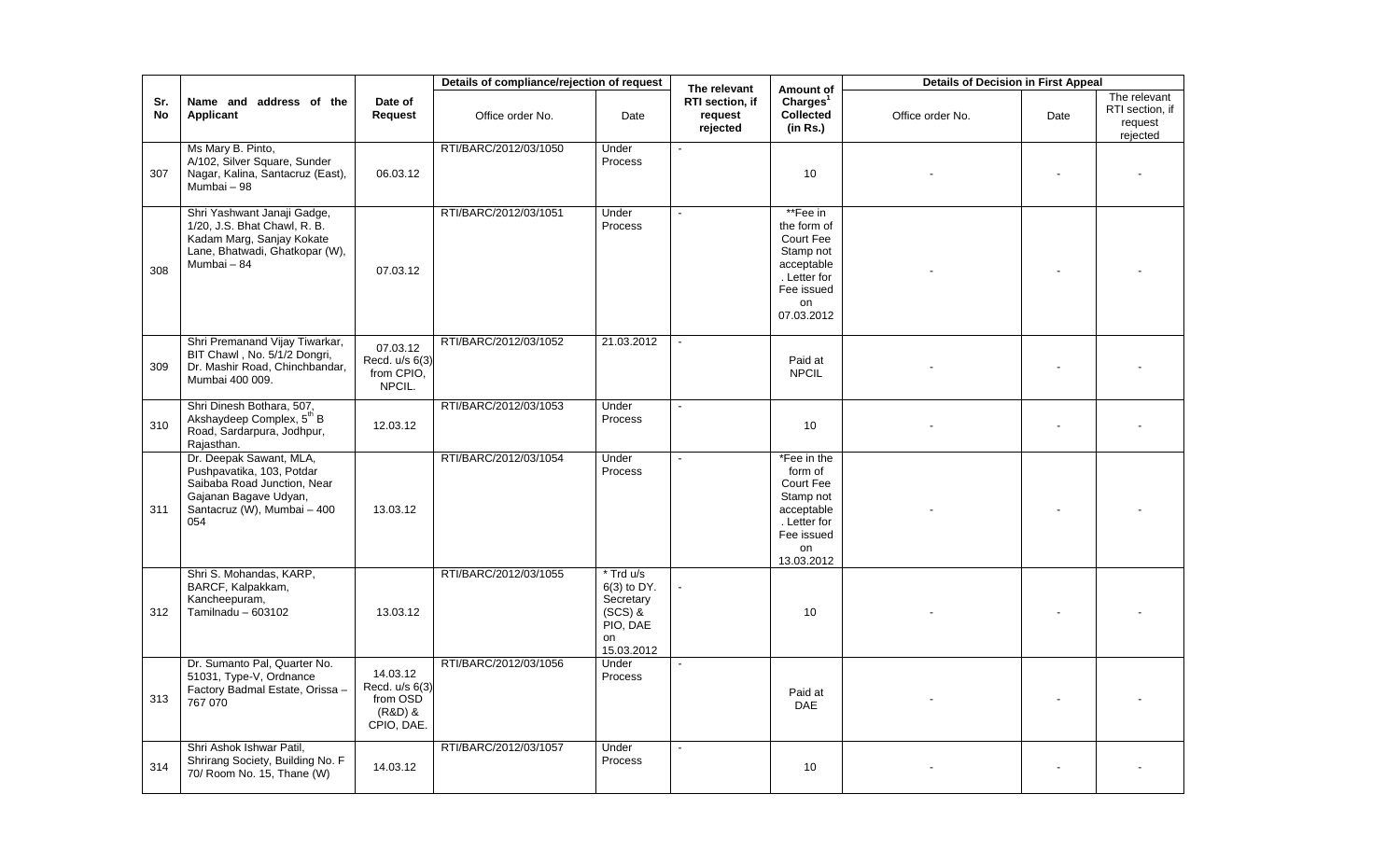|           |                                                                                                                                                    |                                                                 | Details of compliance/rejection of request |                                                                                    | The relevant                           | Amount of                                                                                                         | <b>Details of Decision in First Appeal</b> |      |                                                        |
|-----------|----------------------------------------------------------------------------------------------------------------------------------------------------|-----------------------------------------------------------------|--------------------------------------------|------------------------------------------------------------------------------------|----------------------------------------|-------------------------------------------------------------------------------------------------------------------|--------------------------------------------|------|--------------------------------------------------------|
| Sr.<br>No | Name and address of the<br>Applicant                                                                                                               | Date of<br>Request                                              | Office order No.                           | Date                                                                               | RTI section, if<br>request<br>rejected | Charles <sup>1</sup><br>Collected<br>(in Rs.)                                                                     | Office order No.                           | Date | The relevant<br>RTI section, if<br>request<br>rejected |
| 307       | Ms Mary B. Pinto,<br>A/102, Silver Square, Sunder<br>Nagar, Kalina, Santacruz (East),<br>Mumbai - 98                                               | 06.03.12                                                        | RTI/BARC/2012/03/1050                      | Under<br>Process                                                                   |                                        | 10 <sup>1</sup>                                                                                                   |                                            |      |                                                        |
| 308       | Shri Yashwant Janaji Gadge,<br>1/20, J.S. Bhat Chawl, R. B.<br>Kadam Marg, Sanjay Kokate<br>Lane, Bhatwadi, Ghatkopar (W),<br>Mumbai - 84          | 07.03.12                                                        | RTI/BARC/2012/03/1051                      | Under<br>Process                                                                   | $\blacksquare$                         | **Fee in<br>the form of<br>Court Fee<br>Stamp not<br>acceptable<br>. Letter for<br>Fee issued<br>on<br>07.03.2012 |                                            |      |                                                        |
| 309       | Shri Premanand Vijay Tiwarkar,<br>BIT Chawl, No. 5/1/2 Dongri,<br>Dr. Mashir Road, Chinchbandar,<br>Mumbai 400 009.                                | 07.03.12<br>Recd. u/s 6(3)<br>from CPIO,<br>NPCIL.              | RTI/BARC/2012/03/1052                      | 21.03.2012                                                                         |                                        | Paid at<br><b>NPCIL</b>                                                                                           |                                            |      |                                                        |
| 310       | Shri Dinesh Bothara, 507,<br>Akshaydeep Complex, 5 <sup>th</sup> B<br>Road, Sardarpura, Jodhpur,<br>Rajasthan.                                     | 12.03.12                                                        | RTI/BARC/2012/03/1053                      | Under<br>Process                                                                   | $\sim$                                 | 10 <sup>1</sup>                                                                                                   |                                            |      |                                                        |
| 311       | Dr. Deepak Sawant, MLA,<br>Pushpavatika, 103, Potdar<br>Saibaba Road Junction, Near<br>Gajanan Bagave Udyan,<br>Santacruz (W), Mumbai - 400<br>054 | 13.03.12                                                        | RTI/BARC/2012/03/1054                      | Under<br>Process                                                                   | $\sim$                                 | *Fee in the<br>form of<br>Court Fee<br>Stamp not<br>acceptable<br>. Letter for<br>Fee issued<br>on<br>13.03.2012  |                                            |      |                                                        |
| 312       | Shri S. Mohandas, KARP,<br>BARCF, Kalpakkam,<br>Kancheepuram,<br>Tamilnadu - 603102                                                                | 13.03.12                                                        | RTI/BARC/2012/03/1055                      | * Trd u/s<br>6(3) to DY.<br>Secretary<br>$(SCS)$ &<br>PIO, DAE<br>on<br>15.03.2012 |                                        | 10                                                                                                                |                                            |      |                                                        |
| 313       | Dr. Sumanto Pal, Quarter No.<br>51031, Type-V, Ordnance<br>Factory Badmal Estate, Orissa -<br>767 070                                              | 14.03.12<br>Recd. u/s 6(3)<br>from OSD<br>(R&D) &<br>CPIO, DAE. | RTI/BARC/2012/03/1056                      | Under<br>Process                                                                   | $\sim$                                 | Paid at<br><b>DAE</b>                                                                                             |                                            |      |                                                        |
| 314       | Shri Ashok Ishwar Patil,<br>Shrirang Society, Building No. F<br>70/ Room No. 15, Thane (W)                                                         | 14.03.12                                                        | RTI/BARC/2012/03/1057                      | Under<br>Process                                                                   |                                        | 10                                                                                                                |                                            |      |                                                        |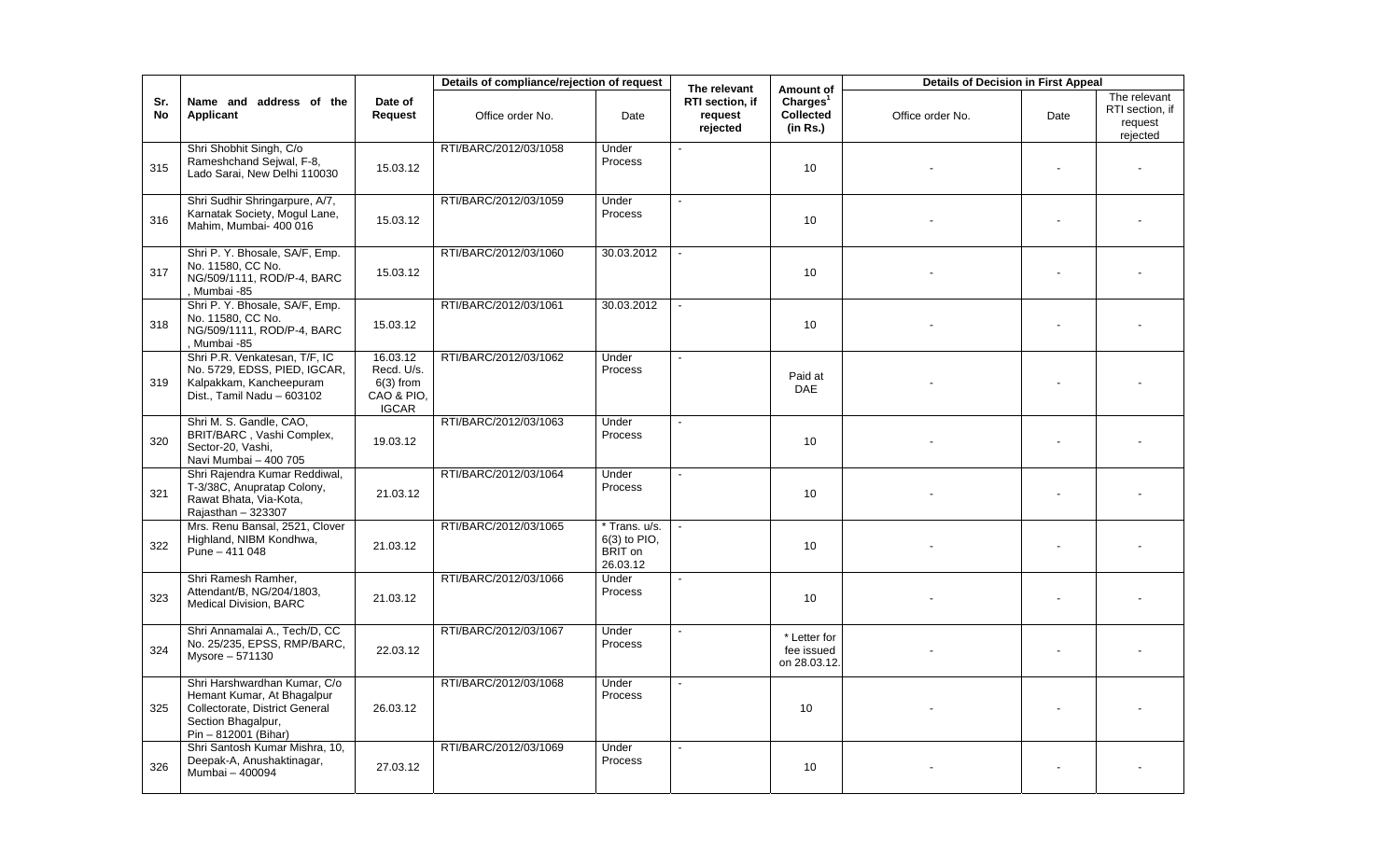|           |                                                                                                                                            |                                                                     | Details of compliance/rejection of request |                                                      | The relevant                           | Amount of                                     | <b>Details of Decision in First Appeal</b> |      |                                                        |
|-----------|--------------------------------------------------------------------------------------------------------------------------------------------|---------------------------------------------------------------------|--------------------------------------------|------------------------------------------------------|----------------------------------------|-----------------------------------------------|--------------------------------------------|------|--------------------------------------------------------|
| Sr.<br>No | Name and address of the<br>Applicant                                                                                                       | Date of<br>Request                                                  | Office order No.                           | Date                                                 | RTI section, if<br>request<br>rejected | Charles <sup>1</sup><br>Collected<br>(in Rs.) | Office order No.                           | Date | The relevant<br>RTI section, if<br>request<br>rejected |
| 315       | Shri Shobhit Singh, C/o<br>Rameshchand Sejwal, F-8,<br>Lado Sarai, New Delhi 110030                                                        | 15.03.12                                                            | RTI/BARC/2012/03/1058                      | Under<br>Process                                     |                                        | 10                                            |                                            |      |                                                        |
| 316       | Shri Sudhir Shringarpure, A/7,<br>Karnatak Society, Mogul Lane,<br>Mahim, Mumbai- 400 016                                                  | 15.03.12                                                            | RTI/BARC/2012/03/1059                      | Under<br>Process                                     | $\blacksquare$                         | 10                                            |                                            |      |                                                        |
| 317       | Shri P. Y. Bhosale, SA/F, Emp.<br>No. 11580, CC No.<br>NG/509/1111, ROD/P-4, BARC<br>, Mumbai -85                                          | 15.03.12                                                            | RTI/BARC/2012/03/1060                      | 30.03.2012                                           |                                        | 10                                            |                                            |      |                                                        |
| 318       | Shri P. Y. Bhosale, SA/F, Emp.<br>No. 11580, CC No.<br>NG/509/1111, ROD/P-4, BARC<br>, Mumbai -85                                          | 15.03.12                                                            | RTI/BARC/2012/03/1061                      | 30.03.2012                                           |                                        | 10                                            |                                            |      |                                                        |
| 319       | Shri P.R. Venkatesan, T/F, IC<br>No. 5729, EDSS, PIED, IGCAR,<br>Kalpakkam, Kancheepuram<br>Dist., Tamil Nadu - 603102                     | 16.03.12<br>Recd. U/s.<br>$6(3)$ from<br>CAO & PIO,<br><b>IGCAR</b> | RTI/BARC/2012/03/1062                      | Under<br>Process                                     | $\blacksquare$                         | Paid at<br><b>DAE</b>                         |                                            |      |                                                        |
| 320       | Shri M. S. Gandle, CAO,<br>BRIT/BARC, Vashi Complex,<br>Sector-20, Vashi,<br>Navi Mumbai - 400 705                                         | 19.03.12                                                            | RTI/BARC/2012/03/1063                      | Under<br>Process                                     | $\mathbf{r}$                           | 10                                            |                                            |      |                                                        |
| 321       | Shri Rajendra Kumar Reddiwal,<br>T-3/38C, Anupratap Colony,<br>Rawat Bhata, Via-Kota,<br>Rajasthan - 323307                                | 21.03.12                                                            | RTI/BARC/2012/03/1064                      | Under<br>Process                                     | $\blacksquare$                         | 10                                            |                                            |      |                                                        |
| 322       | Mrs. Renu Bansal, 2521, Clover<br>Highland, NIBM Kondhwa,<br>Pune - 411 048                                                                | 21.03.12                                                            | RTI/BARC/2012/03/1065                      | * Trans. u/s.<br>6(3) to PIO,<br>BRIT on<br>26.03.12 |                                        | 10                                            |                                            |      |                                                        |
| 323       | Shri Ramesh Ramher,<br>Attendant/B, NG/204/1803,<br>Medical Division, BARC                                                                 | 21.03.12                                                            | RTI/BARC/2012/03/1066                      | Under<br>Process                                     |                                        | 10                                            |                                            |      |                                                        |
| 324       | Shri Annamalai A., Tech/D, CC<br>No. 25/235, EPSS, RMP/BARC,<br>Mysore - 571130                                                            | 22.03.12                                                            | RTI/BARC/2012/03/1067                      | Under<br>Process                                     |                                        | * Letter for<br>fee issued<br>on 28.03.12.    |                                            |      |                                                        |
| 325       | Shri Harshwardhan Kumar, C/o<br>Hemant Kumar, At Bhagalpur<br>Collectorate, District General<br>Section Bhagalpur,<br>Pin - 812001 (Bihar) | 26.03.12                                                            | RTI/BARC/2012/03/1068                      | Under<br>Process                                     |                                        | 10                                            |                                            |      |                                                        |
| 326       | Shri Santosh Kumar Mishra, 10,<br>Deepak-A, Anushaktinagar,<br>Mumbai - 400094                                                             | 27.03.12                                                            | RTI/BARC/2012/03/1069                      | Under<br>Process                                     | $\blacksquare$                         | 10 <sup>°</sup>                               |                                            |      |                                                        |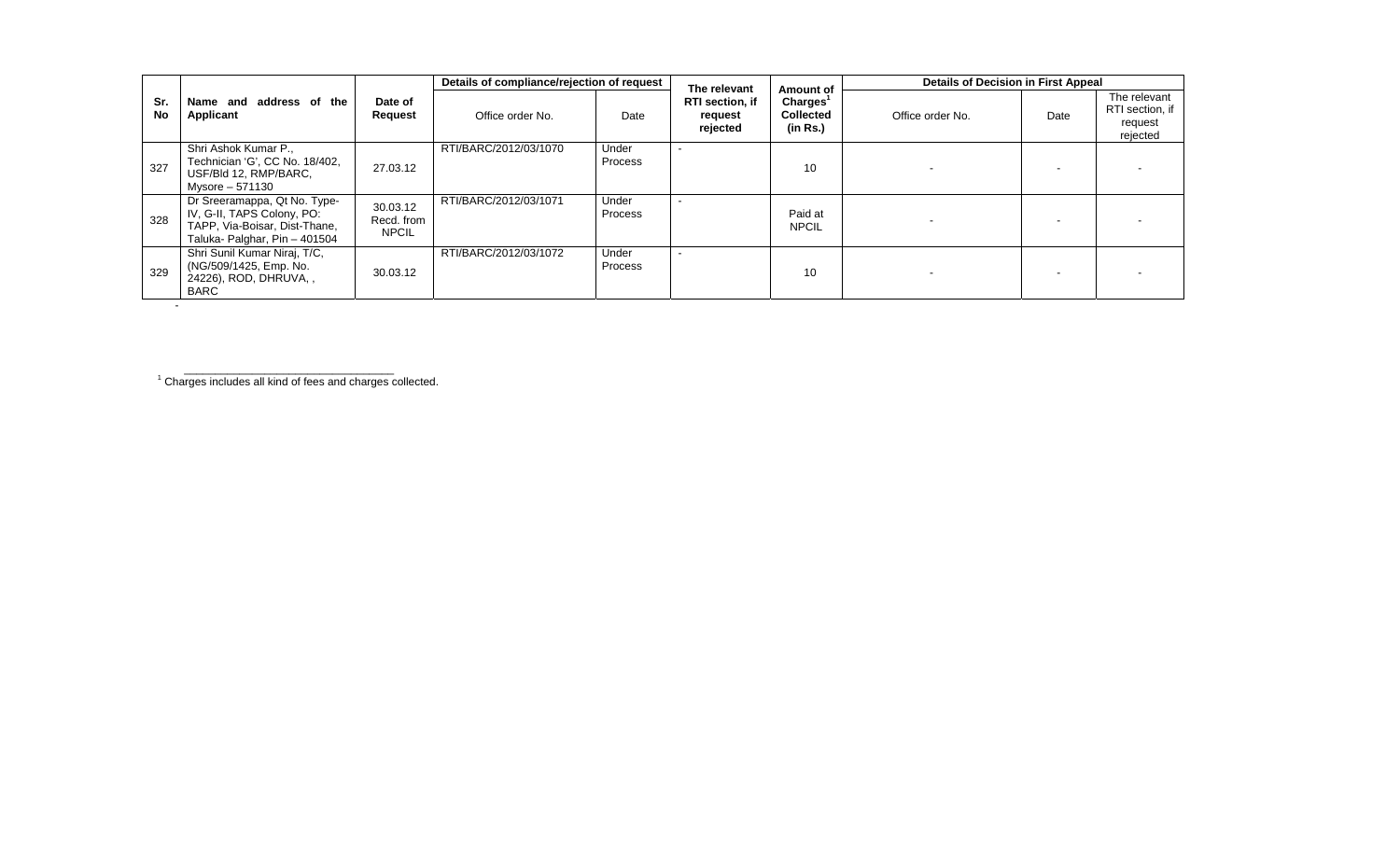|                  |                                                                                                                              |                                        | Details of compliance/rejection of request |                         | The relevant                                  | Amount of                                            | <b>Details of Decision in First Appeal</b> |      |                                                        |
|------------------|------------------------------------------------------------------------------------------------------------------------------|----------------------------------------|--------------------------------------------|-------------------------|-----------------------------------------------|------------------------------------------------------|--------------------------------------------|------|--------------------------------------------------------|
| Sr.<br><b>No</b> | address of the<br>Name and<br>Applicant                                                                                      | Date of<br><b>Request</b>              | Office order No.                           | Date                    | <b>RTI</b> section, if<br>request<br>rejected | Charges <sup>1</sup><br><b>Collected</b><br>(in Rs.) | Office order No.                           | Date | The relevant<br>RTI section, if<br>request<br>rejected |
| 327              | Shri Ashok Kumar P.,<br>Technician 'G', CC No. 18/402,<br>USF/Bld 12, RMP/BARC,<br>Mysore - 571130                           | 27.03.12                               | RTI/BARC/2012/03/1070                      | Under<br>Process        |                                               | 10                                                   |                                            |      |                                                        |
| 328              | Dr Sreeramappa, Qt No. Type-<br>IV, G-II, TAPS Colony, PO:<br>TAPP, Via-Boisar, Dist-Thane,<br>Taluka- Palghar, Pin - 401504 | 30.03.12<br>Recd. from<br><b>NPCIL</b> | RTI/BARC/2012/03/1071                      | Under<br>Process        |                                               | Paid at<br><b>NPCIL</b>                              |                                            |      |                                                        |
| 329              | Shri Sunil Kumar Niraj, T/C,<br>(NG/509/1425, Emp. No.<br>24226), ROD, DHRUVA, ,<br>BARC                                     | 30.03.12                               | RTI/BARC/2012/03/1072                      | Under<br><b>Process</b> |                                               | 10                                                   |                                            |      |                                                        |
|                  |                                                                                                                              |                                        |                                            |                         |                                               |                                                      |                                            |      |                                                        |

<sup>1</sup> Charges includes all kind of fees and charges collected.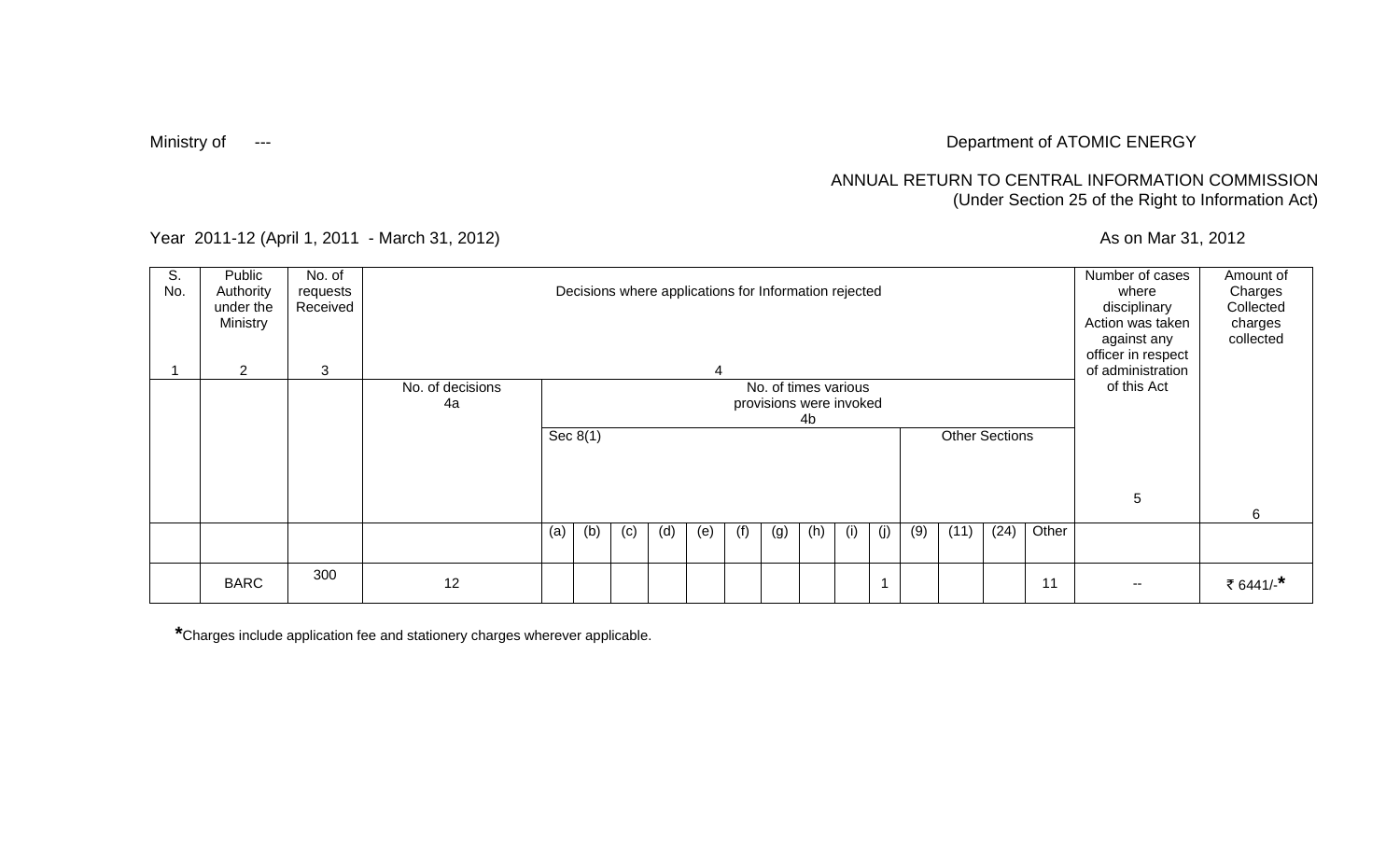# Ministry of Formulation of ATOMIC ENERGY

### ANNUAL RETURN TO CENTRAL INFORMATION COMMISSION (Under Section 25 of the Right to Information Act)

Year 2011-12 (April 1, 2011 - March 31, 2012) <br>
As on Mar 31, 2012

| S.<br>No. | Public<br>Authority<br>under the<br>Ministry | No. of<br>requests<br>Received |                  |     |                                           |     | Decisions where applications for Information rejected |     |     |     |     |     |     |             |      |      |       | Number of cases<br>where<br>disciplinary<br>Action was taken<br>against any<br>officer in respect | Amount of<br>Charges<br>Collected<br>charges<br>collected |
|-----------|----------------------------------------------|--------------------------------|------------------|-----|-------------------------------------------|-----|-------------------------------------------------------|-----|-----|-----|-----|-----|-----|-------------|------|------|-------|---------------------------------------------------------------------------------------------------|-----------------------------------------------------------|
|           | $\overline{2}$                               | 3                              |                  |     |                                           |     |                                                       | 4   |     |     |     |     |     |             |      |      |       | of administration                                                                                 |                                                           |
|           |                                              |                                | No. of decisions |     | No. of times various                      |     |                                                       |     |     |     |     |     |     | of this Act |      |      |       |                                                                                                   |                                                           |
|           |                                              |                                | 4a               |     | provisions were invoked                   |     |                                                       |     |     |     |     |     |     |             |      |      |       |                                                                                                   |                                                           |
|           |                                              |                                |                  |     | 4b<br>Sec $8(1)$<br><b>Other Sections</b> |     |                                                       |     |     |     |     |     |     |             |      |      |       |                                                                                                   |                                                           |
|           |                                              |                                |                  |     |                                           |     |                                                       |     |     |     |     |     |     |             |      |      |       |                                                                                                   |                                                           |
|           |                                              |                                |                  |     |                                           |     |                                                       |     |     |     |     |     |     |             |      |      |       |                                                                                                   |                                                           |
|           |                                              |                                |                  |     |                                           |     |                                                       |     |     |     |     |     |     |             |      |      |       |                                                                                                   |                                                           |
|           |                                              |                                |                  |     |                                           |     |                                                       |     |     |     |     |     |     |             |      |      |       | 5                                                                                                 |                                                           |
|           |                                              |                                |                  |     |                                           |     |                                                       |     |     |     |     |     |     |             |      |      |       |                                                                                                   | 6                                                         |
|           |                                              |                                |                  | (a) | (b)                                       | (c) | (d)                                                   | (e) | (f) | (g) | (h) | (i) | (j) | (9)         | (11) | (24) | Other |                                                                                                   |                                                           |
|           |                                              |                                |                  |     |                                           |     |                                                       |     |     |     |     |     |     |             |      |      |       |                                                                                                   |                                                           |
|           | <b>BARC</b>                                  | 300                            | 12               |     |                                           |     |                                                       |     |     |     |     |     |     |             |      |      | 11    | $- -$                                                                                             | ₹ 6441/-*                                                 |

**\***Charges include application fee and stationery charges wherever applicable.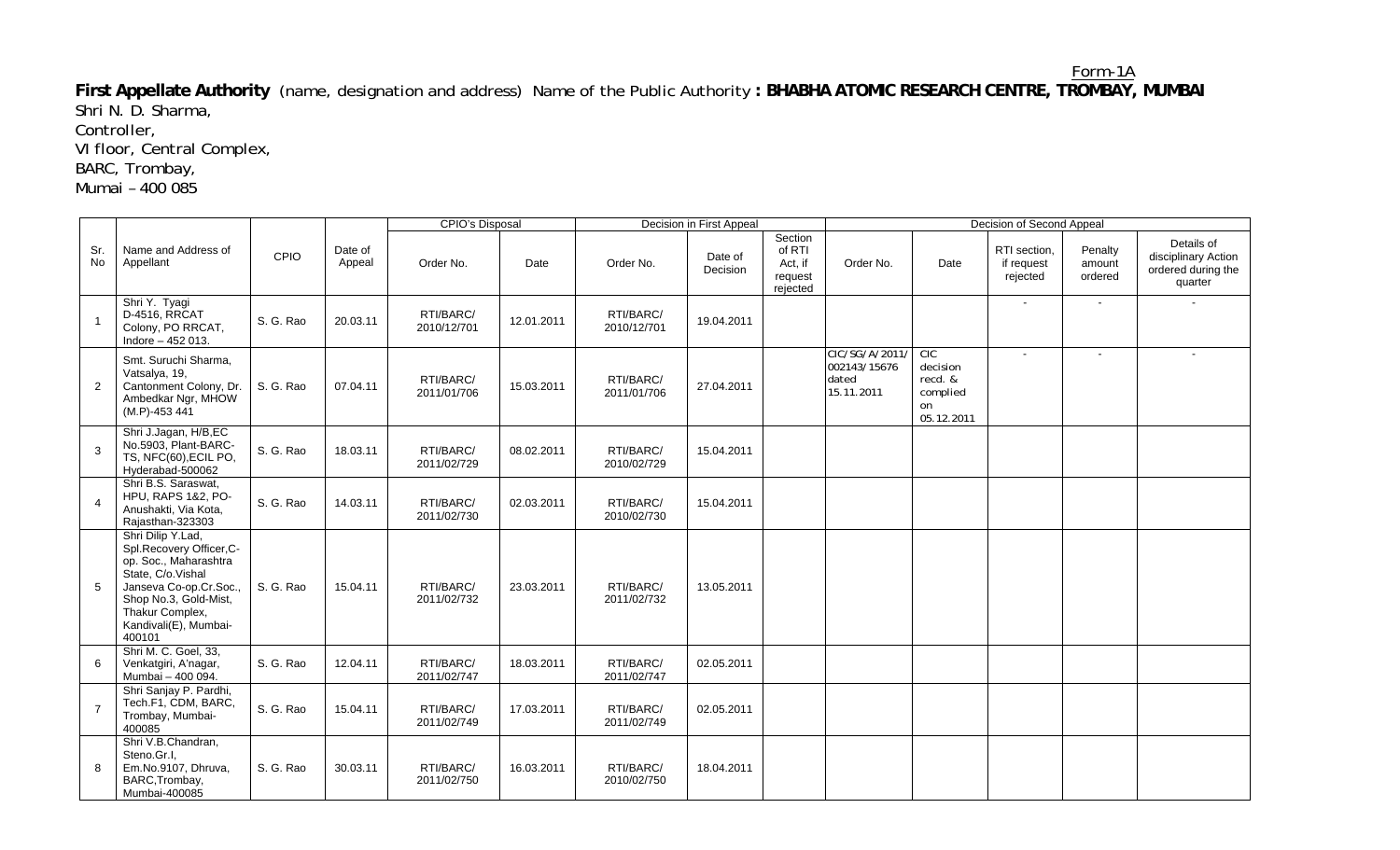**First Appellate Authority** (name, designation and address) Name of the Public Authority **: BHABHA ATOMIC RESEARCH CENTRE, TROMBAY, MUMBAI**  Shri N. D. Sharma,

Controller,

VI floor, Central Complex,

BARC, Trombay,

Mumai – 400 085

|                  |                                                                                                                                                                                                     |           |                   | <b>CPIO's Disposal</b>   |            | Decision in First Appeal |                     |                                                     | Decision of Second Appeal                             |                                                            |                                        |                              |                                                                    |
|------------------|-----------------------------------------------------------------------------------------------------------------------------------------------------------------------------------------------------|-----------|-------------------|--------------------------|------------|--------------------------|---------------------|-----------------------------------------------------|-------------------------------------------------------|------------------------------------------------------------|----------------------------------------|------------------------------|--------------------------------------------------------------------|
| Sr.<br><b>No</b> | Name and Address of<br>Appellant                                                                                                                                                                    | CPIO      | Date of<br>Appeal | Order No.                | Date       | Order No.                | Date of<br>Decision | Section<br>of RTI<br>Act, if<br>request<br>rejected | Order No.                                             | Date                                                       | RTI section.<br>if request<br>rejected | Penalty<br>amount<br>ordered | Details of<br>disciplinary Action<br>ordered during the<br>quarter |
| $\overline{1}$   | Shri Y. Tyagi<br>D-4516, RRCAT<br>Colony, PO RRCAT,<br>Indore - 452 013.                                                                                                                            | S. G. Rao | 20.03.11          | RTI/BARC/<br>2010/12/701 | 12.01.2011 | RTI/BARC/<br>2010/12/701 | 19.04.2011          |                                                     |                                                       |                                                            | $\sim$                                 | $\sim$                       |                                                                    |
| 2                | Smt. Suruchi Sharma,<br>Vatsalya, 19,<br>Cantonment Colony, Dr.<br>Ambedkar Ngr, MHOW<br>(M.P)-453 441                                                                                              | S. G. Rao | 07.04.11          | RTI/BARC/<br>2011/01/706 | 15.03.2011 | RTI/BARC/<br>2011/01/706 | 27.04.2011          |                                                     | CIC/SG/A/2011/<br>002143/15676<br>dated<br>15.11.2011 | CIC<br>decision<br>recd. &<br>complied<br>on<br>05.12.2011 | $\sim$                                 |                              |                                                                    |
| 3                | Shri J.Jagan, H/B,EC<br>No.5903, Plant-BARC-<br>TS, NFC(60), ECIL PO,<br>Hyderabad-500062                                                                                                           | S. G. Rao | 18.03.11          | RTI/BARC/<br>2011/02/729 | 08.02.2011 | RTI/BARC/<br>2010/02/729 | 15.04.2011          |                                                     |                                                       |                                                            |                                        |                              |                                                                    |
| $\overline{4}$   | Shri B.S. Saraswat.<br>HPU, RAPS 1&2, PO-<br>Anushakti, Via Kota,<br>Rajasthan-323303                                                                                                               | S. G. Rao | 14.03.11          | RTI/BARC/<br>2011/02/730 | 02.03.2011 | RTI/BARC/<br>2010/02/730 | 15.04.2011          |                                                     |                                                       |                                                            |                                        |                              |                                                                    |
| 5                | Shri Dilip Y.Lad,<br>Spl.Recovery Officer,C-<br>op. Soc., Maharashtra<br>State, C/o.Vishal<br>Janseva Co-op.Cr.Soc.,<br>Shop No.3, Gold-Mist,<br>Thakur Complex,<br>Kandivali(E), Mumbai-<br>400101 | S. G. Rao | 15.04.11          | RTI/BARC/<br>2011/02/732 | 23.03.2011 | RTI/BARC/<br>2011/02/732 | 13.05.2011          |                                                     |                                                       |                                                            |                                        |                              |                                                                    |
| 6                | Shri M. C. Goel, 33,<br>Venkatgiri, A'nagar,<br>Mumbai - 400 094.                                                                                                                                   | S. G. Rao | 12.04.11          | RTI/BARC/<br>2011/02/747 | 18.03.2011 | RTI/BARC/<br>2011/02/747 | 02.05.2011          |                                                     |                                                       |                                                            |                                        |                              |                                                                    |
| $\overline{7}$   | Shri Sanjay P. Pardhi,<br>Tech.F1, CDM, BARC,<br>Trombay, Mumbai-<br>400085                                                                                                                         | S. G. Rao | 15.04.11          | RTI/BARC/<br>2011/02/749 | 17.03.2011 | RTI/BARC/<br>2011/02/749 | 02.05.2011          |                                                     |                                                       |                                                            |                                        |                              |                                                                    |
| 8                | Shri V.B.Chandran,<br>Steno.Gr.I.<br>Em.No.9107, Dhruva,<br>BARC, Trombay,<br>Mumbai-400085                                                                                                         | S. G. Rao | 30.03.11          | RTI/BARC/<br>2011/02/750 | 16.03.2011 | RTI/BARC/<br>2010/02/750 | 18.04.2011          |                                                     |                                                       |                                                            |                                        |                              |                                                                    |

Form-1A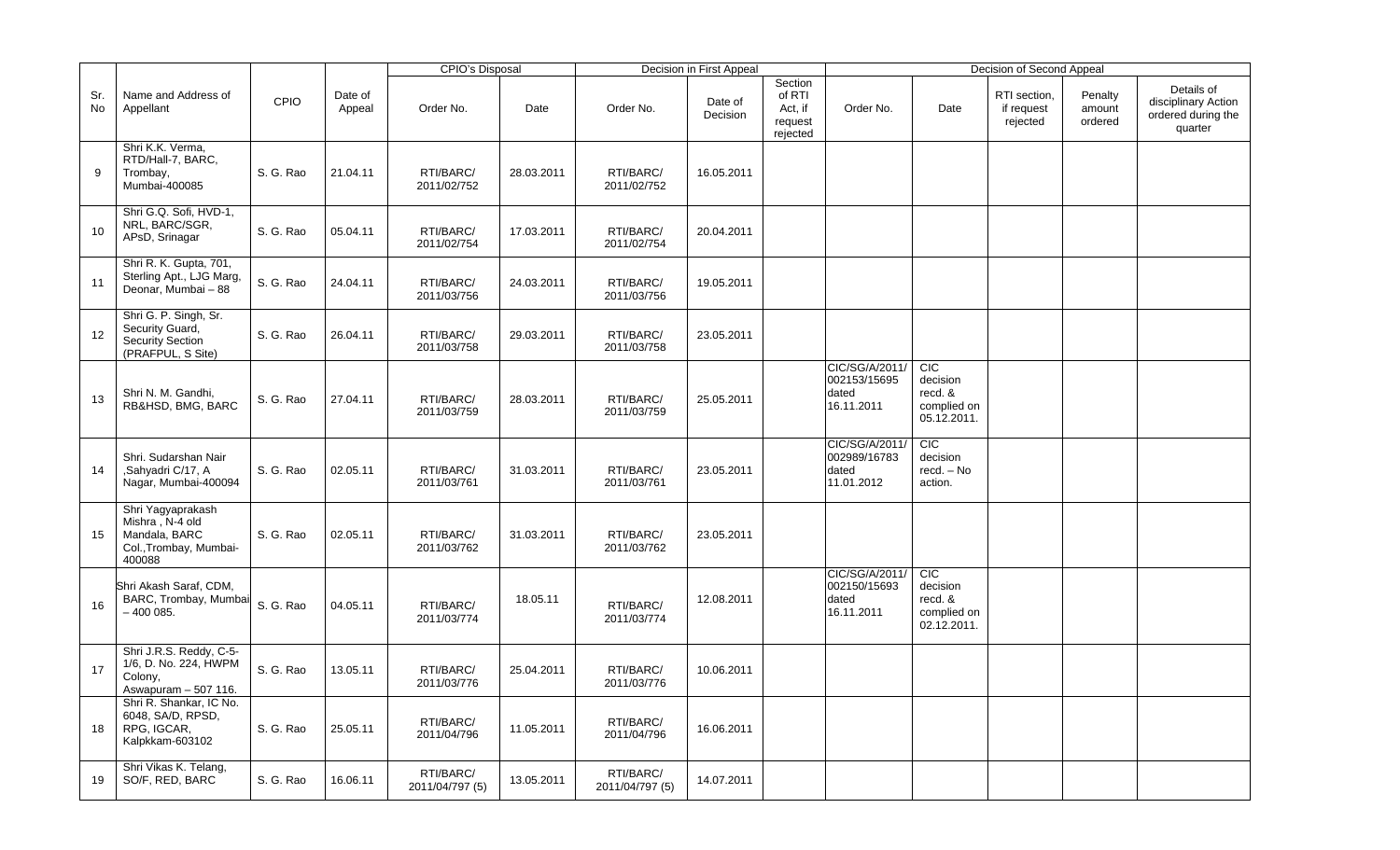|           |                                                                                           |           |                   | <b>CPIO's Disposal</b>       |            |                              | Decision in First Appeal |                                                     |                                                       |                                                                 | Decision of Second Appeal              |                              |                                                                    |
|-----------|-------------------------------------------------------------------------------------------|-----------|-------------------|------------------------------|------------|------------------------------|--------------------------|-----------------------------------------------------|-------------------------------------------------------|-----------------------------------------------------------------|----------------------------------------|------------------------------|--------------------------------------------------------------------|
| Sr.<br>No | Name and Address of<br>Appellant                                                          | CPIO      | Date of<br>Appeal | Order No.                    | Date       | Order No.                    | Date of<br>Decision      | Section<br>of RTI<br>Act, if<br>request<br>rejected | Order No.                                             | Date                                                            | RTI section,<br>if request<br>rejected | Penalty<br>amount<br>ordered | Details of<br>disciplinary Action<br>ordered during the<br>quarter |
| 9         | Shri K.K. Verma,<br>RTD/Hall-7, BARC,<br>Trombay,<br>Mumbai-400085                        | S. G. Rao | 21.04.11          | RTI/BARC/<br>2011/02/752     | 28.03.2011 | RTI/BARC/<br>2011/02/752     | 16.05.2011               |                                                     |                                                       |                                                                 |                                        |                              |                                                                    |
| 10        | Shri G.Q. Sofi, HVD-1,<br>NRL, BARC/SGR,<br>APsD, Srinagar                                | S. G. Rao | 05.04.11          | RTI/BARC/<br>2011/02/754     | 17.03.2011 | RTI/BARC/<br>2011/02/754     | 20.04.2011               |                                                     |                                                       |                                                                 |                                        |                              |                                                                    |
| 11        | Shri R. K. Gupta, 701,<br>Sterling Apt., LJG Marg,<br>Deonar, Mumbai - 88                 | S. G. Rao | 24.04.11          | RTI/BARC/<br>2011/03/756     | 24.03.2011 | RTI/BARC/<br>2011/03/756     | 19.05.2011               |                                                     |                                                       |                                                                 |                                        |                              |                                                                    |
| 12        | Shri G. P. Singh, Sr.<br>Security Guard,<br>Security Section<br>(PRAFPUL, S Site)         | S. G. Rao | 26.04.11          | RTI/BARC/<br>2011/03/758     | 29.03.2011 | RTI/BARC/<br>2011/03/758     | 23.05.2011               |                                                     |                                                       |                                                                 |                                        |                              |                                                                    |
| 13        | Shri N. M. Gandhi,<br>RB&HSD, BMG, BARC                                                   | S. G. Rao | 27.04.11          | RTI/BARC/<br>2011/03/759     | 28.03.2011 | RTI/BARC/<br>2011/03/759     | 25.05.2011               |                                                     | CIC/SG/A/2011/<br>002153/15695<br>dated<br>16.11.2011 | CIC<br>decision<br>recd. &<br>complied on<br>05.12.2011.        |                                        |                              |                                                                    |
| 14        | Shri. Sudarshan Nair<br>,Sahyadri C/17, A<br>Nagar, Mumbai-400094                         | S. G. Rao | 02.05.11          | RTI/BARC/<br>2011/03/761     | 31.03.2011 | RTI/BARC/<br>2011/03/761     | 23.05.2011               |                                                     | CIC/SG/A/2011/<br>002989/16783<br>dated<br>11.01.2012 | CIC<br>decision<br>recd. - No<br>action.                        |                                        |                              |                                                                    |
| 15        | Shri Yagyaprakash<br>Mishra, N-4 old<br>Mandala, BARC<br>Col., Trombay, Mumbai-<br>400088 | S. G. Rao | 02.05.11          | RTI/BARC/<br>2011/03/762     | 31.03.2011 | RTI/BARC/<br>2011/03/762     | 23.05.2011               |                                                     |                                                       |                                                                 |                                        |                              |                                                                    |
| 16        | Shri Akash Saraf, CDM,<br>BARC, Trombay, Mumbai<br>$-400085.$                             | S. G. Rao | 04.05.11          | RTI/BARC/<br>2011/03/774     | 18.05.11   | RTI/BARC/<br>2011/03/774     | 12.08.2011               |                                                     | CIC/SG/A/2011/<br>002150/15693<br>dated<br>16.11.2011 | <b>CIC</b><br>decision<br>recd. &<br>complied on<br>02.12.2011. |                                        |                              |                                                                    |
| 17        | Shri J.R.S. Reddy, C-5-<br>1/6, D. No. 224, HWPM<br>Colony,<br>Aswapuram - 507 116.       | S. G. Rao | 13.05.11          | RTI/BARC/<br>2011/03/776     | 25.04.2011 | RTI/BARC/<br>2011/03/776     | 10.06.2011               |                                                     |                                                       |                                                                 |                                        |                              |                                                                    |
| 18        | Shri R. Shankar, IC No.<br>6048, SA/D, RPSD,<br>RPG, IGCAR,<br>Kalpkkam-603102            | S. G. Rao | 25.05.11          | RTI/BARC/<br>2011/04/796     | 11.05.2011 | RTI/BARC/<br>2011/04/796     | 16.06.2011               |                                                     |                                                       |                                                                 |                                        |                              |                                                                    |
| 19        | Shri Vikas K. Telang,<br>SO/F, RED, BARC                                                  | S. G. Rao | 16.06.11          | RTI/BARC/<br>2011/04/797 (5) | 13.05.2011 | RTI/BARC/<br>2011/04/797 (5) | 14.07.2011               |                                                     |                                                       |                                                                 |                                        |                              |                                                                    |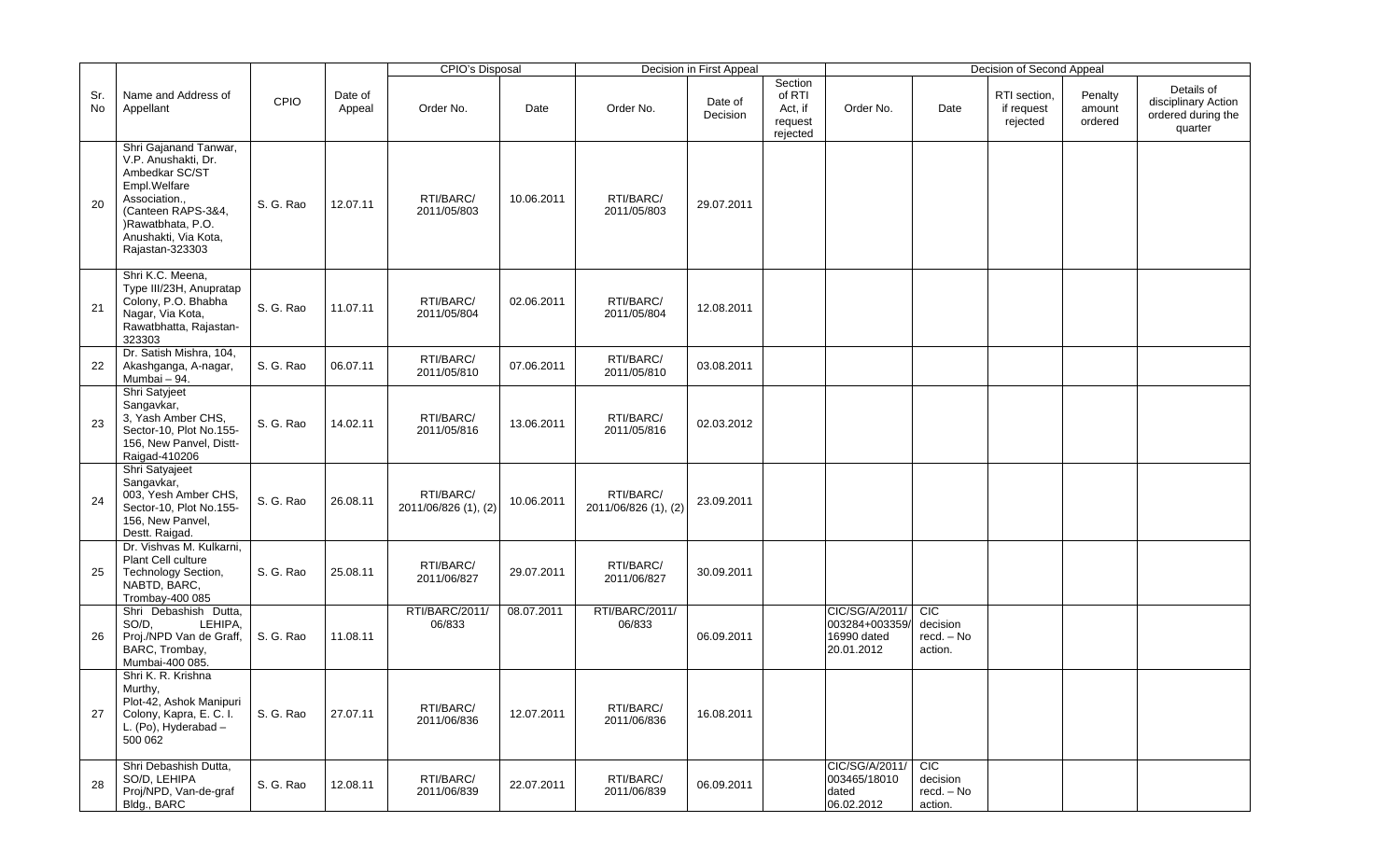|           |                                                                                                                                                                                       |           |                   | <b>CPIO's Disposal</b>            |            |                                   | Decision in First Appeal |                                                     |                                                              |                                                 | Decision of Second Appeal              |                              |                                                                    |
|-----------|---------------------------------------------------------------------------------------------------------------------------------------------------------------------------------------|-----------|-------------------|-----------------------------------|------------|-----------------------------------|--------------------------|-----------------------------------------------------|--------------------------------------------------------------|-------------------------------------------------|----------------------------------------|------------------------------|--------------------------------------------------------------------|
| Sr.<br>No | Name and Address of<br>Appellant                                                                                                                                                      | CPIO      | Date of<br>Appeal | Order No.                         | Date       | Order No.                         | Date of<br>Decision      | Section<br>of RTI<br>Act, if<br>request<br>rejected | Order No.                                                    | Date                                            | RTI section,<br>if request<br>rejected | Penalty<br>amount<br>ordered | Details of<br>disciplinary Action<br>ordered during the<br>quarter |
| 20        | Shri Gajanand Tanwar,<br>V.P. Anushakti, Dr.<br>Ambedkar SC/ST<br>Empl.Welfare<br>Association.,<br>(Canteen RAPS-3&4,<br>)Rawatbhata, P.O.<br>Anushakti, Via Kota,<br>Rajastan-323303 | S. G. Rao | 12.07.11          | RTI/BARC/<br>2011/05/803          | 10.06.2011 | RTI/BARC/<br>2011/05/803          | 29.07.2011               |                                                     |                                                              |                                                 |                                        |                              |                                                                    |
| 21        | Shri K.C. Meena,<br>Type III/23H, Anupratap<br>Colony, P.O. Bhabha<br>Nagar, Via Kota,<br>Rawatbhatta, Rajastan-<br>323303                                                            | S. G. Rao | 11.07.11          | RTI/BARC/<br>2011/05/804          | 02.06.2011 | RTI/BARC/<br>2011/05/804          | 12.08.2011               |                                                     |                                                              |                                                 |                                        |                              |                                                                    |
| 22        | Dr. Satish Mishra, 104,<br>Akashganga, A-nagar,<br>Mumbai - 94.                                                                                                                       | S. G. Rao | 06.07.11          | RTI/BARC/<br>2011/05/810          | 07.06.2011 | RTI/BARC/<br>2011/05/810          | 03.08.2011               |                                                     |                                                              |                                                 |                                        |                              |                                                                    |
| 23        | Shri Satyjeet<br>Sangavkar,<br>3, Yash Amber CHS,<br>Sector-10, Plot No.155-<br>156, New Panvel, Distt-<br>Raigad-410206                                                              | S. G. Rao | 14.02.11          | RTI/BARC/<br>2011/05/816          | 13.06.2011 | RTI/BARC/<br>2011/05/816          | 02.03.2012               |                                                     |                                                              |                                                 |                                        |                              |                                                                    |
| 24        | Shri Satyajeet<br>Sangavkar,<br>003, Yesh Amber CHS,<br>Sector-10, Plot No.155-<br>156, New Panvel,<br>Destt. Raigad.                                                                 | S. G. Rao | 26.08.11          | RTI/BARC/<br>2011/06/826 (1), (2) | 10.06.2011 | RTI/BARC/<br>2011/06/826 (1), (2) | 23.09.2011               |                                                     |                                                              |                                                 |                                        |                              |                                                                    |
| 25        | Dr. Vishvas M. Kulkarni,<br>Plant Cell culture<br>Technology Section,<br>NABTD, BARC,<br>Trombay-400 085                                                                              | S. G. Rao | 25.08.11          | RTI/BARC/<br>2011/06/827          | 29.07.2011 | RTI/BARC/<br>2011/06/827          | 30.09.2011               |                                                     |                                                              |                                                 |                                        |                              |                                                                    |
| 26        | Shri Debashish Dutta,<br>SO/D,<br>LEHIPA,<br>Proj./NPD Van de Graff,<br>BARC, Trombay,<br>Mumbai-400 085.                                                                             | S. G. Rao | 11.08.11          | RTI/BARC/2011/<br>06/833          | 08.07.2011 | RTI/BARC/2011/<br>06/833          | 06.09.2011               |                                                     | CIC/SG/A/2011/<br>003284+003359<br>16990 dated<br>20.01.2012 | CIC<br>decision<br>recd. - No<br>action.        |                                        |                              |                                                                    |
| 27        | Shri K. R. Krishna<br>Murthy,<br>Plot-42, Ashok Manipuri<br>Colony, Kapra, E. C. I.<br>L. (Po), Hyderabad -<br>500 062                                                                | S. G. Rao | 27.07.11          | RTI/BARC/<br>2011/06/836          | 12.07.2011 | RTI/BARC/<br>2011/06/836          | 16.08.2011               |                                                     |                                                              |                                                 |                                        |                              |                                                                    |
| 28        | Shri Debashish Dutta,<br>SO/D, LEHIPA<br>Proj/NPD, Van-de-graf<br>Bldg., BARC                                                                                                         | S. G. Rao | 12.08.11          | RTI/BARC/<br>2011/06/839          | 22.07.2011 | RTI/BARC/<br>2011/06/839          | 06.09.2011               |                                                     | CIC/SG/A/2011/<br>003465/18010<br>dated<br>06.02.2012        | <b>CIC</b><br>decision<br>recd. - No<br>action. |                                        |                              |                                                                    |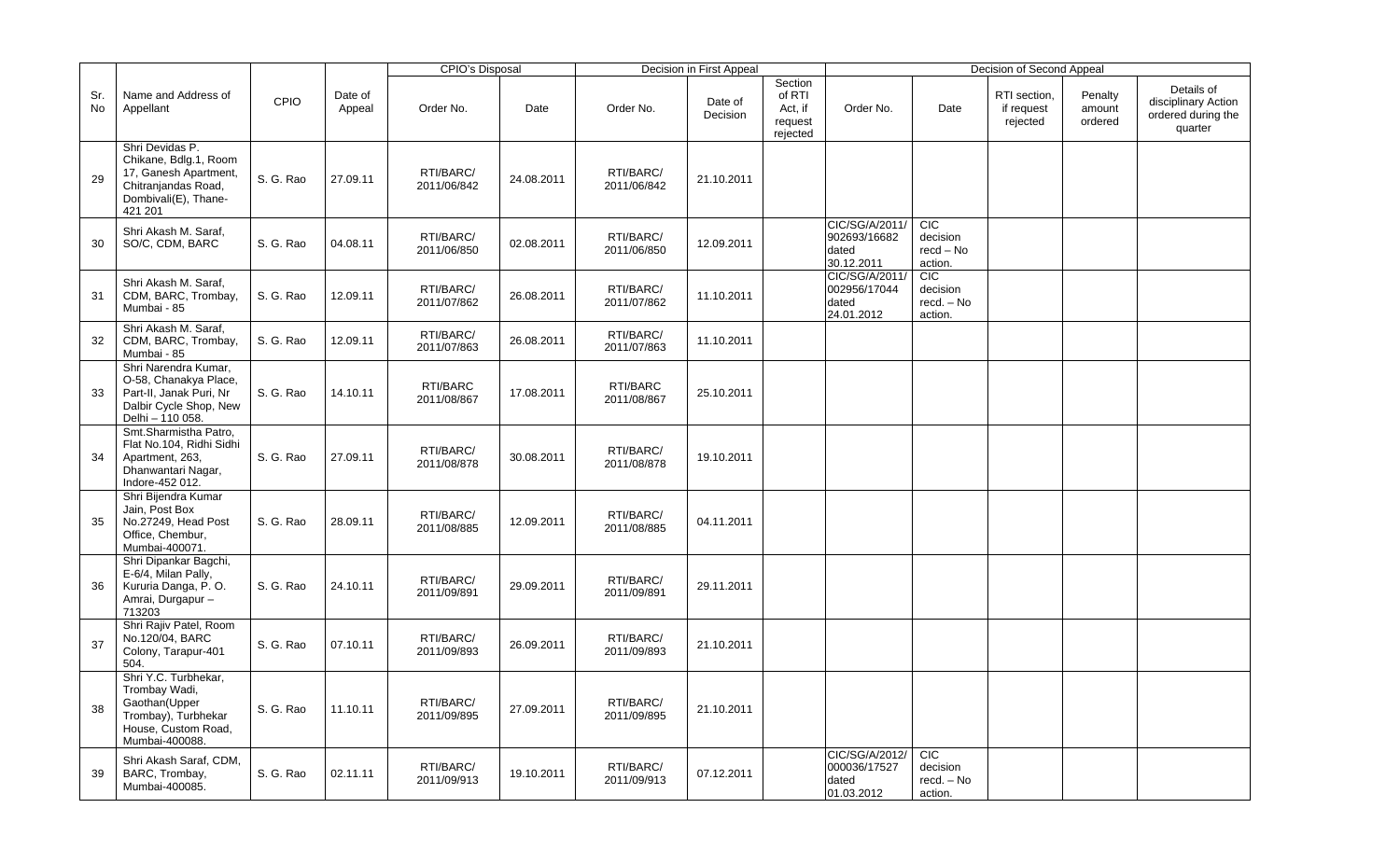|           |                                                                                                                             |           |                   | CPIO's Disposal          |            |                          | Decision in First Appeal |                                                     | Decision of Second Appeal                             |                                                                |                                        |                              |                                                                    |  |  |
|-----------|-----------------------------------------------------------------------------------------------------------------------------|-----------|-------------------|--------------------------|------------|--------------------------|--------------------------|-----------------------------------------------------|-------------------------------------------------------|----------------------------------------------------------------|----------------------------------------|------------------------------|--------------------------------------------------------------------|--|--|
| Sr.<br>No | Name and Address of<br>Appellant                                                                                            | CPIO      | Date of<br>Appeal | Order No.                | Date       | Order No.                | Date of<br>Decision      | Section<br>of RTI<br>Act, if<br>request<br>rejected | Order No.                                             | Date                                                           | RTI section,<br>if request<br>rejected | Penalty<br>amount<br>ordered | Details of<br>disciplinary Action<br>ordered during the<br>quarter |  |  |
| 29        | Shri Devidas P.<br>Chikane, Bdlg.1, Room<br>17, Ganesh Apartment,<br>Chitranjandas Road,<br>Dombivali(E), Thane-<br>421 201 | S. G. Rao | 27.09.11          | RTI/BARC/<br>2011/06/842 | 24.08.2011 | RTI/BARC/<br>2011/06/842 | 21.10.2011               |                                                     |                                                       |                                                                |                                        |                              |                                                                    |  |  |
| 30        | Shri Akash M. Saraf,<br>SO/C, CDM, BARC                                                                                     | S. G. Rao | 04.08.11          | RTI/BARC/<br>2011/06/850 | 02.08.2011 | RTI/BARC/<br>2011/06/850 | 12.09.2011               |                                                     | CIC/SG/A/2011/<br>902693/16682<br>dated<br>30.12.2011 | <b>CIC</b><br>decision<br>$\text{recd} - \text{No}$<br>action. |                                        |                              |                                                                    |  |  |
| 31        | Shri Akash M. Saraf,<br>CDM, BARC, Trombay,<br>Mumbai - 85                                                                  | S. G. Rao | 12.09.11          | RTI/BARC/<br>2011/07/862 | 26.08.2011 | RTI/BARC/<br>2011/07/862 | 11.10.2011               |                                                     | CIC/SG/A/2011/<br>002956/17044<br>dated<br>24.01.2012 | <b>CIC</b><br>decision<br>recd. - No<br>action.                |                                        |                              |                                                                    |  |  |
| 32        | Shri Akash M. Saraf,<br>CDM, BARC, Trombay,<br>Mumbai - 85                                                                  | S. G. Rao | 12.09.11          | RTI/BARC/<br>2011/07/863 | 26.08.2011 | RTI/BARC/<br>2011/07/863 | 11.10.2011               |                                                     |                                                       |                                                                |                                        |                              |                                                                    |  |  |
| 33        | Shri Narendra Kumar,<br>O-58, Chanakya Place,<br>Part-II, Janak Puri, Nr<br>Dalbir Cycle Shop, New<br>Delhi - 110 058.      | S. G. Rao | 14.10.11          | RTI/BARC<br>2011/08/867  | 17.08.2011 | RTI/BARC<br>2011/08/867  | 25.10.2011               |                                                     |                                                       |                                                                |                                        |                              |                                                                    |  |  |
| 34        | Smt.Sharmistha Patro,<br>Flat No.104, Ridhi Sidhi<br>Apartment, 263,<br>Dhanwantari Nagar,<br>Indore-452 012.               | S. G. Rao | 27.09.11          | RTI/BARC/<br>2011/08/878 | 30.08.2011 | RTI/BARC/<br>2011/08/878 | 19.10.2011               |                                                     |                                                       |                                                                |                                        |                              |                                                                    |  |  |
| 35        | Shri Bijendra Kumar<br>Jain, Post Box<br>No.27249, Head Post<br>Office, Chembur,<br>Mumbai-400071.                          | S. G. Rao | 28.09.11          | RTI/BARC/<br>2011/08/885 | 12.09.2011 | RTI/BARC/<br>2011/08/885 | 04.11.2011               |                                                     |                                                       |                                                                |                                        |                              |                                                                    |  |  |
| 36        | Shri Dipankar Bagchi,<br>E-6/4, Milan Pally,<br>Kururia Danga, P. O.<br>Amrai, Durgapur -<br>713203                         | S. G. Rao | 24.10.11          | RTI/BARC/<br>2011/09/891 | 29.09.2011 | RTI/BARC/<br>2011/09/891 | 29.11.2011               |                                                     |                                                       |                                                                |                                        |                              |                                                                    |  |  |
| 37        | Shri Rajiv Patel, Room<br>No.120/04, BARC<br>Colony, Tarapur-401<br>504.                                                    | S. G. Rao | 07.10.11          | RTI/BARC/<br>2011/09/893 | 26.09.2011 | RTI/BARC/<br>2011/09/893 | 21.10.2011               |                                                     |                                                       |                                                                |                                        |                              |                                                                    |  |  |
| 38        | Shri Y.C. Turbhekar,<br>Trombay Wadi,<br>Gaothan(Upper<br>Trombay), Turbhekar<br>House, Custom Road,<br>Mumbai-400088.      | S. G. Rao | 11.10.11          | RTI/BARC/<br>2011/09/895 | 27.09.2011 | RTI/BARC/<br>2011/09/895 | 21.10.2011               |                                                     |                                                       |                                                                |                                        |                              |                                                                    |  |  |
| 39        | Shri Akash Saraf, CDM,<br>BARC, Trombay,<br>Mumbai-400085.                                                                  | S. G. Rao | 02.11.11          | RTI/BARC/<br>2011/09/913 | 19.10.2011 | RTI/BARC/<br>2011/09/913 | 07.12.2011               |                                                     | CIC/SG/A/2012/<br>000036/17527<br>dated<br>01.03.2012 | CIC<br>decision<br>$\mathsf{recd.}-\mathsf{No}$<br>action.     |                                        |                              |                                                                    |  |  |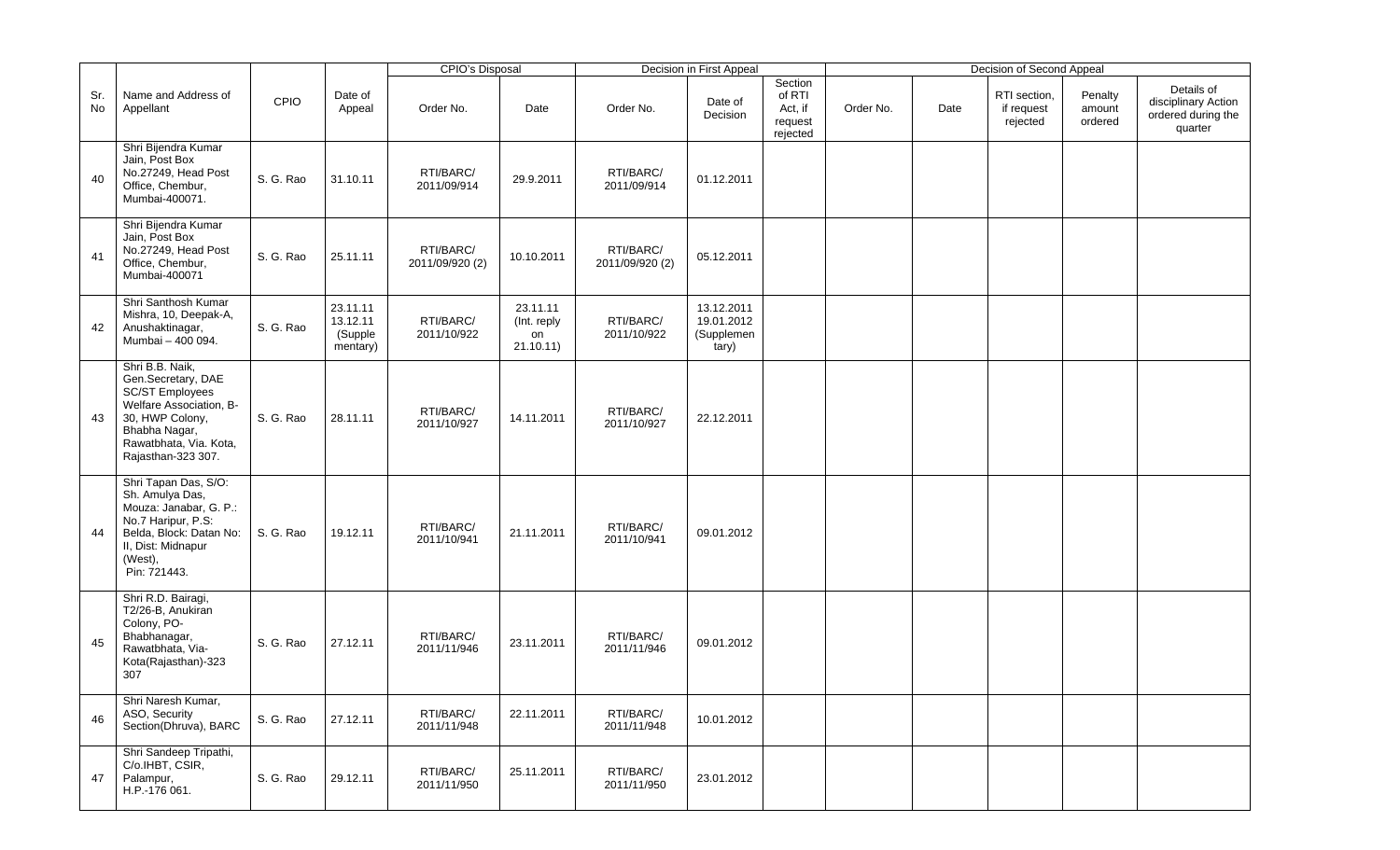|           |                                                                                                                                                                                |           |                                             | <b>CPIO's Disposal</b>       |                                            |                              | Decision in First Appeal                        |                                                     |           |      | Decision of Second Appeal              |                              |                                                                    |
|-----------|--------------------------------------------------------------------------------------------------------------------------------------------------------------------------------|-----------|---------------------------------------------|------------------------------|--------------------------------------------|------------------------------|-------------------------------------------------|-----------------------------------------------------|-----------|------|----------------------------------------|------------------------------|--------------------------------------------------------------------|
| Sr.<br>No | Name and Address of<br>Appellant                                                                                                                                               | CPIO      | Date of<br>Appeal                           | Order No.                    | Date                                       | Order No.                    | Date of<br>Decision                             | Section<br>of RTI<br>Act, if<br>request<br>rejected | Order No. | Date | RTI section,<br>if request<br>rejected | Penalty<br>amount<br>ordered | Details of<br>disciplinary Action<br>ordered during the<br>quarter |
| 40        | Shri Bijendra Kumar<br>Jain, Post Box<br>No.27249, Head Post<br>Office, Chembur,<br>Mumbai-400071.                                                                             | S. G. Rao | 31.10.11                                    | RTI/BARC/<br>2011/09/914     | 29.9.2011                                  | RTI/BARC/<br>2011/09/914     | 01.12.2011                                      |                                                     |           |      |                                        |                              |                                                                    |
| 41        | Shri Bijendra Kumar<br>Jain, Post Box<br>No.27249, Head Post<br>Office, Chembur,<br>Mumbai-400071                                                                              | S. G. Rao | 25.11.11                                    | RTI/BARC/<br>2011/09/920 (2) | 10.10.2011                                 | RTI/BARC/<br>2011/09/920 (2) | 05.12.2011                                      |                                                     |           |      |                                        |                              |                                                                    |
| 42        | Shri Santhosh Kumar<br>Mishra, 10, Deepak-A,<br>Anushaktinagar,<br>Mumbai - 400 094.                                                                                           | S. G. Rao | 23.11.11<br>13.12.11<br>(Supple<br>mentary) | RTI/BARC/<br>2011/10/922     | 23.11.11<br>(Int. reply<br>on<br>21.10.11) | RTI/BARC/<br>2011/10/922     | 13.12.2011<br>19.01.2012<br>(Supplemen<br>tary) |                                                     |           |      |                                        |                              |                                                                    |
| 43        | Shri B.B. Naik,<br>Gen.Secretary, DAE<br><b>SC/ST Employees</b><br>Welfare Association, B-<br>30, HWP Colony,<br>Bhabha Nagar,<br>Rawatbhata, Via. Kota,<br>Rajasthan-323 307. | S. G. Rao | 28.11.11                                    | RTI/BARC/<br>2011/10/927     | 14.11.2011                                 | RTI/BARC/<br>2011/10/927     | 22.12.2011                                      |                                                     |           |      |                                        |                              |                                                                    |
| 44        | Shri Tapan Das, S/O:<br>Sh. Amulya Das,<br>Mouza: Janabar, G. P.:<br>No.7 Haripur, P.S:<br>Belda, Block: Datan No:<br>II, Dist: Midnapur<br>(West),<br>Pin: 721443.            | S. G. Rao | 19.12.11                                    | RTI/BARC/<br>2011/10/941     | 21.11.2011                                 | RTI/BARC/<br>2011/10/941     | 09.01.2012                                      |                                                     |           |      |                                        |                              |                                                                    |
| 45        | Shri R.D. Bairagi,<br>T2/26-B. Anukiran<br>Colony, PO-<br>Bhabhanagar,<br>Rawatbhata, Via-<br>Kota(Rajasthan)-323<br>307                                                       | S. G. Rao | 27.12.11                                    | RTI/BARC/<br>2011/11/946     | 23.11.2011                                 | RTI/BARC/<br>2011/11/946     | 09.01.2012                                      |                                                     |           |      |                                        |                              |                                                                    |
| 46        | Shri Naresh Kumar,<br>ASO, Security<br>Section(Dhruva), BARC                                                                                                                   | S. G. Rao | 27.12.11                                    | RTI/BARC/<br>2011/11/948     | 22.11.2011                                 | RTI/BARC/<br>2011/11/948     | 10.01.2012                                      |                                                     |           |      |                                        |                              |                                                                    |
| 47        | Shri Sandeep Tripathi,<br>C/o.IHBT, CSIR,<br>Palampur,<br>H.P.-176 061.                                                                                                        | S. G. Rao | 29.12.11                                    | RTI/BARC/<br>2011/11/950     | 25.11.2011                                 | RTI/BARC/<br>2011/11/950     | 23.01.2012                                      |                                                     |           |      |                                        |                              |                                                                    |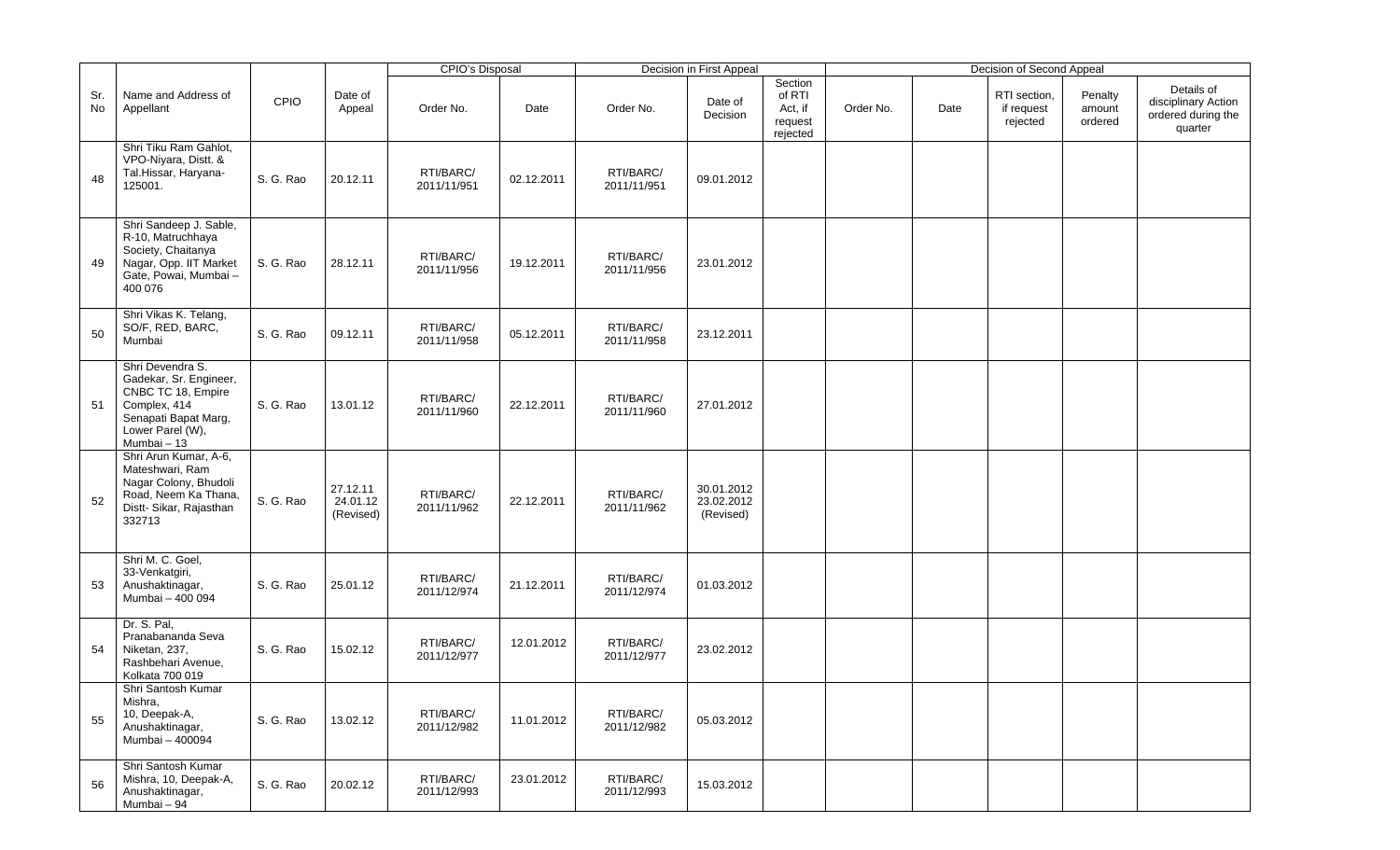|           |                                                                                                                                              |           |                                   | <b>CPIO's Disposal</b>   |            |                          | Decision in First Appeal              |                                                     |           |      | Decision of Second Appeal              |                              |                                                                    |
|-----------|----------------------------------------------------------------------------------------------------------------------------------------------|-----------|-----------------------------------|--------------------------|------------|--------------------------|---------------------------------------|-----------------------------------------------------|-----------|------|----------------------------------------|------------------------------|--------------------------------------------------------------------|
| Sr.<br>No | Name and Address of<br>Appellant                                                                                                             | CPIO      | Date of<br>Appeal                 | Order No.                | Date       | Order No.                | Date of<br>Decision                   | Section<br>of RTI<br>Act, if<br>request<br>rejected | Order No. | Date | RTI section,<br>if request<br>rejected | Penalty<br>amount<br>ordered | Details of<br>disciplinary Action<br>ordered during the<br>quarter |
| 48        | Shri Tiku Ram Gahlot,<br>VPO-Niyara, Distt. &<br>Tal.Hissar, Haryana-<br>125001.                                                             | S. G. Rao | 20.12.11                          | RTI/BARC/<br>2011/11/951 | 02.12.2011 | RTI/BARC/<br>2011/11/951 | 09.01.2012                            |                                                     |           |      |                                        |                              |                                                                    |
| 49        | Shri Sandeep J. Sable,<br>R-10, Matruchhaya<br>Society, Chaitanya<br>Nagar, Opp. IIT Market<br>Gate, Powai, Mumbai -<br>400 076              | S. G. Rao | 28.12.11                          | RTI/BARC/<br>2011/11/956 | 19.12.2011 | RTI/BARC/<br>2011/11/956 | 23.01.2012                            |                                                     |           |      |                                        |                              |                                                                    |
| 50        | Shri Vikas K. Telang,<br>SO/F, RED, BARC,<br>Mumbai                                                                                          | S. G. Rao | 09.12.11                          | RTI/BARC/<br>2011/11/958 | 05.12.2011 | RTI/BARC/<br>2011/11/958 | 23.12.2011                            |                                                     |           |      |                                        |                              |                                                                    |
| 51        | Shri Devendra S.<br>Gadekar, Sr. Engineer,<br>CNBC TC 18, Empire<br>Complex, 414<br>Senapati Bapat Marg,<br>Lower Parel (W),<br>Mumbai $-13$ | S. G. Rao | 13.01.12                          | RTI/BARC/<br>2011/11/960 | 22.12.2011 | RTI/BARC/<br>2011/11/960 | 27.01.2012                            |                                                     |           |      |                                        |                              |                                                                    |
| 52        | Shri Arun Kumar, A-6,<br>Mateshwari, Ram<br>Nagar Colony, Bhudoli<br>Road, Neem Ka Thana,<br>Distt-Sikar, Rajasthan<br>332713                | S. G. Rao | 27.12.11<br>24.01.12<br>(Revised) | RTI/BARC/<br>2011/11/962 | 22.12.2011 | RTI/BARC/<br>2011/11/962 | 30.01.2012<br>23.02.2012<br>(Revised) |                                                     |           |      |                                        |                              |                                                                    |
| 53        | Shri M. C. Goel,<br>33-Venkatgiri,<br>Anushaktinagar,<br>Mumbai - 400 094                                                                    | S. G. Rao | 25.01.12                          | RTI/BARC/<br>2011/12/974 | 21.12.2011 | RTI/BARC/<br>2011/12/974 | 01.03.2012                            |                                                     |           |      |                                        |                              |                                                                    |
| 54        | Dr. S. Pal,<br>Pranabananda Seva<br>Niketan, 237,<br>Rashbehari Avenue,<br>Kolkata 700 019                                                   | S. G. Rao | 15.02.12                          | RTI/BARC/<br>2011/12/977 | 12.01.2012 | RTI/BARC/<br>2011/12/977 | 23.02.2012                            |                                                     |           |      |                                        |                              |                                                                    |
| 55        | Shri Santosh Kumar<br>Mishra,<br>10, Deepak-A,<br>Anushaktinagar,<br>Mumbai - 400094                                                         | S. G. Rao | 13.02.12                          | RTI/BARC/<br>2011/12/982 | 11.01.2012 | RTI/BARC/<br>2011/12/982 | 05.03.2012                            |                                                     |           |      |                                        |                              |                                                                    |
| 56        | Shri Santosh Kumar<br>Mishra, 10, Deepak-A,<br>Anushaktinagar,<br>Mumbai - 94                                                                | S. G. Rao | 20.02.12                          | RTI/BARC/<br>2011/12/993 | 23.01.2012 | RTI/BARC/<br>2011/12/993 | 15.03.2012                            |                                                     |           |      |                                        |                              |                                                                    |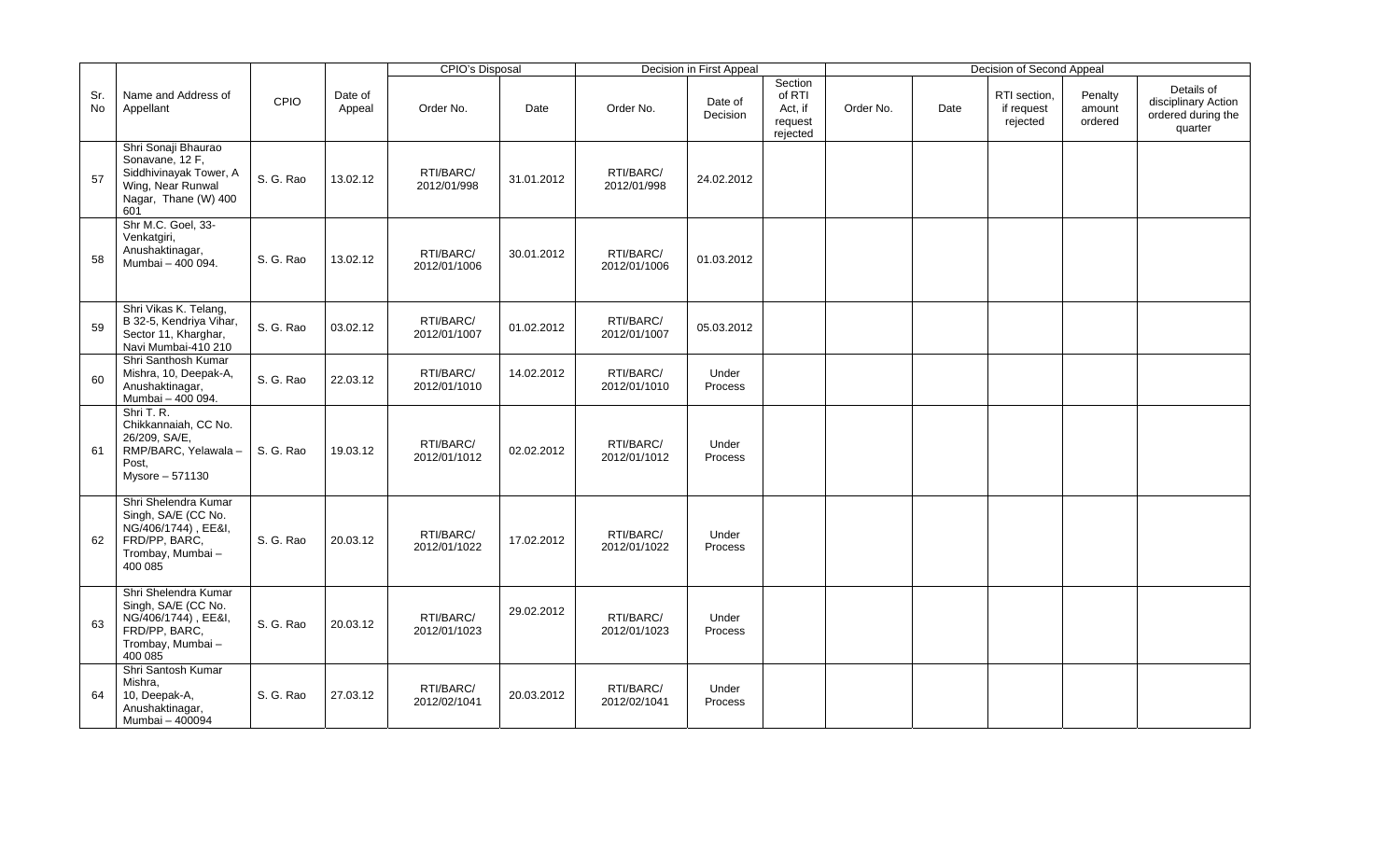|                  |                                                                                                                      |           |                   | <b>CPIO's Disposal</b>    |            |                           | Decision in First Appeal |                                                     |           |      | Decision of Second Appeal              |                              |                                                                    |
|------------------|----------------------------------------------------------------------------------------------------------------------|-----------|-------------------|---------------------------|------------|---------------------------|--------------------------|-----------------------------------------------------|-----------|------|----------------------------------------|------------------------------|--------------------------------------------------------------------|
| Sr.<br><b>No</b> | Name and Address of<br>Appellant                                                                                     | CPIO      | Date of<br>Appeal | Order No.                 | Date       | Order No.                 | Date of<br>Decision      | Section<br>of RTI<br>Act, if<br>request<br>rejected | Order No. | Date | RTI section,<br>if request<br>rejected | Penalty<br>amount<br>ordered | Details of<br>disciplinary Action<br>ordered during the<br>quarter |
| 57               | Shri Sonaji Bhaurao<br>Sonavane, 12 F,<br>Siddhivinayak Tower, A<br>Wing, Near Runwal<br>Nagar, Thane (W) 400<br>601 | S. G. Rao | 13.02.12          | RTI/BARC/<br>2012/01/998  | 31.01.2012 | RTI/BARC/<br>2012/01/998  | 24.02.2012               |                                                     |           |      |                                        |                              |                                                                    |
| 58               | Shr M.C. Goel, 33-<br>Venkatgiri,<br>Anushaktinagar,<br>Mumbai - 400 094.                                            | S. G. Rao | 13.02.12          | RTI/BARC/<br>2012/01/1006 | 30.01.2012 | RTI/BARC/<br>2012/01/1006 | 01.03.2012               |                                                     |           |      |                                        |                              |                                                                    |
| 59               | Shri Vikas K. Telang,<br>B 32-5, Kendriya Vihar,<br>Sector 11, Kharghar,<br>Navi Mumbai-410 210                      | S. G. Rao | 03.02.12          | RTI/BARC/<br>2012/01/1007 | 01.02.2012 | RTI/BARC/<br>2012/01/1007 | 05.03.2012               |                                                     |           |      |                                        |                              |                                                                    |
| 60               | Shri Santhosh Kumar<br>Mishra, 10, Deepak-A,<br>Anushaktinagar,<br>Mumbai - 400 094.                                 | S. G. Rao | 22.03.12          | RTI/BARC/<br>2012/01/1010 | 14.02.2012 | RTI/BARC/<br>2012/01/1010 | Under<br>Process         |                                                     |           |      |                                        |                              |                                                                    |
| 61               | Shri T. R.<br>Chikkannaiah, CC No.<br>26/209, SA/E,<br>RMP/BARC, Yelawala -<br>Post,<br>Mysore - 571130              | S. G. Rao | 19.03.12          | RTI/BARC/<br>2012/01/1012 | 02.02.2012 | RTI/BARC/<br>2012/01/1012 | Under<br>Process         |                                                     |           |      |                                        |                              |                                                                    |
| 62               | Shri Shelendra Kumar<br>Singh, SA/E (CC No.<br>NG/406/1744), EE&I,<br>FRD/PP, BARC,<br>Trombay, Mumbai-<br>400 085   | S. G. Rao | 20.03.12          | RTI/BARC/<br>2012/01/1022 | 17.02.2012 | RTI/BARC/<br>2012/01/1022 | Under<br>Process         |                                                     |           |      |                                        |                              |                                                                    |
| 63               | Shri Shelendra Kumar<br>Singh, SA/E (CC No.<br>NG/406/1744), EE&I,<br>FRD/PP, BARC,<br>Trombay, Mumbai-<br>400 085   | S. G. Rao | 20.03.12          | RTI/BARC/<br>2012/01/1023 | 29.02.2012 | RTI/BARC/<br>2012/01/1023 | Under<br>Process         |                                                     |           |      |                                        |                              |                                                                    |
| 64               | Shri Santosh Kumar<br>Mishra,<br>10, Deepak-A,<br>Anushaktinagar,<br>Mumbai - 400094                                 | S. G. Rao | 27.03.12          | RTI/BARC/<br>2012/02/1041 | 20.03.2012 | RTI/BARC/<br>2012/02/1041 | Under<br>Process         |                                                     |           |      |                                        |                              |                                                                    |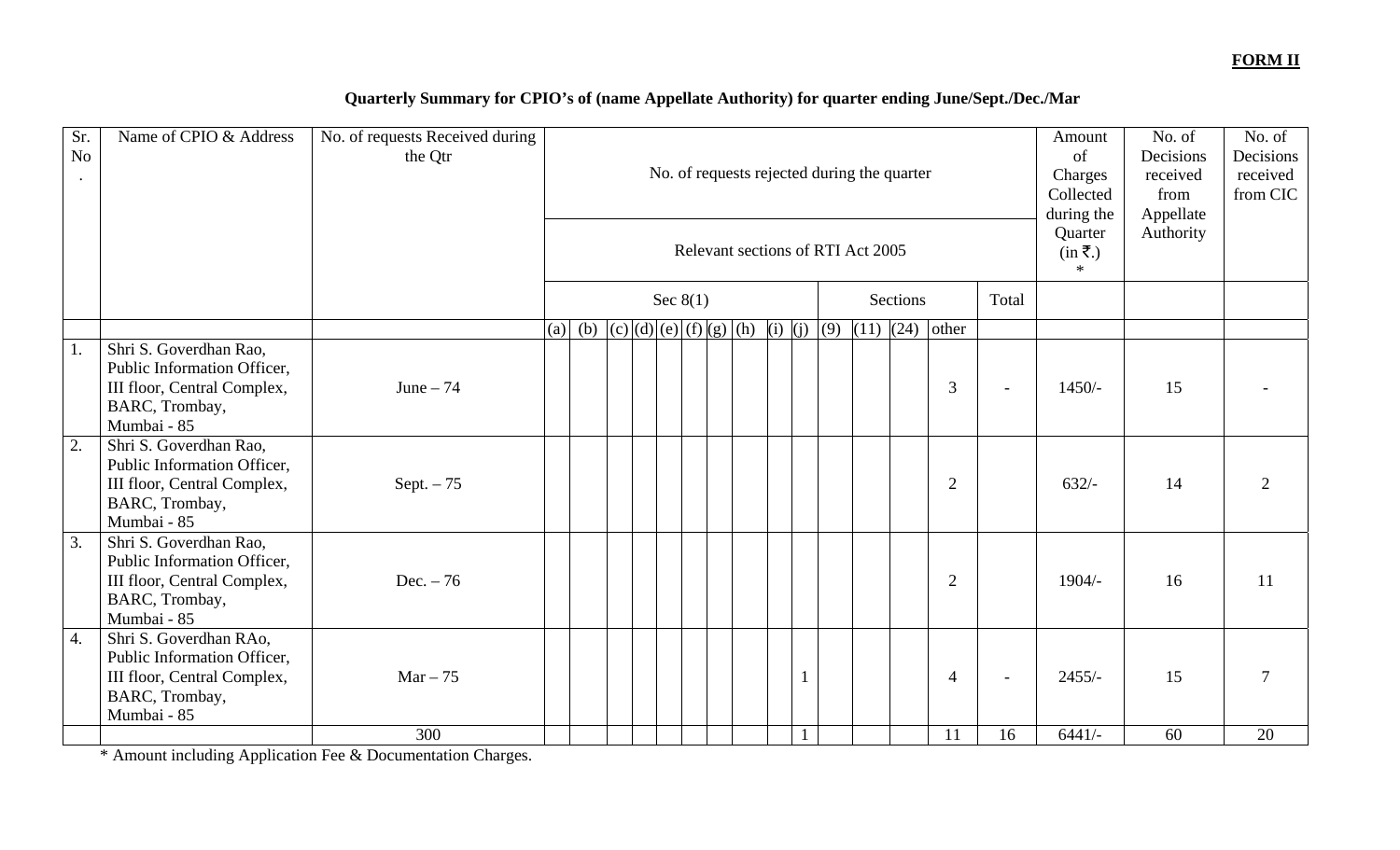#### **FORM II**

## **Quarterly Summary for CPIO's of (name Appellate Authority) for quarter ending June/Sept./Dec./Mar**

| Sr.<br>No | Name of CPIO & Address                                                                                                | No. of requests Received during<br>the Qtr | No. of requests rejected during the quarter<br>Relevant sections of RTI Act 2005 |                                       |  |  |            |  |  |  |  | Amount<br>of<br>Charges<br>Collected<br>during the<br>Quarter<br>$(in \overline{\mathbf{z}}.)$<br>$\ast$ | No. of<br>Decisions<br>received<br>from<br>Appellate<br>Authority | No. of<br>Decisions<br>received<br>from CIC |                |       |          |    |    |
|-----------|-----------------------------------------------------------------------------------------------------------------------|--------------------------------------------|----------------------------------------------------------------------------------|---------------------------------------|--|--|------------|--|--|--|--|----------------------------------------------------------------------------------------------------------|-------------------------------------------------------------------|---------------------------------------------|----------------|-------|----------|----|----|
|           |                                                                                                                       |                                            |                                                                                  |                                       |  |  | Sec $8(1)$ |  |  |  |  |                                                                                                          |                                                                   | Sections                                    |                | Total |          |    |    |
|           |                                                                                                                       |                                            | (a)                                                                              | (b) $ (c)(d)(e)(f)(g)(h)(i)(j)(g)(g)$ |  |  |            |  |  |  |  |                                                                                                          | $(11)$ $(24)$                                                     |                                             | other          |       |          |    |    |
| 1.        | Shri S. Goverdhan Rao,<br>Public Information Officer,<br>III floor, Central Complex,<br>BARC, Trombay,<br>Mumbai - 85 | June $-74$                                 |                                                                                  |                                       |  |  |            |  |  |  |  |                                                                                                          |                                                                   |                                             | 3              |       | $1450/-$ | 15 |    |
| 2.        | Shri S. Goverdhan Rao,<br>Public Information Officer,<br>III floor, Central Complex,<br>BARC, Trombay,<br>Mumbai - 85 | Sept. $-75$                                |                                                                                  |                                       |  |  |            |  |  |  |  |                                                                                                          |                                                                   |                                             | $\overline{2}$ |       | $632/-$  | 14 | 2  |
| 3.        | Shri S. Goverdhan Rao,<br>Public Information Officer,<br>III floor, Central Complex,<br>BARC, Trombay,<br>Mumbai - 85 | Dec. $-76$                                 |                                                                                  |                                       |  |  |            |  |  |  |  |                                                                                                          |                                                                   |                                             | $\overline{2}$ |       | $1904/-$ | 16 | 11 |
| 4.        | Shri S. Goverdhan RAo,<br>Public Information Officer,<br>III floor, Central Complex,<br>BARC, Trombay,<br>Mumbai - 85 | $Mar - 75$                                 |                                                                                  |                                       |  |  |            |  |  |  |  |                                                                                                          |                                                                   |                                             | 4              |       | $2455/-$ | 15 |    |
|           |                                                                                                                       | 300                                        |                                                                                  |                                       |  |  |            |  |  |  |  |                                                                                                          |                                                                   |                                             | 11             | 16    | $6441/-$ | 60 | 20 |

\* Amount including Application Fee & Documentation Charges.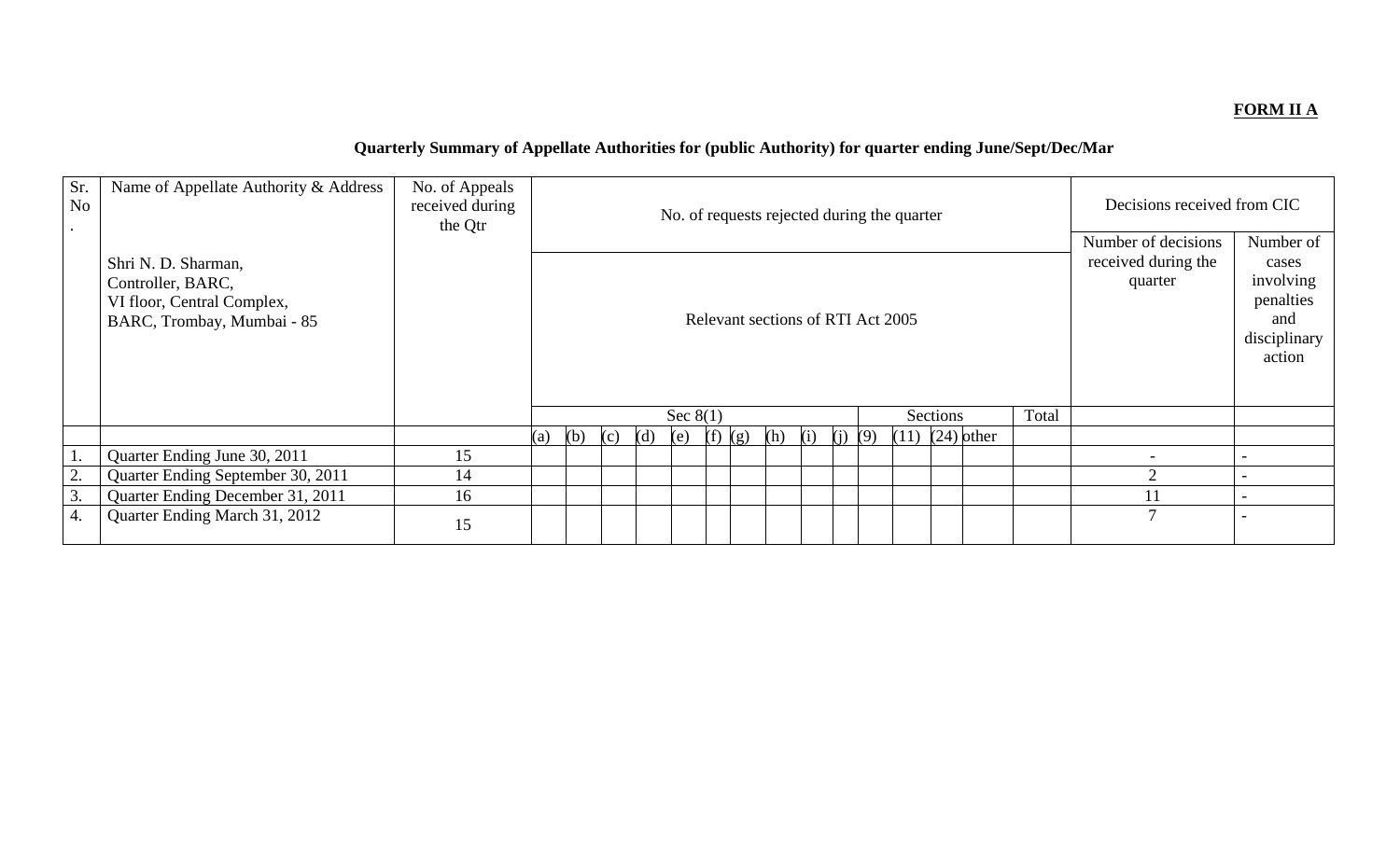### **FORM II A**

# **Quarterly Summary of Appellate Authorities for (public Authority) for quarter ending June/Sept/Dec/Mar**

| Sr.<br>N <sub>o</sub> | Name of Appellate Authority & Address                                                                | No. of Appeals<br>received during<br>the Qtr |     |                                                                                           |  |  |            |  |  |  |  | No. of requests rejected during the quarter           |                                                                               |       | Decisions received from CIC |  |  |
|-----------------------|------------------------------------------------------------------------------------------------------|----------------------------------------------|-----|-------------------------------------------------------------------------------------------|--|--|------------|--|--|--|--|-------------------------------------------------------|-------------------------------------------------------------------------------|-------|-----------------------------|--|--|
|                       | Shri N. D. Sharman,<br>Controller, BARC,<br>VI floor, Central Complex,<br>BARC, Trombay, Mumbai - 85 |                                              |     | Relevant sections of RTI Act 2005                                                         |  |  |            |  |  |  |  | Number of decisions<br>received during the<br>quarter | Number of<br>cases<br>involving<br>penalties<br>and<br>disciplinary<br>action |       |                             |  |  |
|                       |                                                                                                      |                                              |     |                                                                                           |  |  | Sec $8(1)$ |  |  |  |  |                                                       | Sections                                                                      | Total |                             |  |  |
|                       |                                                                                                      |                                              | (a) | $(11)$ $(24)$ other<br>(b)<br>(i)<br>(i)<br>(9)<br>(d)<br>(f)<br>(h)<br>(e)<br>(c)<br>(g) |  |  |            |  |  |  |  |                                                       |                                                                               |       |                             |  |  |
|                       | Quarter Ending June 30, 2011                                                                         | 15                                           |     |                                                                                           |  |  |            |  |  |  |  |                                                       |                                                                               |       |                             |  |  |
| 2.                    | Quarter Ending September 30, 2011                                                                    | 14                                           |     |                                                                                           |  |  |            |  |  |  |  |                                                       | ↑                                                                             |       |                             |  |  |
| 3.                    | Quarter Ending December 31, 2011                                                                     | 16                                           |     |                                                                                           |  |  |            |  |  |  |  |                                                       | 11                                                                            |       |                             |  |  |
| 4.                    | Quarter Ending March 31, 2012                                                                        | 15                                           |     |                                                                                           |  |  |            |  |  |  |  | 7                                                     |                                                                               |       |                             |  |  |